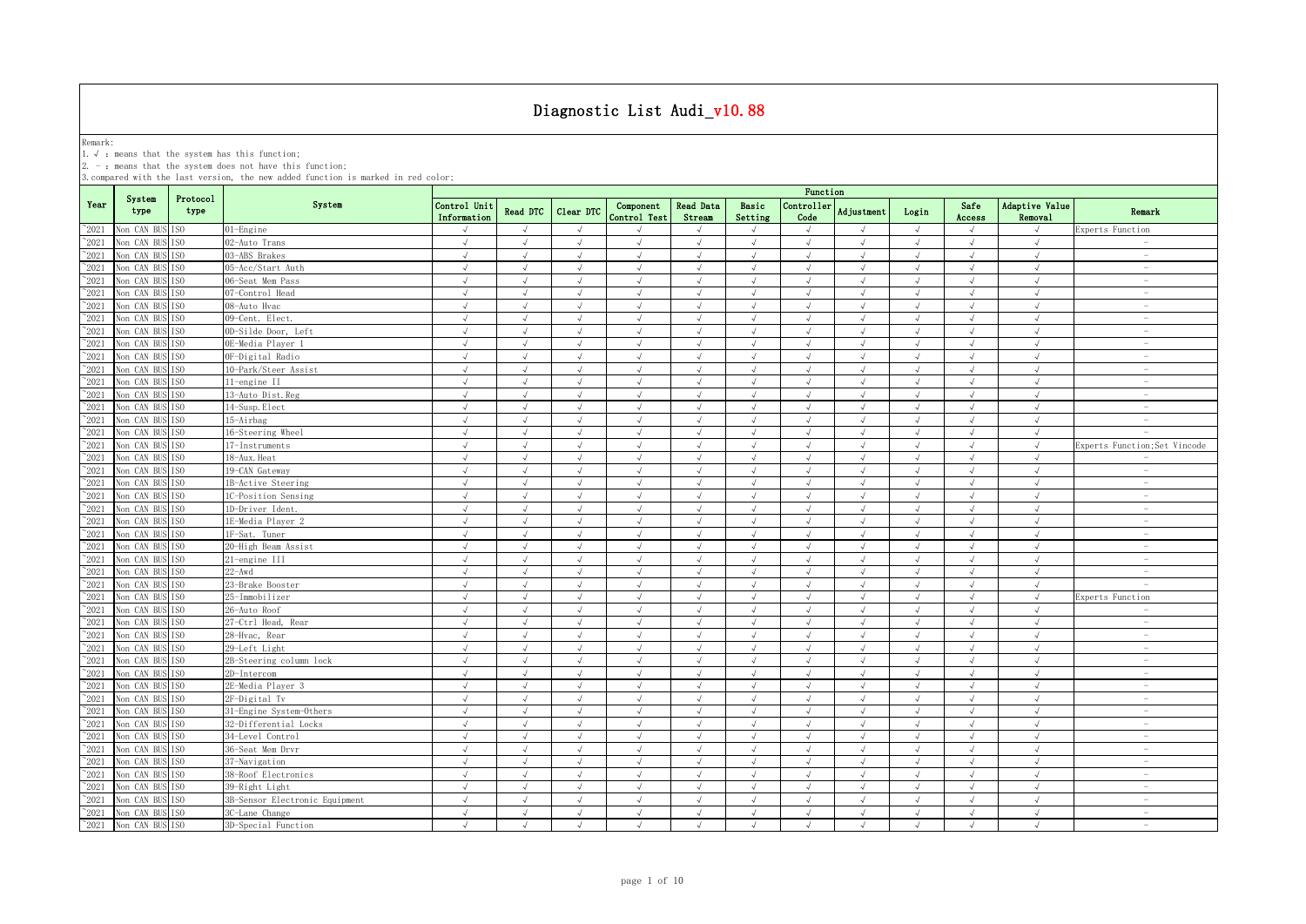Remark:<br>1.√ : means that the system has this function;<br>2. - : means that the system does not have this function;

|                |                               |                  |                                | Function                    |               |               |                           |                     |                             |                             |               |            |                |                             |                                 |
|----------------|-------------------------------|------------------|--------------------------------|-----------------------------|---------------|---------------|---------------------------|---------------------|-----------------------------|-----------------------------|---------------|------------|----------------|-----------------------------|---------------------------------|
| Year           | System<br>type                | Protocol<br>type | System                         | Control Unit<br>Information | Read DTC      | Clear DTC     | Component<br>Control Test | Read Data<br>Stream | Basic<br>Setting            | Controller<br>Code          | Adjustment    | Login      | Safe<br>Access | Adaptive Value<br>Removal   | Remark                          |
| $^{\sim}$ 2021 | Non CAN BUS ISO               |                  | 01-Engine                      |                             | $\mathcal{L}$ | $\lambda$     |                           |                     | $\sqrt{ }$                  | $\sqrt{ }$                  |               | $\sqrt{ }$ | $\sqrt{ }$     |                             | Experts Function                |
| $^{\sim}2021$  | Non CAN BUS                   | TS <sub>0</sub>  | 02-Auto Trans                  | $\sqrt{ }$                  | $\sqrt{ }$    | $\sqrt{ }$    | $\sqrt{ }$                | $\sqrt{ }$          | $\sqrt{ }$                  | $\sqrt{ }$                  | $\sqrt{ }$    | $\sqrt{ }$ | $\sqrt{ }$     | $\sqrt{ }$                  | $\overline{\phantom{a}}$        |
| $^{\sim}2021$  | Non CAN BUS                   | IS <sub>0</sub>  | 03-ABS Brakes                  | $\sqrt{ }$                  | $\sqrt{ }$    | $\sqrt{ }$    | $\sqrt{ }$                | $\sqrt{ }$          | $\sqrt{ }$                  | $\sqrt{ }$                  | $\sqrt{ }$    | $\sqrt{ }$ | $\sqrt{ }$     | $\sqrt{ }$                  | $\overline{\phantom{a}}$        |
| $\degree$ 2021 | Non CAN BUS                   | ISO.             | 05-Acc/Start Auth              | $\sqrt{ }$                  | $\sqrt{ }$    | $\sqrt{ }$    | $\sqrt{ }$                | $\sqrt{ }$          | $\sqrt{ }$                  | $\sqrt{ }$                  | $\sqrt{ }$    | $\sqrt{ }$ | $\sqrt{ }$     | $\sqrt{ }$                  | $\overline{\phantom{a}}$        |
| $\degree$ 2021 | Non CAN BUS                   | IS <sub>0</sub>  | 06-Seat Mem Pass               | $\sqrt{ }$                  | $\sqrt{ }$    | $\sqrt{ }$    | $\sqrt{ }$                | $\sqrt{ }$          | $\sqrt{ }$                  | $\sqrt{ }$                  | $\sqrt{ }$    | $\sqrt{ }$ | $\sqrt{ }$     | $\sqrt{ }$                  | $\hspace{0.1mm}-\hspace{0.1mm}$ |
| $\degree$ 2021 | Non CAN BUS                   | IS <sub>0</sub>  | 07-Control Head                | $\sqrt{ }$                  | $\sqrt{ }$    | $\sqrt{ }$    | $\sqrt{}$                 | $\sqrt{ }$          | $\sqrt{ }$                  | $\sqrt{ }$                  | $\sqrt{ }$    | $\sqrt{ }$ | $\sqrt{ }$     | $\sqrt{ }$                  | $\sim$                          |
| 2021           | Non CAN BUS                   | ISO              | 08-Auto Hvac                   | $\sqrt{ }$                  | $\sqrt{ }$    | J             | J                         |                     | $\sqrt{ }$                  | √                           | $\sqrt{ }$    | $\sqrt{ }$ | J              | J                           | $\hspace{0.1mm}-\hspace{0.1mm}$ |
| 2021           | Non CAN BUS                   | IS <sub>0</sub>  | 09-Cent. Elect.                | $\sqrt{ }$                  | $\sqrt{ }$    | $\sqrt{ }$    | $\sqrt{}$                 |                     | $\sqrt{ }$                  | J                           | $\sqrt{ }$    | $\sqrt{ }$ | $\sqrt{ }$     | $\sqrt{ }$                  | $\sim$                          |
| 2021           | Non CAN BUS                   | IS <sub>0</sub>  | OD-Silde Door, Left            | $\sqrt{ }$                  | $\sqrt{ }$    | J             | J                         |                     | $\sqrt{ }$                  | $\sqrt{ }$                  | $\sqrt{ }$    | $\sqrt{ }$ | $\sqrt{}$      | $\sqrt{ }$                  | $\overline{\phantom{0}}$        |
| 2021           | Non CAN BUS                   | TSO              | OE-Media Player 1              | $\sqrt{ }$                  | $\sqrt{ }$    | $\sqrt{ }$    | $\sqrt{ }$                |                     | $\sqrt{ }$                  | $\sqrt{ }$                  | $\sqrt{ }$    | $\sqrt{ }$ | $\sqrt{ }$     | $\sqrt{ }$                  | $\overline{\phantom{m}}$        |
| $^{\sim}2021$  | Non CAN BUS                   | TS <sub>0</sub>  | OF-Digital Radio               | $\sqrt{ }$                  | $\sqrt{ }$    | $\sqrt{ }$    | $\sqrt{ }$                |                     | $\sqrt{ }$                  | $\sqrt{ }$                  | $\sqrt{ }$    | $\sqrt{ }$ | $\sqrt{ }$     | $\sqrt{ }$                  | $\overline{\phantom{a}}$        |
| $^{\sim}$ 2021 | Non CAN BUS                   | TS <sub>0</sub>  | 10-Park/Steer Assist           | $\sqrt{ }$                  | $\sqrt{ }$    | $\sqrt{ }$    | $\sqrt{ }$                |                     | $\sqrt{ }$                  | $\sqrt{ }$                  | $\sqrt{ }$    | $\sqrt{ }$ | $\sqrt{ }$     | $\sqrt{ }$                  | $\overline{\phantom{a}}$        |
| $^{\sim}2021$  | Non CAN BUS                   | IS <sub>0</sub>  | 11-engine II                   | $\sqrt{ }$                  | $\sqrt{ }$    | $\sqrt{ }$    | $\sqrt{ }$                | $\sqrt{ }$          | $\sqrt{ }$                  | $\sqrt{ }$                  | $\sqrt{ }$    | $\sqrt{ }$ | $\sqrt{ }$     | $\sqrt{ }$                  | $\sim$                          |
| $^{\sim}$ 2021 | Non CAN BUS                   | IS <sub>0</sub>  | 13-Auto Dist. Reg              | $\sqrt{ }$                  | $\sqrt{ }$    | $\sqrt{ }$    | $\sqrt{ }$                | $\sqrt{ }$          | $\sqrt{ }$                  | $\sqrt{ }$                  | $\sqrt{ }$    | $\sqrt{ }$ | $\sqrt{ }$     | $\sqrt{ }$                  | $\sim$                          |
| $\degree$ 2021 | Non CAN BUS                   | IS <sub>0</sub>  | 14-Susp. Elect                 | $\sqrt{ }$                  | $\sqrt{ }$    | $\sqrt{ }$    | $\sqrt{ }$                | $\sqrt{ }$          | $\sqrt{ }$                  | $\sqrt{ }$                  | $\sqrt{ }$    | $\sqrt{ }$ | $\sqrt{ }$     | $\sqrt{ }$                  | $\overline{\phantom{a}}$        |
| $^{\sim}2021$  | Non CAN BUS                   | IS <sub>0</sub>  | 15-Airbag                      | $\sqrt{ }$                  | $\sqrt{ }$    | $\sqrt{ }$    | $\sqrt{}$                 |                     | $\sqrt{ }$                  | $\sqrt{ }$                  | $\sqrt{ }$    | $\sqrt{ }$ | $\sqrt{ }$     | $\sqrt{ }$                  | $\sim$                          |
| $^{\sim}2021$  | Non CAN BUS                   | IS <sub>0</sub>  | 16-Steering Wheel              | $\sqrt{ }$                  | $\sqrt{ }$    | $\sqrt{ }$    | $\sqrt{ }$                | $\sqrt{ }$          | $\sqrt{ }$                  | $\sqrt{ }$                  | $\sqrt{ }$    | $\sqrt{ }$ | $\sqrt{ }$     | $\sqrt{ }$                  | $\sim$                          |
| $^{\sim}2021$  | Non CAN BUS                   | T <sub>SO</sub>  | 17-Instruments                 | $\sqrt{ }$                  | $\sqrt{ }$    | $\sqrt{ }$    | $\sqrt{ }$                | $\sqrt{ }$          | $\sqrt{ }$                  | $\sqrt{ }$                  | $\sqrt{ }$    | $\sqrt{ }$ | $\sqrt{ }$     | $\sqrt{ }$                  | Experts Function;Set Vincode    |
| $^{\sim}2021$  | Non CAN BUS                   | IS <sub>0</sub>  | 18-Aux. Heat                   | $\sqrt{ }$                  | $\sqrt{ }$    | $\sqrt{ }$    | $\sqrt{ }$                | $\sqrt{ }$          | $\sqrt{ }$                  | $\sqrt{ }$                  | $\sqrt{ }$    | $\sqrt{ }$ | $\sqrt{ }$     | $\sqrt{ }$                  | $\sim$                          |
| $^{\sim}2021$  | Non CAN BUS ISO               |                  | 19-CAN Gateway                 | $\sqrt{ }$                  | $\sqrt{ }$    | $\sqrt{ }$    | J                         |                     | $\sqrt{ }$                  | $\sqrt{ }$                  | $\sqrt{ }$    | $\sqrt{ }$ | $\sqrt{ }$     | $\sqrt{ }$                  | $\hspace{0.1mm}-\hspace{0.1mm}$ |
| $^{\sim}2021$  | Non CAN BUS                   | TS <sub>0</sub>  | 1B-Active Steering             | $\sqrt{ }$                  | $\sqrt{ }$    | $\sqrt{ }$    | $\sqrt{ }$                | $\sqrt{ }$          | $\sqrt{ }$                  | $\sqrt{ }$                  | $\sqrt{ }$    | $\sqrt{ }$ | $\sqrt{ }$     | $\sqrt{2}$                  | $\sim$                          |
| $^{\sim}2021$  | Non CAN BUS                   | ISO              | 1C-Position Sensing            |                             | J             |               | $\sqrt{ }$                |                     | J                           |                             |               |            |                |                             | $\sim$                          |
| 2021           | Non CAN BUS                   | ISO              | 1D-Driver Ident.               | √                           | $\sqrt{ }$    | $\sqrt{ }$    | √                         |                     | $\sqrt{ }$                  | √                           | $\sqrt{ }$    | $\sqrt{ }$ | $\sqrt{}$      | $\sqrt{ }$                  | $\overline{\phantom{a}}$        |
| 2021           | Non CAN BUS ISO               |                  | 1E-Media Player 2              | J                           | $\sqrt{ }$    | $\mathcal{A}$ |                           |                     | $\mathcal{N}_{\mathcal{N}}$ | $\mathcal{N}_{\mathcal{N}}$ | $\mathcal{A}$ |            |                | $\mathcal{N}_{\mathcal{N}}$ | $\overline{\phantom{a}}$        |
| $^{\sim}2021$  | Non CAN BUS                   | TS <sub>0</sub>  | 1F-Sat. Tuner                  | J                           | $\sqrt{ }$    | J             | $\sqrt{}$                 |                     | $\sqrt{ }$                  | J                           | $\sqrt{ }$    | $\sqrt{ }$ | $\sqrt{ }$     | J                           | $\overline{\phantom{0}}$        |
| $^{\sim}$ 2021 | Non CAN BUS                   | TS <sub>0</sub>  | 20-High Beam Assist            | $\sqrt{ }$                  | $\sqrt{ }$    | $\sqrt{ }$    | $\sqrt{ }$                |                     | $\sqrt{ }$                  | $\sqrt{ }$                  | $\sqrt{ }$    | $\sqrt{ }$ | $\sqrt{ }$     | $\sqrt{ }$                  |                                 |
| $^{\sim}$ 2021 | Non CAN BUS                   | IS <sub>0</sub>  | 21-engine III                  | $\sqrt{ }$                  | $\sqrt{ }$    | $\sqrt{ }$    | $\sqrt{ }$                | $\sqrt{ }$          | $\sqrt{ }$                  | $\sqrt{ }$                  | $\sqrt{ }$    | $\sqrt{ }$ | $\sqrt{ }$     | $\sqrt{ }$                  | $\sim$                          |
| $^{\sim}$ 2021 | Non CAN BUS                   | IS <sub>0</sub>  | $22 - Awd$                     | $\sqrt{ }$                  | $\sqrt{ }$    | $\sqrt{}$     | $\sqrt{}$                 | $\sqrt{ }$          | $\sqrt{ }$                  | $\sqrt{ }$                  | $\sqrt{ }$    | $\sqrt{ }$ | $\sqrt{ }$     | $\sqrt{2}$                  | $\sim$                          |
| $^{\sim}$ 2021 | Non CAN BUS                   | IS <sub>0</sub>  | 23-Brake Booster               | $\sqrt{ }$                  | $\sqrt{ }$    | $\sqrt{ }$    | $\sqrt{}$                 |                     | $\sqrt{ }$                  | $\sqrt{ }$                  | $\sqrt{ }$    | $\sqrt{ }$ | $\sqrt{ }$     | $\sqrt{ }$                  | $\sim$                          |
| $\degree$ 2021 | Non CAN BUS                   | ISO              | 25-Immobilizer                 | $\sqrt{ }$                  | $\sqrt{ }$    | $\sqrt{ }$    | $\sqrt{ }$                | $\sqrt{ }$          | $\sqrt{ }$                  | $\sqrt{ }$                  | $\sqrt{ }$    | $\sqrt{ }$ | $\sqrt{ }$     | $\sqrt{ }$                  | Experts Function                |
| $^{\sim}2021$  | Non CAN BUS                   | IS <sub>0</sub>  | 26-Auto Roof                   | $\sqrt{ }$                  | $\sqrt{ }$    | $\sqrt{}$     | $\sqrt{ }$                | $\sqrt{ }$          | $\sqrt{ }$                  | $\sqrt{ }$                  | $\sqrt{ }$    | $\sqrt{ }$ | $\sqrt{ }$     | $\sqrt{ }$                  | $\overline{\phantom{a}}$        |
| $^{\sim}2021$  | Non CAN BUS                   | ISO              | 27-Ctrl Head, Rear             | $\sqrt{ }$                  | $\sqrt{ }$    | $\sqrt{ }$    | $\sqrt{ }$                | $\sqrt{ }$          | $\sqrt{ }$                  | $\sqrt{ }$                  | $\sqrt{ }$    | $\sqrt{ }$ | $\sqrt{ }$     | $\sqrt{2}$                  | $\sim$                          |
| $^{\sim}2021$  | Non CAN BUS                   | TS <sub>0</sub>  | 28-Hvac, Rear                  | $\sqrt{ }$                  | $\sqrt{ }$    | $\sqrt{ }$    | $\sqrt{ }$                | $\sqrt{ }$          | $\sqrt{ }$                  | $\sqrt{ }$                  | $\sqrt{ }$    | $\sqrt{ }$ | $\sqrt{ }$     | $\sqrt{ }$                  | $\sim$                          |
| $^{\sim}2021$  | Non CAN BUS                   | ISO.             | 29-Left Light                  | $\sqrt{ }$                  | $\sqrt{ }$    | $\sqrt{ }$    | $\sqrt{ }$                | $\sqrt{ }$          | $\sqrt{ }$                  | $\sqrt{ }$                  | $\sqrt{ }$    | $\sqrt{ }$ | $\sqrt{ }$     | $\sqrt{ }$                  | $\overline{\phantom{a}}$        |
| $^{\sim}2021$  | Non CAN BUS ISO               |                  | 2B-Steering column lock        | $\sqrt{ }$                  | $\sqrt{ }$    | $\sqrt{ }$    | $\sqrt{ }$                | $\sqrt{ }$          | $\sqrt{ }$                  | $\sqrt{ }$                  | $\sqrt{ }$    | $\sqrt{ }$ | $\sqrt{ }$     | $\sqrt{ }$                  | $\sim$                          |
| $^{\sim}2021$  | Non CAN BUS                   | IS <sub>0</sub>  | 2D-Intercom                    | $\sqrt{ }$                  | $\sqrt{ }$    | $\sqrt{}$     | $\sqrt{}$                 | $\sqrt{ }$          | $\sqrt{ }$                  | $\sqrt{ }$                  | $\sqrt{ }$    | $\sqrt{ }$ | $\sqrt{ }$     | $\sqrt{ }$                  | $\sim$                          |
| 2021           | Non CAN BUS ISO               |                  | 2E-Media Player 3              | $\sqrt{ }$                  | $\sqrt{ }$    | $\sqrt{ }$    | $\sqrt{ }$                | $\sqrt{ }$          | $\sqrt{ }$                  | $\sqrt{ }$                  | $\sqrt{ }$    | $\sqrt{ }$ | $\sqrt{}$      | $\sqrt{ }$                  | $\overline{\phantom{a}}$        |
| 2021           | Non CAN BUS                   | T <sub>SO</sub>  | 2F-Digital Tv                  | $\sqrt{}$                   | $\sqrt{ }$    | $\sqrt{ }$    | $\sqrt{ }$                |                     | $\sqrt{ }$                  | $\sqrt{}$                   | $\sqrt{ }$    | $\sqrt{ }$ | J              | $\sqrt{ }$                  | $\overline{\phantom{a}}$        |
| 2021           | Non CAN BUS                   | IS <sub>0</sub>  | 31-Engine System-Others        |                             | $\sqrt{ }$    | $\sqrt{ }$    |                           |                     | $\cdot$                     | $\cdot$                     | $\mathcal{L}$ | $\sqrt{ }$ | $\lambda$      | $\cdot$                     | $\sim$                          |
| $^{\sim}$ 2021 | Non CAN BUS                   | TS <sub>0</sub>  | 32-Differential Locks          | J                           | $\sqrt{ }$    | J             | $\sqrt{ }$                |                     | $\sqrt{ }$                  | J                           |               | $\sqrt{ }$ |                | J                           | $\overline{\phantom{m}}$        |
| $^{\sim}$ 2021 | Non CAN BUS                   | IS <sub>0</sub>  | 34-Level Control               | $\sqrt{ }$                  | $\sqrt{ }$    | $\sqrt{ }$    | $\sqrt{ }$                |                     | $\sqrt{ }$                  | $\sqrt{ }$                  | $\sqrt{ }$    | $\sqrt{ }$ | $\sqrt{ }$     | $\sqrt{ }$                  |                                 |
| $^{\sim}$ 2021 | Non CAN BUS                   | IS <sub>0</sub>  | 36-Seat Mem Drvr               | J                           | $\sqrt{ }$    | $\sqrt{ }$    | $\sqrt{}$                 |                     | $\sqrt{ }$                  | $\sqrt{ }$                  | $\sqrt{ }$    | $\sqrt{ }$ | J              | J                           | $\sim$                          |
| $^{\sim}$ 2021 | Non CAN BUS                   | TS <sub>0</sub>  | 37-Navigation                  | $\sqrt{ }$                  | $\sqrt{ }$    | $\sqrt{ }$    | $\sqrt{ }$                | $\sqrt{ }$          | $\sqrt{ }$                  | $\sqrt{ }$                  | $\sqrt{ }$    | $\sqrt{ }$ | $\sqrt{ }$     | $\sqrt{ }$                  | $\sim$                          |
| $^{\sim}$ 2021 | Non CAN BUS                   | IS <sub>0</sub>  | 38-Roof Electronics            | $\sqrt{ }$                  | $\sqrt{ }$    | $\sqrt{ }$    | $\sqrt{ }$                | $\sqrt{ }$          | $\sqrt{ }$                  | $\sqrt{ }$                  | $\sqrt{ }$    | $\sqrt{ }$ | $\sqrt{ }$     | $\sqrt{ }$                  | $\sim$                          |
| $^{\sim}$ 2021 | Non CAN BUS                   | IS <sub>0</sub>  | 39-Right Light                 | $\sqrt{ }$                  | $\sqrt{ }$    | $\sqrt{}$     | $\sqrt{ }$                | $\sqrt{ }$          | $\sqrt{ }$                  | $\sqrt{ }$                  | $\sqrt{ }$    | $\sqrt{ }$ | $\sqrt{ }$     | $\sqrt{2}$                  | $\overline{\phantom{a}}$        |
| $^{\sim}2021$  | Non CAN BUS ISO               |                  | 3B-Sensor Electronic Equipment | $\sqrt{ }$                  | $\sqrt{ }$    | $\sqrt{ }$    | $\sqrt{}$                 | $\sqrt{ }$          | $\sqrt{ }$                  | $\sqrt{ }$                  | $\sqrt{ }$    | $\sqrt{ }$ | $\sqrt{ }$     | $\sqrt{ }$                  | $\overline{\phantom{a}}$        |
| $^{\sim}$ 2021 | Non CAN BUS                   | TS <sub>0</sub>  | 3C-Lane Change                 | $\sqrt{ }$                  | $\sqrt{ }$    | $\sqrt{ }$    | $\sqrt{ }$                | $\sqrt{ }$          | $\sqrt{ }$                  | $\sqrt{ }$                  | $\sqrt{ }$    | $\sqrt{ }$ | $\sqrt{ }$     | $\sqrt{2}$                  | $\sim$                          |
|                | $^{\sim}2021$ Non CAN BUS ISO |                  | 3D-Special Function            | $\sqrt{ }$                  | $\sqrt{ }$    | $\sqrt{ }$    | $\sqrt{ }$                | $\sqrt{ }$          | $\sqrt{ }$                  | $\sqrt{ }$                  | $\sqrt{ }$    | $\sqrt{ }$ | $\sqrt{ }$     | $\sqrt{ }$                  | $\sim$                          |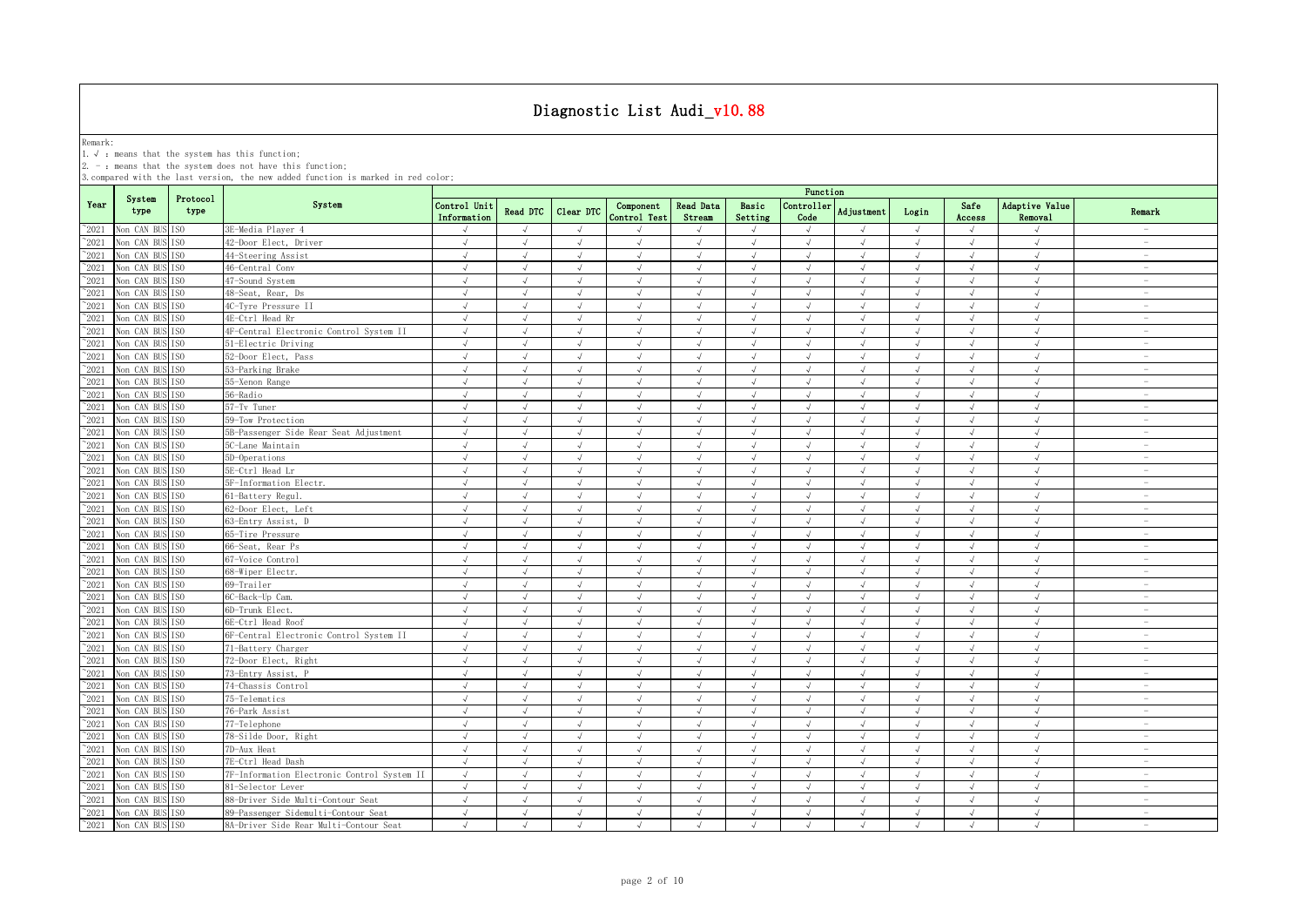Remark:<br>1.√ : means that the system has this function;<br>2. - : means that the system does not have this function;

|                |                               |                  |                                             |                             |               |            |                           |                            |                  | Function           |               |            |                |                                  |                          |
|----------------|-------------------------------|------------------|---------------------------------------------|-----------------------------|---------------|------------|---------------------------|----------------------------|------------------|--------------------|---------------|------------|----------------|----------------------------------|--------------------------|
| Year           | System<br>type                | Protocol<br>type | System                                      | Control Unit<br>Information | Read DTC      | Clear DTC  | Component<br>Control Test | <b>Read Data</b><br>Stream | Basic<br>Setting | Controller<br>Code | Adjustment    | Login      | Safe<br>Access | <b>Adaptive Value</b><br>Removal | Remark                   |
| $^{\circ}2021$ | Non CAN BUS ISO               |                  | 3E-Media Player 4                           | $\sqrt{ }$                  | $\sqrt{ }$    | $\sqrt{ }$ |                           | $\sqrt{ }$                 | $\sqrt{ }$       | $\sqrt{}$          | $\sqrt{ }$    | $\sqrt{ }$ | $\sqrt{ }$     | $\sqrt{ }$                       | $\overline{\phantom{a}}$ |
| $^{\sim}2021$  | Non CAN BUS                   | TS <sub>0</sub>  | 42-Door Elect, Driver                       | $\sqrt{ }$                  | $\sqrt{ }$    | $\sqrt{ }$ | $\sqrt{ }$                | $\sqrt{ }$                 | $\sqrt{ }$       | $\sqrt{ }$         | $\sqrt{ }$    | $\sqrt{ }$ | $\sqrt{ }$     | $\sqrt{ }$                       | $\sim$                   |
| $^{\sim}2021$  | Non CAN BUS ISO               |                  | 44-Steering Assist                          | $\sqrt{ }$                  | $\sqrt{ }$    | $\sqrt{ }$ | $\sqrt{ }$                | $\sqrt{ }$                 | $\sqrt{ }$       | $\sqrt{ }$         | $\sqrt{ }$    | $\sqrt{ }$ | $\sqrt{ }$     | $\sqrt{ }$                       | $\sim$                   |
| $^{\sim}2021$  | Non CAN BUS                   | TS <sub>0</sub>  | 46-Central Conv                             | $\sqrt{ }$                  | $\sqrt{ }$    | $\sqrt{ }$ | $\sqrt{ }$                | $\sqrt{ }$                 | $\sqrt{ }$       | $\sqrt{ }$         | $\sqrt{ }$    | $\sqrt{ }$ | $\sqrt{ }$     | $\sqrt{ }$                       | $\sim$                   |
| 2021           | Non CAN BUS ISO               |                  | 47-Sound System                             | $\sqrt{ }$                  | $\sqrt{ }$    | $\sqrt{ }$ | $\sqrt{ }$                | $\sqrt{ }$                 | $\sqrt{ }$       | $\sqrt{ }$         | $\sqrt{ }$    | $\sqrt{ }$ | $\sqrt{ }$     | $\sqrt{ }$                       | $\sim$                   |
| 2021           | Non CAN BUS                   | TS <sub>0</sub>  | 48-Seat, Rear, Ds                           | $\sqrt{ }$                  | $\sqrt{ }$    | $\sqrt{ }$ | $\sqrt{ }$                | $\sqrt{ }$                 | $\sqrt{ }$       | $\sqrt{ }$         | $\sqrt{ }$    | $\sqrt{ }$ | $\sqrt{ }$     | $\sqrt{ }$                       | $\overline{\phantom{a}}$ |
| $^{\circ}2021$ | Non CAN BUS ISO               |                  | 4C-Tyre Pressure II                         | J                           |               | $\sqrt{ }$ | $\mathcal{L}$             |                            | $\mathcal{L}$    | $\sqrt{ }$         |               | $\sqrt{ }$ | $\sqrt{ }$     | $\sqrt{ }$                       | $\overline{\phantom{m}}$ |
| 2021           | Non CAN BUS ISO               |                  | 4E-Ctrl Head Rr                             | J                           |               | $\sqrt{ }$ | $\sqrt{ }$                |                            | $\sqrt{ }$       | $\sqrt{ }$         |               | $\sqrt{ }$ |                | $\sqrt{ }$                       | $\overline{\phantom{a}}$ |
| 2021           | Non CAN BUS                   | IS <sub>0</sub>  | 4F-Central Electronic Control System II     | $\sqrt{ }$                  |               | $\sqrt{ }$ | $\sqrt{ }$                |                            | $\sqrt{ }$       | $\sqrt{ }$         |               | $\sqrt{ }$ | $\sqrt{ }$     | $\sqrt{ }$                       | $\overline{\phantom{0}}$ |
| $^{\sim}$ 2021 | Non CAN BUS                   | IS <sub>0</sub>  | 51-Electric Driving                         | $\sqrt{ }$                  |               | $\sqrt{ }$ |                           |                            | J                | $\sqrt{ }$         |               | $\sqrt{ }$ | $\sqrt{ }$     | $\sqrt{ }$                       | $\overline{\phantom{a}}$ |
| $^{\sim}$ 2021 | Non CAN BUS ISO               |                  | 52-Door Elect, Pass                         | $\sqrt{ }$                  | $\sqrt{ }$    | $\sqrt{ }$ | $\sqrt{ }$                | $\sqrt{ }$                 | $\sqrt{ }$       | $\sqrt{ }$         | $\sqrt{ }$    | $\sqrt{ }$ | $\sqrt{ }$     | $\sqrt{ }$                       | $\overline{\phantom{a}}$ |
| $^{\sim}$ 2021 | Non CAN BUS ISO               |                  | 53-Parking Brake                            | $\sqrt{ }$                  | $\sqrt{ }$    | $\sqrt{ }$ | $\sqrt{ }$                | $\sqrt{ }$                 | $\sqrt{ }$       | $\sqrt{ }$         | $\sqrt{ }$    | $\sqrt{ }$ | $\sqrt{ }$     | $\sqrt{ }$                       | $\sim$                   |
| $^{\sim}$ 2021 | Non CAN BUS                   | TS <sub>0</sub>  | 55-Xenon Range                              | $\sqrt{ }$                  | $\sqrt{ }$    | $\sqrt{ }$ | $\sqrt{ }$                | $\sqrt{ }$                 | $\sqrt{ }$       | $\sqrt{ }$         | $\sqrt{ }$    | $\sqrt{ }$ | $\sqrt{ }$     | $\sqrt{ }$                       | $\sim$                   |
| $^{\sim}$ 2021 | Non CAN BUS ISO               |                  | 56-Radio                                    | $\sqrt{ }$                  | $\sqrt{ }$    | $\sqrt{ }$ | $\sqrt{ }$                | $\sqrt{ }$                 | $\sqrt{ }$       | $\sqrt{ }$         | $\sqrt{ }$    | $\sqrt{ }$ | $\sqrt{ }$     | $\sqrt{ }$                       | $\overline{\phantom{a}}$ |
| $^{\sim}$ 2021 | Non CAN BUS ISO               |                  | 57-Tv Tuner                                 | $\sqrt{ }$                  | $\sqrt{ }$    | $\sqrt{ }$ | $\sqrt{ }$                | $\sqrt{ }$                 | $\sqrt{ }$       | $\sqrt{ }$         | $\sqrt{ }$    | $\sqrt{ }$ | $\sqrt{ }$     | $\sqrt{ }$                       | $\sim$                   |
| $^{\sim}2021$  | Non CAN BUS ISO               |                  | 59-Tow Protection                           | $\sqrt{ }$                  | $\sqrt{ }$    | $\sqrt{ }$ | $\sqrt{ }$                | $\sqrt{ }$                 | $\sqrt{ }$       | $\sqrt{ }$         | $\sqrt{ }$    | $\sqrt{ }$ | $\sqrt{ }$     | $\sqrt{ }$                       | $\overline{\phantom{a}}$ |
| $^{\sim}$ 2021 | Non CAN BUS ISO               |                  | 5B-Passenger Side Rear Seat Adjustment      | $\sqrt{ }$                  | $\sqrt{ }$    | $\sqrt{ }$ | $\sqrt{ }$                | $\sqrt{ }$                 | $\sqrt{ }$       | $\sqrt{ }$         | $\sqrt{ }$    | $\sqrt{ }$ | $\sqrt{ }$     | $\sqrt{ }$                       | $\sim$                   |
| $^{\sim}$ 2021 | Non CAN BUS ISO               |                  | 5C-Lane Maintain                            | $\sqrt{}$                   | $\sqrt{ }$    | $\sqrt{ }$ | $\sqrt{ }$                | $\sqrt{ }$                 | $\sqrt{ }$       | $\sqrt{}$          | $\sqrt{ }$    | $\sqrt{ }$ | $\sqrt{}$      | $\sqrt{ }$                       | $\sim$                   |
| $^{\sim}$ 2021 | Non CAN BUS                   | TS <sub>0</sub>  | 5D-Operations                               | $\sqrt{ }$                  | $\sqrt{ }$    | $\sqrt{ }$ | $\sqrt{ }$                | $\sqrt{ }$                 | $\sqrt{ }$       | $\sqrt{ }$         | $\sqrt{ }$    | $\sqrt{ }$ | $\sqrt{ }$     | $\sqrt{ }$                       | $\overline{\phantom{a}}$ |
| $\degree$ 2021 | Non CAN BUS ISO               |                  | 5E-Ctrl Head Lr                             | $\sqrt{ }$                  |               | $\sqrt{ }$ |                           |                            |                  | $\sqrt{ }$         |               | J          | $\sqrt{ }$     | $\sqrt{ }$                       | $\sim$                   |
| $^{\sim}2021$  | Non CAN BUS                   | TSO              | 5F-Information Electr.                      | $\sqrt{ }$                  | $\sqrt{ }$    | $\sqrt{ }$ |                           | J                          | $\sqrt{ }$       | $\sqrt{ }$         | $\sqrt{ }$    | $\sqrt{ }$ | $\sqrt{ }$     | $\sqrt{ }$                       | $\sim$                   |
| 2021           | Non CAN BUS                   | TS <sub>0</sub>  | 61-Battery Regul                            | $\sqrt{ }$                  | $\mathcal{L}$ | $\sqrt{ }$ | $\mathcal{L}$             | $\sqrt{ }$                 | $\mathcal{A}$    | $\sqrt{ }$         | $\sqrt{ }$    | J          | $\sqrt{ }$     | $\sqrt{ }$                       | $\sim$                   |
| 2021           | Non CAN BUS                   | TS <sub>0</sub>  | 62-Door Elect, Left                         | $\sqrt{ }$                  | $\sqrt{ }$    | $\sqrt{ }$ | $\sqrt{ }$                | $\sqrt{ }$                 | $\sqrt{ }$       | $\sqrt{ }$         |               | $\sqrt{ }$ | $\sqrt{ }$     | $\sqrt{ }$                       | $\overline{\phantom{a}}$ |
| 2021           | Non CAN BUS ISO               |                  | 63-Entry Assist, D                          | $\sqrt{ }$                  | $\sqrt{ }$    | $\sqrt{ }$ | $\sqrt{ }$                | $\sqrt{ }$                 | $\sqrt{ }$       | $\sqrt{ }$         | $\sqrt{ }$    | $\sqrt{ }$ | $\sqrt{ }$     | $\sqrt{ }$                       | $\overline{\phantom{a}}$ |
| $^{\sim}$ 2021 | Non CAN BUS ISO               |                  | 65-Tire Pressure                            | $\sqrt{ }$                  | $\mathcal{A}$ | $\sqrt{ }$ | $\sqrt{ }$                | $\sqrt{ }$                 | $\sqrt{ }$       | $\sqrt{ }$         | $\sqrt{ }$    | $\sqrt{ }$ | $\sqrt{ }$     | $\sqrt{ }$                       | $\overline{\phantom{m}}$ |
| $^{\sim}$ 2021 | Non CAN BUS                   | TS <sub>0</sub>  | 66-Seat, Rear Ps                            | $\sqrt{ }$                  | $\sqrt{ }$    | $\sqrt{ }$ | $\sqrt{ }$                | $\sqrt{ }$                 | $\sqrt{ }$       | $\sqrt{ }$         | $\sqrt{ }$    | $\sqrt{ }$ | $\sqrt{ }$     | $\sqrt{ }$                       | $\overline{\phantom{a}}$ |
| $^{\sim}$ 2021 | Non CAN BUS                   | IS <sub>0</sub>  | 67-Voice Control                            | $\sqrt{ }$                  | $\sqrt{ }$    | $\sqrt{ }$ | $\sqrt{ }$                | $\sqrt{ }$                 | $\sqrt{ }$       | $\sqrt{ }$         | $\sqrt{ }$    | $\sqrt{ }$ | $\sqrt{ }$     | $\sqrt{ }$                       | $\overline{\phantom{a}}$ |
| $^{\sim}$ 2021 | Non CAN BUS                   | ISO              | 68-Wiper Electr.                            | $\sqrt{ }$                  | $\sqrt{ }$    | $\sqrt{ }$ | $\sqrt{ }$                | $\sqrt{ }$                 | $\sqrt{ }$       | $\sqrt{ }$         | $\sqrt{ }$    | $\sqrt{ }$ | $\sqrt{ }$     | $\sqrt{ }$                       | $\overline{\phantom{a}}$ |
| $^{\sim}$ 2021 | Non CAN BUS                   | IS <sub>0</sub>  | 69-Trailer                                  | $\sqrt{ }$                  | $\sqrt{ }$    | $\sqrt{ }$ | $\sqrt{ }$                | $\sqrt{ }$                 | $\sqrt{ }$       | $\sqrt{ }$         | $\sqrt{ }$    | $\sqrt{ }$ | $\sqrt{ }$     | $\sqrt{ }$                       | $\overline{\phantom{a}}$ |
| $\degree$ 2021 | Non CAN BUS ISO               |                  | 6C-Back-Up Cam.                             | $\sqrt{ }$                  | $\sqrt{ }$    | $\sqrt{ }$ | $\sqrt{ }$                | $\sqrt{ }$                 | $\sqrt{ }$       | $\sqrt{ }$         | $\sqrt{ }$    | $\sqrt{ }$ | $\sqrt{ }$     | $\sqrt{ }$                       | $\overline{\phantom{a}}$ |
| $^{\sim}2021$  | Non CAN BUS ISO               |                  | 6D-Trunk Elect.                             | $\sqrt{ }$                  | $\sqrt{ }$    | $\sqrt{ }$ | $\sqrt{ }$                | $\sqrt{ }$                 | $\sqrt{ }$       | $\sqrt{}$          | $\sqrt{ }$    | $\sqrt{ }$ | $\sqrt{}$      | $\sqrt{}$                        | $\overline{\phantom{a}}$ |
| $^{\sim}2021$  | Non CAN BUS                   | TS <sub>0</sub>  | 6E-Ctrl Head Roof                           | $\sqrt{ }$                  | $\sqrt{ }$    | $\sqrt{ }$ | $\sqrt{ }$                | $\sqrt{ }$                 | $\sqrt{ }$       | $\sqrt{ }$         | $\sqrt{ }$    | $\sqrt{ }$ | $\sqrt{ }$     | $\sqrt{ }$                       | $\sim$                   |
| $^{\sim}$ 2021 | Non CAN BUS ISO               |                  | 6F-Central Electronic Control System II     | $\sqrt{ }$                  | $\sqrt{ }$    | $\sqrt{ }$ | $\sqrt{ }$                | $\sqrt{ }$                 | $\sqrt{ }$       | $\sqrt{ }$         | $\sqrt{ }$    | $\sqrt{ }$ | $\sqrt{ }$     | $\sqrt{ }$                       | $\overline{\phantom{a}}$ |
| $^{\sim}2021$  | Non CAN BUS ISO               |                  | 71-Battery Charger                          | $\sqrt{ }$                  | $\sqrt{ }$    | $\sqrt{ }$ | $\sqrt{ }$                | $\sqrt{ }$                 | $\sqrt{ }$       | $\sqrt{ }$         | $\sqrt{ }$    | $\sqrt{ }$ | $\sqrt{ }$     | $\sqrt{ }$                       | $\sim$                   |
| $^{\sim}2021$  | Non CAN BUS ISO               |                  | 72-Door Elect, Right                        | $\sqrt{ }$                  | $\sqrt{ }$    | $\sqrt{ }$ | $\sqrt{ }$                | $\sqrt{ }$                 | $\sqrt{ }$       | $\sqrt{ }$         | $\sqrt{ }$    | $\sqrt{ }$ | $\sqrt{ }$     | $\sqrt{ }$                       | $\sim$                   |
| $^{\sim}2021$  | Non CAN BUS ISO               |                  | 73-Entry Assist, P                          | $\sqrt{ }$                  | $\sqrt{ }$    | $\sqrt{ }$ | $\sqrt{ }$                | $\sqrt{ }$                 | $\sqrt{ }$       | $\sqrt{ }$         | $\sqrt{ }$    | $\sqrt{ }$ | $\sqrt{ }$     | $\sqrt{ }$                       | $\overline{\phantom{a}}$ |
| $^{\circ}2021$ | Non CAN BUS ISO               |                  | 74-Chassis Control                          | $\sqrt{ }$                  | $\sqrt{ }$    | $\sqrt{ }$ | $\sqrt{ }$                | $\sqrt{ }$                 | $\sqrt{ }$       | $\sqrt{ }$         | $\sqrt{ }$    | $\sqrt{}$  | $\sqrt{ }$     | $\sqrt{ }$                       | $\overline{\phantom{m}}$ |
| $^{\sim}2021$  | Non CAN BUS ISO               |                  | 75-Telematics                               | $\sqrt{ }$                  |               |            |                           |                            | J                | $\sqrt{ }$         |               | $\sqrt{ }$ |                | $\sqrt{ }$                       | $\overline{\phantom{a}}$ |
| 2021           | Non CAN BUS ISO               |                  | 76-Park Assist                              | $\sqrt{ }$                  |               | $\sqrt{ }$ |                           |                            | $\mathcal{A}$    | $\sqrt{ }$         |               | $\sqrt{ }$ | J              | $\mathcal{N}$                    | $\overline{\phantom{a}}$ |
| $^{\sim}$ 2021 | Non CAN BUS ISO               |                  | 77-Telephone                                | $\sqrt{ }$                  |               | $\sqrt{ }$ |                           |                            | J                | $\sqrt{ }$         |               | $\sqrt{ }$ | $\sqrt{ }$     | $\sqrt{ }$                       | $\overline{\phantom{a}}$ |
| $^{\sim}$ 2021 | Non CAN BUS                   | IS <sub>0</sub>  | 78-Silde Door, Right                        | $\sqrt{ }$                  | $\sqrt{ }$    | $\sqrt{ }$ | $\sqrt{ }$                | $\sqrt{ }$                 | $\sqrt{ }$       | $\sqrt{ }$         | $\sqrt{ }$    | $\sqrt{ }$ | $\sqrt{ }$     | $\sqrt{ }$                       | $\overline{\phantom{a}}$ |
| $^{\sim}$ 2021 | Non CAN BUS ISO               |                  | 7D-Aux Heat                                 | $\sqrt{ }$                  | $\sqrt{ }$    | $\sqrt{ }$ | $\sqrt{ }$                | $\sqrt{ }$                 | $\sqrt{2}$       | $\sqrt{ }$         | $\lambda$     | $\sqrt{ }$ | $\sqrt{ }$     | $\sqrt{ }$                       | $\sim$                   |
| $^{\sim}$ 2021 | Non CAN BUS                   | TS <sub>0</sub>  | 7E-Ctrl Head Dash                           | $\sqrt{ }$                  | $\sqrt{ }$    | $\sqrt{ }$ | $\sqrt{ }$                | $\sqrt{ }$                 | $\sqrt{ }$       | $\sqrt{ }$         | $\sqrt{ }$    | $\sqrt{ }$ | $\sqrt{ }$     | $\sqrt{ }$                       | $\sim$                   |
| $^{\sim}$ 2021 | Non CAN BUS                   | IS <sub>0</sub>  | 7F-Information Electronic Control System II | $\sqrt{ }$                  | $\sqrt{ }$    | $\sqrt{ }$ | $\sqrt{ }$                | $\sqrt{ }$                 | $\sqrt{ }$       | $\sqrt{ }$         | $\sqrt{ }$    | $\sqrt{ }$ | $\sqrt{ }$     | $\sqrt{ }$                       | $\overline{\phantom{a}}$ |
| $^{\sim}$ 2021 | Non CAN BUS ISO               |                  | 81-Selector Lever                           | $\sqrt{ }$                  | $\sqrt{ }$    | $\sqrt{ }$ | $\sqrt{ }$                | $\sqrt{ }$                 | $\sqrt{ }$       | $\sqrt{}$          | $\sqrt{ }$    | $\sqrt{ }$ | $\sqrt{ }$     | $\sqrt{}$                        | $\overline{\phantom{a}}$ |
| $^{\sim}$ 2021 | Non CAN BUS ISO               |                  | 88-Driver Side Multi-Contour Seat           | $\sqrt{ }$                  | $\sqrt{ }$    | $\sqrt{ }$ | $\sqrt{ }$                | $\sqrt{ }$                 | $\sqrt{ }$       | $\sqrt{ }$         | $\mathcal{N}$ | $\sqrt{ }$ | $\sqrt{ }$     | $\sqrt{ }$                       | $\overline{\phantom{a}}$ |
| $^{\sim}$ 2021 | Non CAN BUS ISO               |                  | 89-Passenger Sidemulti-Contour Seat         | $\sqrt{ }$                  | $\sqrt{ }$    | $\sqrt{ }$ | $\sqrt{ }$                | $\sqrt{ }$                 | $\sqrt{ }$       | $\sqrt{ }$         | $\sqrt{ }$    | $\sqrt{ }$ | $\sqrt{ }$     | $\sqrt{ }$                       | $\overline{\phantom{a}}$ |
|                | $^{\sim}2021$ Non CAN BUS ISO |                  | 8A-Driver Side Rear Multi-Contour Seat      | $\sqrt{ }$                  | $\sqrt{ }$    | $\sqrt{ }$ | $\sqrt{ }$                | $\sqrt{ }$                 | $\sqrt{ }$       | $\sqrt{ }$         | $\sqrt{ }$    | $\sqrt{ }$ | $\sqrt{ }$     | $\sqrt{ }$                       | $\overline{\phantom{a}}$ |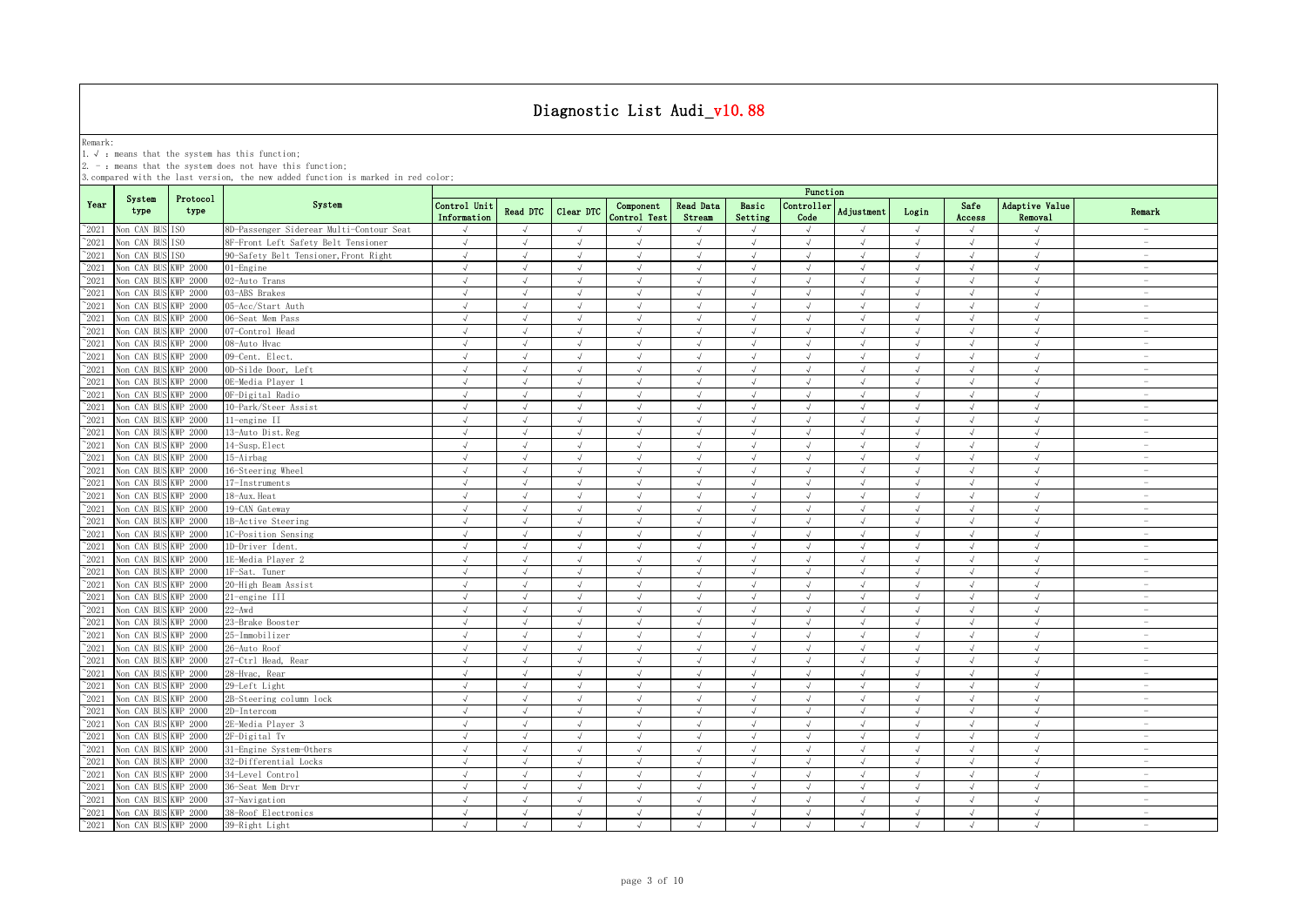Remark:<br>1.√ : means that the system has this function;<br>2. - : means that the system does not have this function;

|                |                      |                  |                                          |                             |               |            |                           |                            |                             | Function           |               |            |                |                           |                                 |
|----------------|----------------------|------------------|------------------------------------------|-----------------------------|---------------|------------|---------------------------|----------------------------|-----------------------------|--------------------|---------------|------------|----------------|---------------------------|---------------------------------|
| Year           | System<br>type       | Protocol<br>type | System                                   | Control Unit<br>Information | Read DTC      | Clear DTC  | Component<br>Control Test | <b>Read Data</b><br>Stream | Basic<br>Setting            | Controller<br>Code | Adjustment    | Login      | Safe<br>Access | Adaptive Value<br>Removal | Remark                          |
| $^{\circ}2021$ | Non CAN BUS ISO      |                  | 8D-Passenger Siderear Multi-Contour Seat | $\sqrt{}$                   | $\sqrt{ }$    | $\sqrt{ }$ |                           | $\sqrt{ }$                 | $\sqrt{ }$                  | $\sqrt{}$          | $\sqrt{ }$    | $\sqrt{ }$ | $\sqrt{ }$     | $\sqrt{ }$                | $\overline{\phantom{m}}$        |
| $^{\sim}2021$  | Non CAN BU           | ISO.             | 8F-Front Left Safety Belt Tensioner      | $\sqrt{ }$                  | $\sqrt{ }$    | $\sqrt{ }$ | $\sqrt{ }$                | $\sqrt{ }$                 | $\sqrt{ }$                  | $\sqrt{ }$         | $\sqrt{ }$    | $\sqrt{ }$ | $\sqrt{ }$     | $\sqrt{ }$                | $\sim$                          |
| $^{\sim}2021$  | Non CAN BUS          | ISO.             | 90-Safety Belt Tensioner, Front Right    | $\sqrt{ }$                  | $\sqrt{ }$    | $\sqrt{ }$ | $\sqrt{ }$                | $\sqrt{ }$                 | $\sqrt{ }$                  | $\sqrt{ }$         | $\sqrt{ }$    | $\sqrt{ }$ | $\sqrt{ }$     | $\sqrt{ }$                | $\overline{\phantom{a}}$        |
| $^{\sim}2021$  | Non CAN BUS          | KWP 2000         | $01$ -Engine                             | $\sqrt{ }$                  | $\sqrt{ }$    | $\sqrt{ }$ | $\sqrt{ }$                | $\sqrt{ }$                 | $\sqrt{ }$                  | $\sqrt{ }$         | $\sqrt{ }$    | $\sqrt{ }$ | $\sqrt{ }$     | $\sqrt{ }$                | $\sim$                          |
| 2021           | Non CAN BUS          | KWP 2000         | 02-Auto Trans                            | $\sqrt{ }$                  | $\sqrt{ }$    | $\sqrt{ }$ | $\sqrt{ }$                | $\sqrt{ }$                 | $\sqrt{ }$                  | $\sqrt{ }$         | $\sqrt{ }$    | $\sqrt{ }$ | $\sqrt{}$      | $\sqrt{ }$                | $\hspace{0.1mm}-\hspace{0.1mm}$ |
| 2021           | Non CAN BUS          | KWP 2000         | 03-ABS Brakes                            | $\sqrt{ }$                  | $\sqrt{ }$    | $\sqrt{ }$ | $\sqrt{ }$                | $\sqrt{ }$                 | $\sqrt{ }$                  | $\sqrt{ }$         | $\mathcal{N}$ | $\sqrt{ }$ | $\sqrt{ }$     | $\sqrt{ }$                | $\sim$                          |
| 2021           | Non CAN BUS          | <b>KWP 2000</b>  | 05-Acc/Start Auth                        | $\sqrt{ }$                  | $\sqrt{ }$    | $\sqrt{ }$ | $\sqrt{ }$                | $\sqrt{ }$                 | $\sqrt{ }$                  | $\sqrt{ }$         | $\sqrt{ }$    | $\sqrt{ }$ | $\sqrt{}$      | $\sqrt{ }$                | $\overline{\phantom{a}}$        |
| 2021           | Non CAN BUS          | KWP 2000         | 06-Seat Mem Pass                         | $\sqrt{ }$                  | $\sqrt{ }$    | $\sqrt{ }$ | $\sqrt{ }$                | $\sqrt{ }$                 | $\sqrt{ }$                  | $\sqrt{ }$         | $\sqrt{ }$    | $\sqrt{ }$ | $\sqrt{}$      | $\sqrt{ }$                | $\overline{\phantom{a}}$        |
| 2021           | Non CAN BUS          | KWP 2000         | 07-Control Head                          | $\sqrt{ }$                  |               | $\sqrt{ }$ | $\sqrt{ }$                | $\sqrt{ }$                 | $\sqrt{ }$                  | $\sqrt{ }$         | $\sqrt{ }$    | $\sqrt{ }$ | $\sqrt{ }$     | $\sqrt{ }$                | $\overline{\phantom{0}}$        |
| $^{\sim}$ 2021 | Non CAN BUS          | <b>KWP 2000</b>  | 08-Auto Hvac                             | $\sqrt{ }$                  |               | $\sqrt{ }$ |                           |                            |                             | $\sqrt{ }$         |               | J          | $\sqrt{ }$     | $\sqrt{ }$                | $\overline{\phantom{a}}$        |
| $^{\sim}2021$  | Non CAN BUS          | <b>KWP 2000</b>  | 09-Cent. Elect.                          | $\sqrt{ }$                  | $\sqrt{ }$    | $\sqrt{ }$ | $\sqrt{ }$                | $\sqrt{ }$                 | $\sqrt{ }$                  | $\sqrt{ }$         | $\sqrt{ }$    | $\sqrt{ }$ | $\sqrt{ }$     | $\sqrt{ }$                | $\overline{\phantom{0}}$        |
| $^{\sim}$ 2021 | Non CAN BUS          | KWP 2000         | OD-Silde Door, Left                      | $\sqrt{ }$                  | $\sqrt{ }$    | $\sqrt{ }$ | $\sqrt{ }$                | $\sqrt{ }$                 | $\sqrt{ }$                  | $\sqrt{ }$         | $\sqrt{ }$    | $\sqrt{ }$ | $\sqrt{ }$     | $\sqrt{ }$                | $\sim$                          |
| $^{\sim}$ 2021 | Non CAN BUS          | <b>KWP 2000</b>  | OE-Media Plaver 1                        | $\sqrt{ }$                  | $\sqrt{ }$    | $\sqrt{ }$ | $\sqrt{ }$                | $\sqrt{ }$                 | $\sqrt{ }$                  | $\sqrt{ }$         | $\sqrt{ }$    | $\sqrt{ }$ | $\sqrt{ }$     | $\sqrt{ }$                | $\sim$                          |
| $^{\sim}$ 2021 | Non CAN BUS          | <b>KWP 2000</b>  | OF-Digital Radio                         | $\sqrt{ }$                  | $\sqrt{ }$    | $\sqrt{ }$ | $\sqrt{ }$                | $\sqrt{ }$                 | $\sqrt{ }$                  | $\sqrt{ }$         | $\sqrt{ }$    | $\sqrt{ }$ | $\sqrt{ }$     | $\sqrt{ }$                | $\overline{\phantom{a}}$        |
| $\degree$ 2021 | Non CAN BUS          | <b>KWP 2000</b>  | 10-Park/Steer Assist                     | $\sqrt{ }$                  | $\sqrt{ }$    | $\sqrt{ }$ | $\sqrt{ }$                | $\sqrt{ }$                 | $\sqrt{ }$                  | $\sqrt{ }$         | $\sqrt{ }$    | $\sqrt{ }$ | $\sqrt{ }$     | $\sqrt{ }$                | $\overline{\phantom{a}}$        |
| $^{\sim}2021$  | Non CAN BUS          | <b>KWP 2000</b>  | 11-engine II                             | $\sqrt{ }$                  | $\sqrt{ }$    | $\sqrt{ }$ | $\sqrt{ }$                | $\sqrt{ }$                 | $\sqrt{ }$                  | $\sqrt{ }$         | $\sqrt{ }$    | $\sqrt{ }$ | $\sqrt{ }$     | $\sqrt{ }$                | $\sim$                          |
| $\degree$ 2021 | Non CAN BUS          | KWP 2000         | 13-Auto Dist. Reg                        | $\sqrt{ }$                  | $\sqrt{ }$    | $\sqrt{ }$ | $\sqrt{ }$                | $\sqrt{ }$                 | $\sqrt{ }$                  | $\sqrt{ }$         | $\lambda$     | $\sqrt{ }$ | $\sqrt{ }$     | $\sqrt{ }$                | $\sim$                          |
| $^{\sim}2021$  | Non CAN BUS          | <b>KWP 2000</b>  | 14-Susp. Elect                           | $\sqrt{ }$                  | $\sqrt{ }$    | $\sqrt{ }$ | $\sqrt{ }$                | $\sqrt{ }$                 | $\sqrt{ }$                  | $\sqrt{}$          | $\sqrt{ }$    | $\sqrt{ }$ | $\sqrt{ }$     | $\sqrt{}$                 | $\overline{\phantom{a}}$        |
| $^{\sim}2021$  | Non CAN BUS          | KWP 2000         | $15$ -Airbag                             | $\sqrt{ }$                  | $\sqrt{ }$    | $\sqrt{ }$ | $\sqrt{ }$                | $\sqrt{ }$                 | $\sqrt{ }$                  | $\sqrt{ }$         | $\sqrt{ }$    | $\sqrt{ }$ | $\sqrt{ }$     | $\sqrt{ }$                | $\overline{\phantom{m}}$        |
| $^{\sim}2021$  | Non CAN BUS          | KWP 2000         | 16-Steering Wheel                        | $\sqrt{ }$                  | $\sqrt{ }$    | $\sqrt{ }$ | $\sqrt{ }$                | $\sqrt{ }$                 | $\sqrt{ }$                  | $\sqrt{ }$         | $\sqrt{ }$    | $\sqrt{ }$ | $\sqrt{ }$     | $\sqrt{ }$                | $\hspace{0.1mm}-\hspace{0.1mm}$ |
| $^{\sim}2021$  | Non CAN BUS          | KWP 2000         | 17-Instruments                           | $\sqrt{ }$                  | $\sqrt{ }$    | $\sqrt{ }$ | $\sqrt{ }$                | $\sqrt{ }$                 | $\sqrt{ }$                  | $\sqrt{ }$         | $\sqrt{ }$    | $\sqrt{ }$ | $\sqrt{ }$     | $\sqrt{ }$                | $\sim$                          |
| $^{\sim}2021$  | Non CAN BUS          | KWP 2000         | 18-Aux. Heat                             | $\sqrt{ }$                  | $\sqrt{ }$    | $\sqrt{ }$ |                           |                            | $\sqrt{ }$                  | $\sqrt{ }$         | $\sqrt{ }$    | J          | $\sqrt{}$      | $\sqrt{ }$                | $\overline{\phantom{a}}$        |
| 2021           | Non CAN BUS          | KWP 2000         | 19-CAN Gateway                           | $\sqrt{ }$                  | $\sqrt{ }$    | $\sqrt{ }$ | $\sqrt{ }$                | $\sqrt{ }$                 | $\sqrt{ }$                  | $\sqrt{ }$         | $\sqrt{ }$    | $\sqrt{ }$ | $\sqrt{}$      | $\sqrt{ }$                | $\sim$                          |
| 2021           | Non CAN BUS          | <b>KWP 2000</b>  | 1B-Active Steering                       | $\sqrt{ }$                  | $\mathcal{A}$ | $\sqrt{ }$ |                           |                            | $\mathcal{N}_{\mathcal{N}}$ | $\sqrt{ }$         |               | $\sqrt{ }$ | J              | $\mathcal{N}$             | $\overline{\phantom{a}}$        |
| $^{\sim}2021$  | Non CAN BUS          | KWP 2000         | 1C-Position Sensing                      | $\sqrt{ }$                  |               | $\sqrt{ }$ |                           |                            |                             | $\sqrt{ }$         |               | $\sqrt{ }$ |                | $\sqrt{ }$                | $\overline{\phantom{a}}$        |
| 2021           | Non CAN BUS          | KWP 2000         | 1D-Driver Ident.                         | $\sqrt{ }$                  | $\mathcal{A}$ | $\sqrt{ }$ | $\sqrt{ }$                | $\sqrt{ }$                 | J                           | $\sqrt{ }$         |               | $\sqrt{ }$ | $\sqrt{ }$     | $\sqrt{ }$                | $\overline{\phantom{0}}$        |
| $^{\sim}$ 2021 | Non CAN BUS          | KWP 2000         | 1E-Media Player 2                        | $\sqrt{ }$                  | $\sqrt{ }$    | $\sqrt{ }$ | $\sqrt{ }$                | $\sqrt{ }$                 | $\sqrt{ }$                  | $\sqrt{ }$         | $\sqrt{ }$    | $\sqrt{ }$ | $\sqrt{ }$     | $\sqrt{ }$                | $\sim$                          |
| $^{\sim}$ 2021 | Non CAN BUS          | <b>KWP 2000</b>  | 1F-Sat. Tuner                            | $\sqrt{ }$                  | $\sqrt{ }$    | $\sqrt{ }$ | $\sqrt{ }$                | $\sqrt{ }$                 | $\sqrt{ }$                  | $\sqrt{ }$         | $\sqrt{ }$    | $\sqrt{ }$ | $\sqrt{ }$     | $\sqrt{ }$                | $\sim$                          |
| $^{\sim}$ 2021 | Non CAN BUS          | KWP 2000         | 20-High Beam Assist                      | $\sqrt{ }$                  | $\sqrt{ }$    | $\sqrt{ }$ | $\sqrt{ }$                | $\sqrt{ }$                 | $\sqrt{ }$                  | $\sqrt{ }$         | $\sqrt{ }$    | $\sqrt{ }$ | $\sqrt{ }$     | $\sqrt{ }$                | $\overline{\phantom{a}}$        |
| $^{\sim}$ 2021 | Non CAN BUS          | <b>KWP 2000</b>  | 21-engine III                            | $\sqrt{ }$                  | $\sqrt{ }$    | $\sqrt{ }$ | $\sqrt{ }$                | $\sqrt{ }$                 | $\sqrt{ }$                  | $\sqrt{ }$         | $\sqrt{ }$    | $\sqrt{ }$ | $\sqrt{ }$     | $\sqrt{ }$                | $\sim$                          |
| $\degree$ 2021 | Non CAN BUS          | <b>KWP 2000</b>  | $22 - Awd$                               | $\sqrt{ }$                  | $\sqrt{ }$    | $\sqrt{ }$ | $\sqrt{ }$                | $\sqrt{ }$                 | $\sqrt{ }$                  | $\sqrt{ }$         | $\mathcal{N}$ | $\sqrt{ }$ | $\sqrt{ }$     | $\sqrt{ }$                | $\overline{\phantom{a}}$        |
| $\degree$ 2021 | Non CAN BUS          | <b>KWP 2000</b>  | 23-Brake Booster                         | $\sqrt{ }$                  | $\sqrt{ }$    | $\sqrt{ }$ | $\sqrt{ }$                | $\sqrt{ }$                 | $\sqrt{ }$                  | $\sqrt{ }$         | $\sqrt{ }$    | $\sqrt{ }$ | $\sqrt{ }$     | $\sqrt{ }$                | $\overline{\phantom{a}}$        |
| $^{\circ}2021$ | Non CAN BUS          | KWP 2000         | 25-Immobilizer                           | $\sqrt{ }$                  | $\sqrt{ }$    | $\sqrt{ }$ | $\sqrt{ }$                | $\sqrt{ }$                 | $\sqrt{ }$                  | $\sqrt{ }$         | $\sqrt{ }$    | $\sqrt{ }$ | $\sqrt{ }$     | $\sqrt{ }$                | $\overline{\phantom{a}}$        |
| $^{\sim}2021$  | Non CAN BUS          | KWP 2000         | 26-Auto Roof                             | $\sqrt{ }$                  | $\sqrt{ }$    | $\sqrt{ }$ | $\sqrt{ }$                | $\sqrt{ }$                 | $\sqrt{ }$                  | $\sqrt{ }$         | $\sqrt{ }$    | $\sqrt{ }$ | $\sqrt{ }$     | $\sqrt{ }$                | $\overline{\phantom{a}}$        |
| $^{\sim}2021$  | Non CAN BU           | WP 2000          | 27-Ctrl Head, Rear                       | $\sqrt{ }$                  | $\mathcal{A}$ | $\sqrt{ }$ | $\sqrt{ }$                | $\sqrt{ }$                 | $\mathcal{A}$               | $\sqrt{ }$         | $\mathcal{N}$ | $\sqrt{ }$ | $\sqrt{ }$     | $\sqrt{ }$                | $\sim$                          |
| $^{\sim}2021$  | Non CAN BUS          | WP 2000          | 28-Hvac, Rear                            | $\sqrt{ }$                  | $\sqrt{ }$    | $\sqrt{ }$ | $\sqrt{ }$                | $\sqrt{ }$                 | $\sqrt{ }$                  | $\sqrt{ }$         | $\sqrt{ }$    | $\sqrt{ }$ | $\sqrt{ }$     | $\sqrt{ }$                | $\sim$                          |
| $^{\sim}2021$  | Non CAN BUS          | <b>KWP 2000</b>  | 29-Left Light                            | $\sqrt{ }$                  | $\sqrt{ }$    | $\sqrt{ }$ | $\sqrt{ }$                | $\sqrt{ }$                 | $\sqrt{ }$                  | $\sqrt{ }$         | $\sqrt{ }$    | $\sqrt{ }$ | $\sqrt{ }$     | $\sqrt{ }$                | $\sim$                          |
| 2021           | Non CAN BUS          | KWP 2000         | 2B-Steering column lock                  | $\sqrt{ }$                  | $\sqrt{ }$    | $\sqrt{ }$ | $\sqrt{ }$                | $\sqrt{ }$                 | $\sqrt{ }$                  | $\sqrt{ }$         | $\sqrt{ }$    | $\sqrt{ }$ | $\sqrt{ }$     | $\sqrt{ }$                | $\sim$                          |
| 2021           | Non CAN BUS          | WP 2000          | 2D-Intercom                              | $\sqrt{ }$                  | $\mathcal{A}$ | $\sqrt{ }$ | $\sqrt{ }$                | $\sqrt{ }$                 | $\mathcal{N}_{\mathcal{N}}$ | $\sqrt{ }$         | $\sqrt{ }$    | $\sqrt{ }$ | $\sqrt{ }$     | $\sqrt{ }$                | $\overline{\phantom{m}}$        |
| 2021           | Non CAN BUS          | (WP 2000         | 2E-Media Player 3                        | $\sqrt{ }$                  | $\sqrt{ }$    | $\sqrt{ }$ | $\sqrt{ }$                | $\sqrt{ }$                 | $\sqrt{ }$                  | $\sqrt{ }$         | $\mathcal{L}$ | $\sqrt{ }$ | $\sqrt{}$      | $\sqrt{ }$                | $\overline{\phantom{a}}$        |
| 2021           | Non CAN BUS          | KWP 2000         | 2F-Digital Tv                            | $\sqrt{ }$                  |               | $\sqrt{ }$ | $\sqrt{ }$                | $\sqrt{ }$                 | $\sqrt{ }$                  | $\sqrt{ }$         | $\sqrt{ }$    | $\sqrt{ }$ | $\sqrt{ }$     | $\sqrt{ }$                | $\overline{\phantom{a}}$        |
| $^{\sim}$ 2021 | Non CAN BUS          | WP 2000          | 31-Engine System-Others                  | $\sqrt{ }$                  | $\sqrt{ }$    | $\sqrt{ }$ | $\sqrt{ }$                | $\sqrt{ }$                 | $\sqrt{ }$                  | $\sqrt{ }$         | $\mathcal{N}$ | $\sqrt{ }$ | $\sqrt{ }$     | $\sqrt{ }$                | $\overline{\phantom{0}}$        |
| $^{\sim}2021$  | Non CAN BUS          | KWP 2000         | 32-Differential Locks                    | $\sqrt{ }$                  | $\sqrt{ }$    | $\sqrt{ }$ | $\sqrt{ }$                | $\sqrt{ }$                 | $\sqrt{ }$                  | $\sqrt{ }$         | $\sqrt{ }$    | $\sqrt{ }$ | $\sqrt{ }$     | $\sqrt{ }$                | $\sim$                          |
| $^{\sim}$ 2021 | Non CAN BUS          | KWP 2000         | 34-Level Control                         | $\sqrt{ }$                  | $\sqrt{ }$    | $\sqrt{ }$ | $\sqrt{ }$                | $\sqrt{ }$                 | $\sqrt{ }$                  | $\sqrt{ }$         | $\sqrt{ }$    | $\sqrt{ }$ | $\sqrt{ }$     | $\sqrt{ }$                | $\overline{\phantom{a}}$        |
| $\degree$ 2021 | Non CAN BUS          | <b>KWP 2000</b>  | 36-Seat Mem Drvr                         | $\sqrt{ }$                  | $\sqrt{ }$    | $\sqrt{ }$ | $\sqrt{ }$                | $\sqrt{ }$                 | $\sqrt{ }$                  | $\sqrt{ }$         | $\sqrt{ }$    | $\sqrt{ }$ | $\sqrt{ }$     | $\sqrt{ }$                | $\sim$                          |
| $^{\sim}$ 2021 | Non CAN BU           | KWP 2000         | 37-Navigation                            | $\sqrt{ }$                  | $\sqrt{ }$    | $\sqrt{ }$ | $\sqrt{ }$                | $\sqrt{ }$                 | $\sqrt{ }$                  | $\sqrt{ }$         | $\lambda$     | $\sqrt{ }$ | $\sqrt{ }$     | $\sqrt{ }$                | $\sim$                          |
| $\degree$ 2021 | Non CAN BUS KWP 2000 |                  | 38-Roof Electronics                      | $\sqrt{ }$                  | $\sqrt{ }$    | $\sqrt{ }$ | $\sqrt{ }$                | $\sqrt{ }$                 | $\sqrt{ }$                  | $\sqrt{ }$         | $\sqrt{ }$    | $\sqrt{ }$ | $\sqrt{ }$     | $\sqrt{ }$                | $\sim$                          |
| $^{\sim}$ 2021 | Non CAN BUS KWP 2000 |                  | 39-Right Light                           | $\sqrt{ }$                  | $\mathcal{A}$ | $\sqrt{ }$ | $\sqrt{ }$                | $\sqrt{ }$                 | $\mathcal{N}_{\mathcal{N}}$ | $\mathcal{L}$      | $\sqrt{ }$    | $\sqrt{ }$ | $\sqrt{ }$     | $\sqrt{ }$                | $\sim$                          |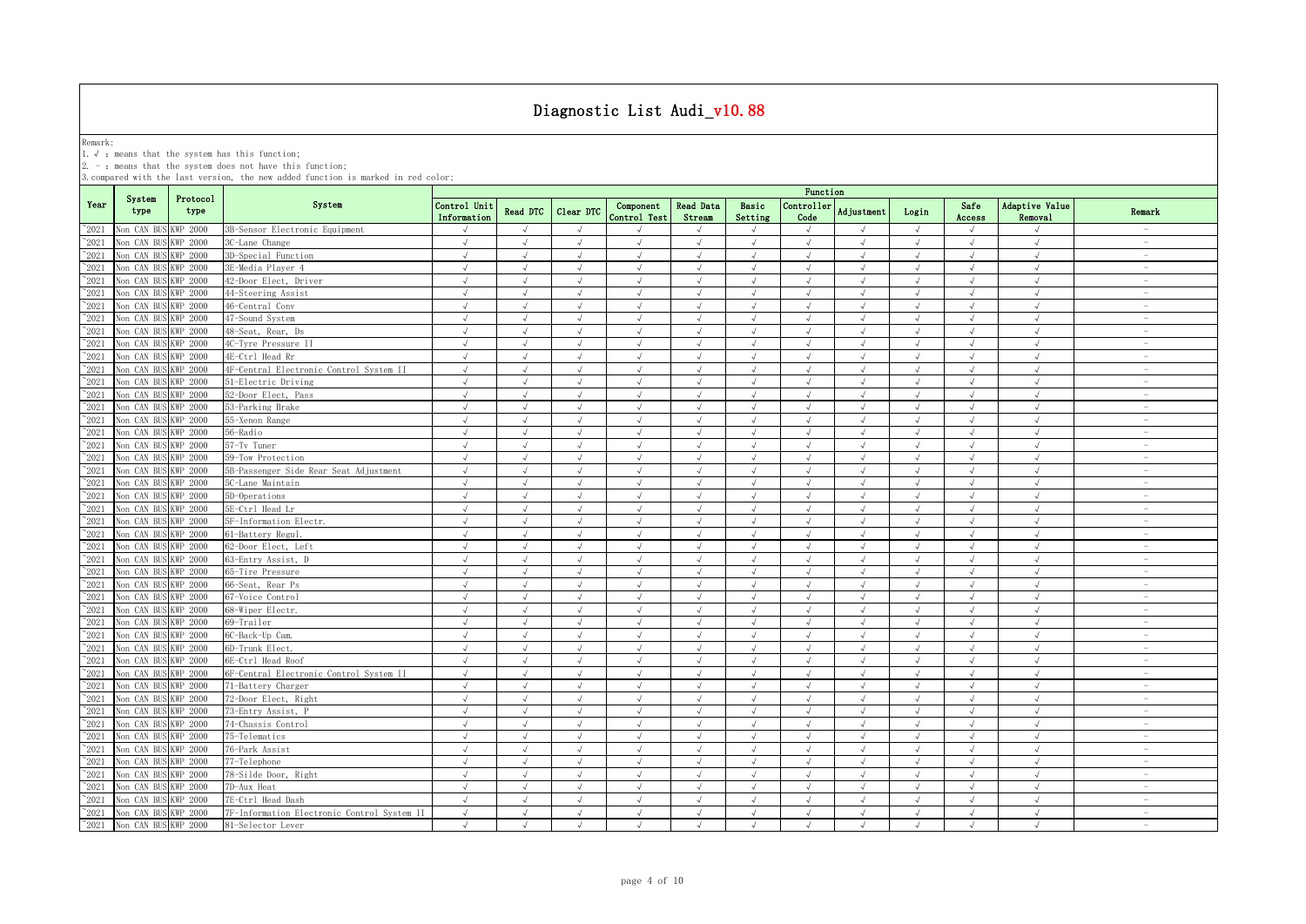Remark:<br>1.√ : means that the system has this function;<br>2. - : means that the system does not have this function;

|                |                      |                  |                                             | Function                    |               |               |                           |                     |                             |                    |                |            |                |                           |                                 |
|----------------|----------------------|------------------|---------------------------------------------|-----------------------------|---------------|---------------|---------------------------|---------------------|-----------------------------|--------------------|----------------|------------|----------------|---------------------------|---------------------------------|
| Year           | System<br>type       | Protocol<br>type | System                                      | Control Unit<br>Information | Read DTC      | Clear DTC     | Component<br>Control Test | Read Data<br>Stream | Basic<br>Setting            | Controller<br>Code | Adjustment     | Login      | Safe<br>Access | Adaptive Value<br>Removal | Remark                          |
| $^{\sim}$ 2021 | Non CAN BUS          | <b>KWP 2000</b>  | 3B-Sensor Electronic Equipment              |                             | $\mathcal{L}$ | $\sqrt{ }$    |                           |                     | $\sqrt{ }$                  |                    |                | $\sqrt{ }$ | $\sqrt{ }$     |                           | $\overline{\phantom{a}}$        |
| $\degree$ 2021 | Non CAN BUS          | <b>KWP 2000</b>  | 3C-Lane Change                              | $\sqrt{ }$                  | $\sqrt{ }$    | $\sqrt{ }$    | $\sqrt{ }$                | $\sqrt{ }$          | $\sqrt{ }$                  | $\sqrt{ }$         | $\sqrt{ }$     | $\sqrt{ }$ | $\sqrt{ }$     | $\sqrt{ }$                | $\sim$                          |
| $^{\sim}2021$  | Non CAN BU           | KWP 2000         | 3D-Special Function                         | $\sqrt{ }$                  | $\sqrt{ }$    | $\sqrt{ }$    | $\sqrt{ }$                | $\sqrt{ }$          | $\sqrt{ }$                  | $\sqrt{ }$         | $\sqrt{ }$     | $\sqrt{ }$ | $\sqrt{ }$     | $\sqrt{ }$                | $\overline{\phantom{a}}$        |
| $^{\sim}2021$  | Non CAN BU           | WP 2000          | 3E-Media Player 4                           | $\sqrt{ }$                  | $\sqrt{ }$    | $\sqrt{ }$    | $\sqrt{ }$                | $\sqrt{ }$          | $\sqrt{ }$                  | $\sqrt{ }$         | $\sqrt{ }$     | $\sqrt{ }$ | $\sqrt{ }$     | $\sqrt{2}$                | $\sim$                          |
| $\degree$ 2021 | Non CAN BUS          | WP 2000          | 42-Door Elect, Driver                       | $\sqrt{ }$                  | $\sqrt{ }$    | $\sqrt{ }$    | $\sqrt{ }$                | $\sqrt{ }$          | $\sqrt{ }$                  | $\sqrt{ }$         | $\sqrt{ }$     | $\sqrt{ }$ | $\sqrt{ }$     | $\sqrt{ }$                | $\hspace{0.1mm}-\hspace{0.1mm}$ |
| $\degree$ 2021 | Non CAN BUS          | WP 2000          | 44-Steering Assist                          | $\sqrt{ }$                  | $\sqrt{ }$    | $\sqrt{ }$    | $\sqrt{}$                 |                     | $\sqrt{ }$                  | $\sqrt{ }$         | $\sqrt{ }$     | $\sqrt{ }$ | $\sqrt{ }$     | $\sqrt{ }$                | $\sim$                          |
| 2021           | Non CAN BUS          | WP 2000          | 46-Central Conv                             | $\sqrt{}$                   | $\sqrt{ }$    | J             | J                         |                     | $\sqrt{ }$                  | J                  | $\sqrt{ }$     | $\sqrt{ }$ | J              | J                         | $\sim$                          |
| 2021           | Non CAN BUS          | WP 2000          | 47-Sound System                             | $\sqrt{ }$                  | $\sqrt{ }$    | $\sqrt{ }$    | $\sqrt{}$                 |                     | $\sqrt{ }$                  | J                  | $\sqrt{ }$     | $\sqrt{ }$ | $\sqrt{ }$     | $\sqrt{ }$                | $\sim$                          |
| 2021           | Non CAN BUS          | KWP 2000         | 48-Seat, Rear, Ds                           | $\sqrt{ }$                  | $\sqrt{ }$    | J             | J                         |                     | $\sqrt{ }$                  | J                  | $\sqrt{ }$     | $\sqrt{ }$ | $\sqrt{}$      | $\sqrt{ }$                |                                 |
| 2021           | Non CAN BUS          | KWP 2000         | 4C-Tyre Pressure II                         | $\sqrt{ }$                  | $\sqrt{ }$    | $\sqrt{ }$    | J                         |                     | $\sqrt{ }$                  | $\sqrt{ }$         | $\sqrt{ }$     | $\sqrt{ }$ | $\sqrt{ }$     | $\sqrt{ }$                | $\overline{\phantom{m}}$        |
| 2021           | Non CAN BUS          | WP 2000          | 4E-Ctrl Head Rr                             | $\sqrt{ }$                  | $\sqrt{ }$    | $\sqrt{ }$    | $\sqrt{ }$                |                     | $\sqrt{ }$                  | $\sqrt{ }$         | $\sqrt{ }$     | $\sqrt{ }$ | $\sqrt{ }$     | $\sqrt{ }$                | $\overline{\phantom{a}}$        |
| $^{\sim}$ 2021 | Non CAN BUS          | WP 2000          | 4F-Central Electronic Control System II     | $\sqrt{ }$                  | $\sqrt{ }$    | $\sqrt{ }$    | $\sqrt{ }$                |                     | $\sqrt{ }$                  | $\sqrt{ }$         | $\sqrt{ }$     | $\sqrt{ }$ | $\sqrt{ }$     | $\sqrt{ }$                | $\overline{\phantom{a}}$        |
| $\degree$ 2021 | Non CAN BUS          | KWP 2000         | 51-Electric Driving                         | $\sqrt{ }$                  | $\sqrt{ }$    | $\sqrt{ }$    | $\sqrt{ }$                | $\sqrt{ }$          | $\sqrt{ }$                  | $\sqrt{ }$         | $\sqrt{ }$     | $\sqrt{ }$ | $\sqrt{ }$     | $\sqrt{ }$                | $\overline{\phantom{a}}$        |
| $^{\sim}$ 2021 | Non CAN BUS          | KWP 2000         | 52-Door Elect, Pass                         | $\sqrt{ }$                  | $\sqrt{ }$    | $\sqrt{ }$    | $\sqrt{ }$                | $\sqrt{ }$          | $\sqrt{ }$                  | $\sqrt{ }$         | $\sqrt{ }$     | $\sqrt{ }$ | $\sqrt{ }$     | $\sqrt{ }$                | $\sim$                          |
| $\degree$ 2021 | Non CAN BUS          | KWP 2000         | 53-Parking Brake                            | $\sqrt{ }$                  | $\sqrt{ }$    | $\sqrt{}$     | $\sqrt{ }$                | $\sqrt{ }$          | $\sqrt{ }$                  | $\sqrt{ }$         | $\sqrt{ }$     | $\sqrt{ }$ | $\sqrt{ }$     | $\sqrt{2}$                | $\overline{\phantom{a}}$        |
| $\degree$ 2021 | Non CAN BUS          | KWP 2000         | 55-Xenon Range                              | $\sqrt{ }$                  | $\sqrt{ }$    | $\sqrt{ }$    | $\sqrt{}$                 |                     | $\sqrt{ }$                  | $\sqrt{ }$         | $\sqrt{ }$     | $\sqrt{ }$ | $\sqrt{ }$     | $\sqrt{ }$                | $\sim$                          |
| $^{\sim}2021$  | Non CAN BUS          | <b>KWP 2000</b>  | 56-Radio                                    | $\sqrt{ }$                  | $\sqrt{ }$    | $\sqrt{ }$    | $\sqrt{ }$                | $\sqrt{ }$          | $\sqrt{ }$                  | $\sqrt{ }$         | $\sqrt{ }$     | $\sqrt{ }$ | $\sqrt{ }$     | $\sqrt{ }$                | $\sim$                          |
| $^{\sim}2021$  | Non CAN BUS          | KWP 2000         | 57-Tv Tuner                                 | $\sqrt{ }$                  | $\sqrt{ }$    | $\sqrt{ }$    | $\sqrt{ }$                | $\sqrt{ }$          | $\sqrt{ }$                  | $\sqrt{ }$         | $\sqrt{ }$     | $\sqrt{ }$ | $\sqrt{ }$     | $\sqrt{ }$                | $\overline{\phantom{a}}$        |
| $^{\sim}2021$  | Non CAN BUS          | KWP 2000         | 59-Tow Protection                           | $\sqrt{ }$                  | $\sqrt{ }$    | $\sqrt{ }$    | $\sqrt{ }$                | $\sqrt{ }$          | $\sqrt{ }$                  | $\sqrt{ }$         | $\sqrt{ }$     | $\sqrt{ }$ | $\sqrt{ }$     | $\sqrt{ }$                | $\sim$                          |
| $\degree$ 2021 | Non CAN BUS          | KWP 2000         | 5B-Passenger Side Rear Seat Adjustment      | $\sqrt{ }$                  | $\sqrt{ }$    | $\sqrt{ }$    | J                         |                     | $\sqrt{ }$                  | $\sqrt{ }$         | $\sqrt{ }$     | $\sqrt{ }$ | $\sqrt{ }$     | $\sqrt{ }$                | $\sim$                          |
| $^{\sim}2021$  | Non CAN BUS          | KWP 2000         | 5C-Lane Maintain                            | $\sqrt{ }$                  | $\sqrt{ }$    | $\sqrt{ }$    | $\sqrt{ }$                | $\sqrt{ }$          | $\sqrt{ }$                  | $\sqrt{ }$         | $\sqrt{ }$     | $\sqrt{ }$ | $\sqrt{ }$     | $\sqrt{ }$                | $\sim$                          |
| $^{\sim}2021$  | Non CAN BUS          | WP 2000          | 5D-Operations                               |                             | J             |               | $\sqrt{ }$                |                     |                             |                    |                |            |                |                           | $\overline{\phantom{a}}$        |
| 2021           | Non CAN BUS          | KWP 2000         | 5E-Ctrl Head Lr                             | √                           | $\sqrt{ }$    | $\sqrt{ }$    | √                         |                     | $\sqrt{ }$                  | √                  | $\sqrt{ }$     | $\sqrt{ }$ | $\sqrt{}$      | $\sqrt{ }$                | $\overline{\phantom{a}}$        |
| 2021           | Non CAN BUS          | KWP 2000         | 5F-Information Electr.                      |                             | $\sqrt{ }$    | $\mathcal{A}$ |                           |                     | $\mathcal{N}_{\mathcal{N}}$ | J                  | $\lambda$      |            |                |                           | $\overline{\phantom{a}}$        |
| $^{\sim}2021$  | Non CAN BUS          | KWP 2000         | 61-Battery Regul.                           |                             | $\sqrt{ }$    | J             | $\sqrt{}$                 |                     | $\sqrt{ }$                  | J                  | $\sqrt{ }$     | $\sqrt{ }$ |                | J                         |                                 |
| $^{\sim}$ 2021 | Non CAN BUS          | KWP 2000         | 62-Door Elect, Left                         | $\sqrt{ }$                  | $\sqrt{ }$    | $\sqrt{ }$    | $\sqrt{ }$                |                     | $\sqrt{ }$                  | $\sqrt{ }$         | $\sqrt{ }$     | $\sqrt{ }$ | $\sqrt{ }$     | $\sqrt{ }$                |                                 |
| $^{\sim}$ 2021 | Non CAN BUS          | KWP 2000         | 63-Entry Assist, D                          | $\sqrt{ }$                  | $\sqrt{ }$    | $\sqrt{ }$    | $\sqrt{ }$                | $\sqrt{ }$          | $\sqrt{ }$                  | $\sqrt{ }$         | $\sqrt{ }$     | $\sqrt{ }$ | $\sqrt{ }$     | $\sqrt{ }$                | $\sim$                          |
| $^{\sim}$ 2021 | Non CAN BUS          | KWP 2000         | 65-Tire Pressure                            | $\sqrt{ }$                  | $\sqrt{ }$    | $\sqrt{}$     | $\sqrt{}$                 | $\sqrt{ }$          | $\sqrt{ }$                  | $\sqrt{ }$         | $\sqrt{ }$     | $\sqrt{ }$ | $\sqrt{ }$     | $\sqrt{ }$                | $\sim$                          |
| $^{\sim}$ 2021 | Non CAN BUS          | KWP 2000         | 66-Seat, Rear Ps                            | $\sqrt{ }$                  | $\sqrt{ }$    | $\sqrt{ }$    | $\sqrt{}$                 |                     | $\sqrt{ }$                  | $\sqrt{ }$         | $\sqrt{ }$     | $\sqrt{ }$ | $\sqrt{ }$     | $\sqrt{ }$                | $\sim$                          |
| $\degree$ 2021 | Non CAN BUS          | KWP 2000         | 67-Voice Control                            | $\sqrt{ }$                  | $\sqrt{ }$    | $\sqrt{ }$    | $\sqrt{ }$                | $\sqrt{ }$          | $\sqrt{ }$                  | $\sqrt{ }$         | $\sqrt{ }$     | $\sqrt{ }$ | $\sqrt{ }$     | $\sqrt{ }$                | $\sim$                          |
| $\degree$ 2021 | Non CAN BUS          | KWP 2000         | 68-Wiper Electr.                            | $\sqrt{ }$                  | $\sqrt{ }$    | $\sqrt{ }$    | $\sqrt{ }$                | $\sqrt{ }$          | $\sqrt{ }$                  | $\sqrt{ }$         | $\sqrt{ }$     | $\sqrt{ }$ | $\sqrt{ }$     | $\sqrt{ }$                | $\overline{\phantom{a}}$        |
| $\degree$ 2021 | Non CAN BU           | KWP 2000         | 69-Trailer                                  | $\sqrt{ }$                  | $\sqrt{ }$    | $\sqrt{ }$    | $\sqrt{ }$                | $\sqrt{ }$          | $\sqrt{ }$                  | $\sqrt{ }$         | $\sqrt{ }$     | $\sqrt{ }$ | $\sqrt{ }$     | $\sqrt{ }$                | $\sim$                          |
| $^{\sim}2021$  | Non CAN BUS          | KWP 2000         | 6C-Back-Up Cam.                             | $\sqrt{ }$                  | $\sqrt{ }$    | $\sqrt{ }$    | $\sqrt{ }$                | $\sqrt{ }$          | $\sqrt{ }$                  | $\sqrt{ }$         | $\sqrt{ }$     | $\sqrt{ }$ | $\sqrt{ }$     | $\sqrt{ }$                | $\overline{\phantom{a}}$        |
| $^{\sim}2021$  | Non CAN BUS          | KWP 2000         | 6D-Trunk Elect.                             | $\sqrt{ }$                  | $\sqrt{ }$    | $\sqrt{ }$    | $\sqrt{ }$                | $\sqrt{ }$          | $\sqrt{ }$                  | $\sqrt{ }$         | $\sqrt{ }$     | $\sqrt{ }$ | $\sqrt{ }$     | $\sqrt{ }$                | $\overline{\phantom{a}}$        |
| $^{\sim}2021$  | Non CAN BUS          | WP 2000          | 6E-Ctrl Head Roof                           | $\sqrt{ }$                  | $\sqrt{ }$    | $\sqrt{ }$    | $\sqrt{ }$                | $\sqrt{ }$          | $\sqrt{ }$                  | $\sqrt{ }$         | $\sqrt{ }$     | $\sqrt{ }$ | $\sqrt{ }$     | $\sqrt{ }$                | $\sim$                          |
| $\degree$ 2021 | Non CAN BUS          | WP 2000          | 6F-Central Electronic Control System II     | $\sqrt{ }$                  | $\sqrt{ }$    | $\sqrt{}$     | $\sqrt{}$                 | $\sqrt{ }$          | $\sqrt{ }$                  | $\sqrt{ }$         | $\sqrt{ }$     | $\sqrt{ }$ | $\sqrt{ }$     | $\sqrt{ }$                | $\hspace{0.1mm}-\hspace{0.1mm}$ |
| 2021           | Non CAN BUS          | KWP 2000         | 71-Battery Charger                          | $\sqrt{ }$                  | $\sqrt{ }$    | $\sqrt{ }$    | $\sqrt{ }$                | $\sqrt{ }$          | $\sqrt{ }$                  | $\sqrt{ }$         | $\sqrt{ }$     | $\sqrt{ }$ | $\sqrt{}$      | $\sqrt{ }$                | $\overline{\phantom{a}}$        |
| 2021           | Non CAN BUS          | KWP 2000         | 72-Door Elect, Right                        |                             | $\sqrt{ }$    | J             | $\sqrt{ }$                |                     | $\sqrt{ }$                  | J                  | $\sqrt{ }$     | $\sqrt{ }$ | J              | J                         | $\overline{\phantom{a}}$        |
| 2021           | Non CAN BUS          | KWP 2000         | 73-Entry Assist, I                          |                             |               | $\sqrt{ }$    |                           |                     | J                           | J                  | $\overline{u}$ |            |                |                           | $\overline{\phantom{a}}$        |
| $^{\sim}$ 2021 | Non CAN BUS          | KWP 2000         | 74-Chassis Control                          | J                           | $\sqrt{ }$    | J             | J                         |                     | $\sqrt{ }$                  | J                  |                | $\sqrt{ }$ |                |                           |                                 |
| $^{\sim}2021$  | Non CAN BUS          | WP 2000          | 75-Telematics                               | J                           | $\sqrt{ }$    | $\sqrt{ }$    | $\sqrt{ }$                |                     | $\sqrt{ }$                  | $\sqrt{ }$         | $\sqrt{ }$     | $\sqrt{ }$ | $\sqrt{ }$     | $\sqrt{ }$                |                                 |
| $^{\sim}$ 2021 | Non CAN BUS          | KWP 2000         | 76-Park Assist                              | J                           | $\sqrt{ }$    | $\sqrt{ }$    | $\sqrt{}$                 |                     | $\sqrt{ }$                  | J                  | $\sqrt{ }$     | $\sqrt{ }$ | $\sqrt{ }$     | J                         | $\sim$                          |
| $^{\sim}$ 2021 | Non CAN BUS          | <b>KWP 2000</b>  | 77-Telephone                                | $\sqrt{ }$                  | $\sqrt{ }$    | $\sqrt{ }$    | $\sqrt{ }$                | $\sqrt{ }$          | $\sqrt{ }$                  | $\sqrt{ }$         | $\sqrt{ }$     | $\sqrt{ }$ | $\sqrt{ }$     | $\sqrt{ }$                | $\sim$                          |
| $^{\sim}$ 2021 | Non CAN BUS          | KWP 2000         | 78-Silde Door, Right                        | $\sqrt{ }$                  | $\sqrt{ }$    | $\sqrt{ }$    | $\sqrt{}$                 |                     | $\sqrt{ }$                  | $\sqrt{ }$         | $\sqrt{ }$     | $\sqrt{ }$ | $\sqrt{ }$     | $\sqrt{ }$                | $\sim$                          |
| $^{\sim}$ 2021 | Non CAN BUS          | <b>KWP 2000</b>  | 7D-Aux Heat                                 | $\sqrt{ }$                  | $\sqrt{ }$    | $\sqrt{}$     | $\sqrt{ }$                | $\sqrt{ }$          | $\sqrt{ }$                  | $\sqrt{ }$         | $\sqrt{ }$     | $\sqrt{ }$ | $\sqrt{ }$     | $\sqrt{2}$                | $\sim$                          |
| $^{\sim}2021$  | Non CAN BUS          | <b>KWP 2000</b>  | 7E-Ctrl Head Dash                           | $\sqrt{ }$                  | $\sqrt{ }$    | $\sqrt{ }$    | $\sqrt{}$                 | $\sqrt{ }$          | $\sqrt{ }$                  | $\sqrt{ }$         | $\sqrt{ }$     | $\sqrt{ }$ | $\sqrt{ }$     | $\sqrt{ }$                | $\overline{\phantom{a}}$        |
| $^{\sim}$ 2021 | Non CAN BUS          | <b>KWP 2000</b>  | 7F-Information Electronic Control System II | $\sqrt{ }$                  | $\sqrt{ }$    | $\sqrt{ }$    | $\sqrt{ }$                | $\sqrt{ }$          | $\sqrt{ }$                  | $\sqrt{ }$         | $\sqrt{ }$     | $\sqrt{ }$ | $\sqrt{ }$     | $\sqrt{2}$                | $\sim$                          |
| $^{\sim}$ 2021 | Non CAN BUS KWP 2000 |                  | 81-Selector Lever                           | $\sqrt{ }$                  | $\sqrt{ }$    | $\sqrt{ }$    | $\sqrt{ }$                | $\sqrt{ }$          | $\sqrt{ }$                  | $\sqrt{ }$         | $\lambda$      | $\sqrt{ }$ | $\sqrt{ }$     | $\sqrt{ }$                | $\sim$                          |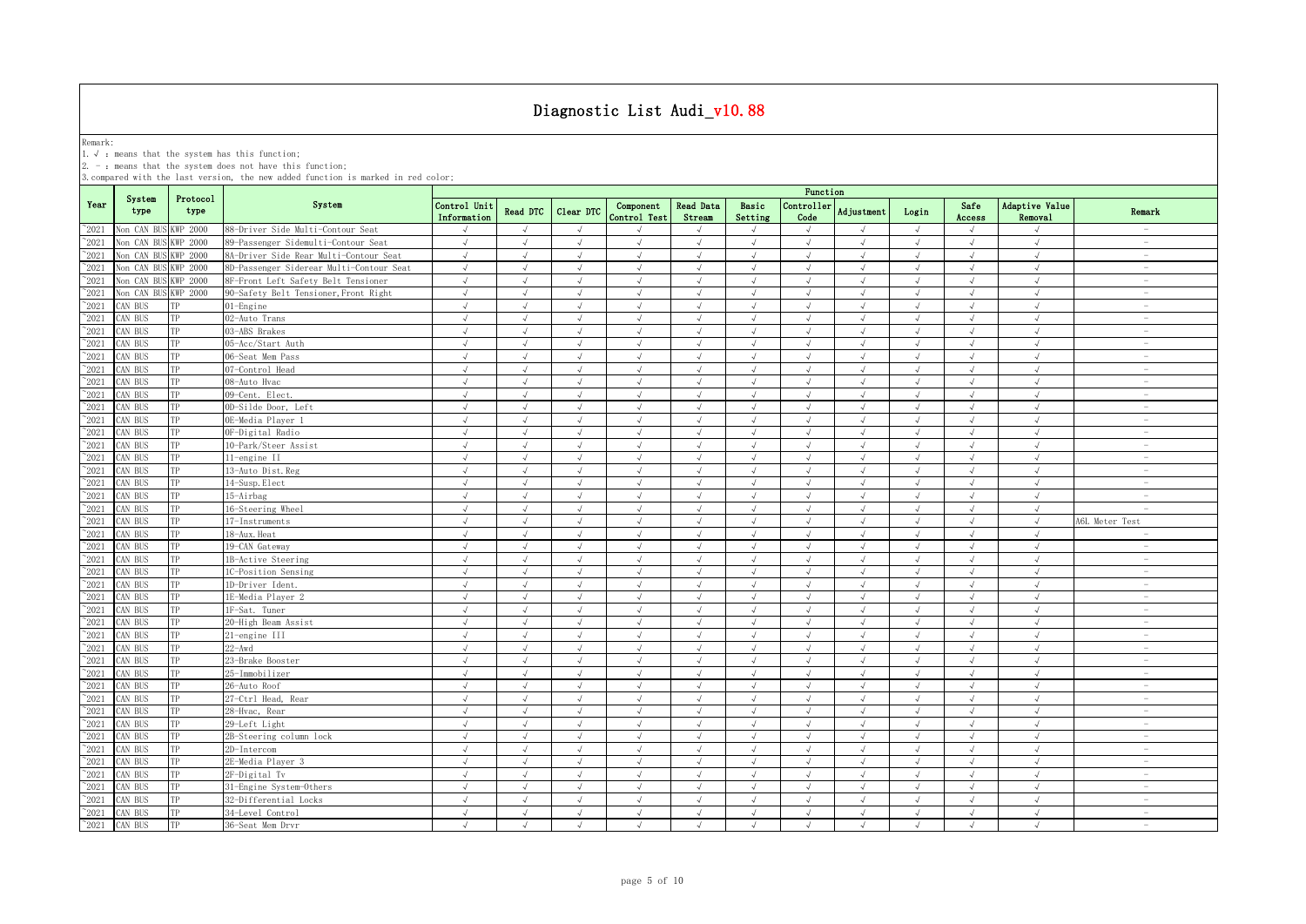Remark:<br>1.√ : means that the system has this function;<br>2. - : means that the system does not have this function;

|                |                |                  |                                          | Function                    |               |               |                           |                     |                             |                    |                |            |                |                                  |                                 |
|----------------|----------------|------------------|------------------------------------------|-----------------------------|---------------|---------------|---------------------------|---------------------|-----------------------------|--------------------|----------------|------------|----------------|----------------------------------|---------------------------------|
| Year           | System<br>type | Protocol<br>type | System                                   | Control Unit<br>Information | Read DTC      | Clear DTC     | Component<br>Control Test | Read Data<br>Stream | Basic<br>Setting            | Controller<br>Code | Adjustment     | Login      | Safe<br>Access | <b>Adaptive Value</b><br>Removal | Remark                          |
| $^{\sim}$ 2021 | Non CAN BUS    | KWP 2000         | 88-Driver Side Multi-Contour Seat        |                             | $\sqrt{ }$    | $\sqrt{ }$    |                           |                     | $\sqrt{ }$                  |                    |                | $\sqrt{ }$ | $\sqrt{ }$     |                                  | $\sim$                          |
| $\degree$ 2021 | Non CAN BU     | <b>KWP 2000</b>  | 89-Passenger Sidemulti-Contour Seat      | $\sqrt{ }$                  | $\sqrt{ }$    | $\sqrt{ }$    | $\sqrt{ }$                | $\sqrt{ }$          | $\sqrt{ }$                  | $\sqrt{ }$         | $\sqrt{ }$     | $\sqrt{ }$ | $\sqrt{ }$     | $\sqrt{ }$                       | $\overline{\phantom{a}}$        |
| $^{\sim}2021$  | Non CAN BU     | KWP 2000         | 8A-Driver Side Rear Multi-Contour Seat   | $\sqrt{ }$                  | $\sqrt{ }$    | $\sqrt{ }$    | $\sqrt{ }$                | $\sqrt{ }$          | $\sqrt{ }$                  | $\sqrt{ }$         | $\sqrt{ }$     | $\sqrt{ }$ | $\sqrt{ }$     | $\sqrt{ }$                       | $\sim$                          |
| $\degree$ 2021 | Non CAN BU     | WP 2000          | 8D-Passenger Siderear Multi-Contour Seat | $\sqrt{ }$                  | $\sqrt{ }$    | $\sqrt{ }$    | $\sqrt{ }$                | $\sqrt{ }$          | $\sqrt{ }$                  | $\sqrt{ }$         | $\sqrt{ }$     | $\sqrt{ }$ | $\sqrt{ }$     | $\sqrt{ }$                       | $\sim$                          |
| $^{\sim}2021$  | Non CAN BU     | WP 2000          | 8F-Front Left Safety Belt Tensioner      | $\sqrt{ }$                  | $\sqrt{ }$    | $\sqrt{ }$    | $\sqrt{ }$                | $\sqrt{ }$          | $\sqrt{ }$                  | $\sqrt{ }$         | $\sqrt{ }$     | $\sqrt{ }$ | $\sqrt{ }$     | $\sqrt{ }$                       | $\sim$                          |
| $^{\sim}2021$  | Non CAN BUS    | KWP 2000         | 90-Safety Belt Tensioner, Front Right    | $\sqrt{ }$                  | $\sqrt{ }$    | $\sqrt{ }$    | $\sqrt{ }$                | $\sqrt{ }$          | $\sqrt{ }$                  | $\sqrt{ }$         | $\sqrt{ }$     | $\sqrt{ }$ | $\sqrt{ }$     | $\sqrt{ }$                       | $\overline{\phantom{a}}$        |
| $^{\sim}2021$  | CAN BUS        |                  | 01-Engine                                | $\sqrt{ }$                  | √             | $\sqrt{ }$    | $\sqrt{}$                 |                     | $\sqrt{}$                   | $\sqrt{ }$         |                | $\sqrt{ }$ | √              | $\sqrt{ }$                       | $\overline{\phantom{a}}$        |
| $^{\sim}2021$  | CAN BUS        | TP               | 02-Auto Trans                            | $\sqrt{ }$                  | $\sqrt{ }$    | $\sqrt{ }$    | $\sqrt{ }$                |                     | $\sqrt{ }$                  | $\sqrt{ }$         |                | $\sqrt{ }$ | J              | $\sqrt{ }$                       | $\overline{\phantom{a}}$        |
| 2021           | CAN BUS        | TP               | 03-ABS Brakes                            | J                           | $\mathcal{A}$ | $\mathcal{L}$ | $\sqrt{ }$                |                     | $\sqrt{ }$                  | $\sqrt{ }$         |                | $\sqrt{ }$ | $\sqrt{ }$     | $\sqrt{ }$                       | $\sim$                          |
| 2021           | CAN BUS        | ТP               | 05-Acc/Start Auth                        | $\sqrt{ }$                  | $\sqrt{ }$    | $\sqrt{2}$    | $\sqrt{ }$                | $\sqrt{ }$          | $\sqrt{ }$                  | $\sqrt{ }$         | $\sqrt{ }$     | $\sqrt{ }$ | $\sqrt{ }$     | $\sqrt{ }$                       | $\overline{\phantom{a}}$        |
| $^{\sim}$ 2021 | CAN BUS        | TР               | 06-Seat Mem Pass                         | $\sqrt{ }$                  | $\mathcal{A}$ | J             | $\sqrt{ }$                |                     | $\sqrt{ }$                  | J                  |                | $\sqrt{ }$ | $\sqrt{ }$     | J                                |                                 |
| $^{\sim}$ 2021 | CAN BUS        | TP               | 07-Control Head                          | $\sqrt{ }$                  | $\sqrt{ }$    | $\sqrt{ }$    | $\sqrt{ }$                | $\sqrt{ }$          | $\sqrt{ }$                  | $\sqrt{ }$         |                | $\sqrt{ }$ | $\sqrt{ }$     | $\sqrt{ }$                       | $\overline{\phantom{a}}$        |
| $^{\sim}$ 2021 | CAN BUS        | TP               | 08-Auto Hvac                             | $\sqrt{ }$                  | $\sqrt{ }$    | $\sqrt{ }$    | $\sqrt{ }$                | $\sqrt{ }$          | $\sqrt{ }$                  | $\sqrt{ }$         | $\sqrt{ }$     | $\sqrt{ }$ | $\sqrt{ }$     | $\sqrt{ }$                       | $\sim$                          |
| $^{\sim}$ 2021 | CAN BUS        | TP               | 09-Cent. Elect.                          | $\sqrt{ }$                  | $\sqrt{ }$    | $\sqrt{ }$    | $\sqrt{ }$                | $\sqrt{ }$          | $\sqrt{ }$                  | $\sqrt{ }$         | $\sqrt{ }$     | $\sqrt{ }$ | $\sqrt{ }$     | $\sqrt{ }$                       | $\sim$                          |
| $^{\sim}$ 2021 | AN BUS         | TP               | 0D-Silde Door, Left                      | $\sqrt{ }$                  | $\sqrt{ }$    | $\sqrt{ }$    | $\sqrt{ }$                | $\sqrt{ }$          | $\sqrt{ }$                  | $\sqrt{ }$         | $\sqrt{ }$     | $\sqrt{ }$ | $\sqrt{ }$     | $\sqrt{ }$                       | $\sim$                          |
| $^{\sim}$ 2021 | CAN BUS        | TP               | OE-Media Player 1                        | $\sqrt{ }$                  | $\sqrt{ }$    | $\sqrt{ }$    | $\sqrt{ }$                | $\sqrt{ }$          | $\sqrt{ }$                  | $\sqrt{ }$         | $\mathcal{A}$  | $\sqrt{ }$ | $\sqrt{ }$     | $\sqrt{ }$                       | $\sim$                          |
| $\degree$ 2021 | CAN BUS        | TP               | OF-Digital Radio                         | $\sqrt{ }$                  | $\sqrt{ }$    | $\sqrt{ }$    | $\sqrt{ }$                | $\sqrt{ }$          | $\sqrt{ }$                  | $\sqrt{ }$         | $\sqrt{ }$     | $\sqrt{ }$ | $\sqrt{ }$     | $\sqrt{ }$                       | $\sim$                          |
| $\degree$ 2021 | CAN BUS        | TP               | 10-Park/Steer Assist                     | $\sqrt{ }$                  | $\sqrt{ }$    | $\sqrt{ }$    | $\sqrt{ }$                | $\sqrt{ }$          | $\sqrt{ }$                  | $\sqrt{ }$         | $\sqrt{ }$     | $\sqrt{ }$ | $\sqrt{ }$     | $\sqrt{ }$                       | $\overline{\phantom{a}}$        |
| $\degree$ 2021 | CAN BUS        | TP               | 11-engine II                             | $\sqrt{ }$                  | $\sqrt{ }$    | $\sqrt{ }$    | $\sqrt{ }$                | $\sqrt{ }$          | $\sqrt{ }$                  | $\sqrt{ }$         | $\sqrt{ }$     | $\sqrt{ }$ | $\sqrt{ }$     | $\sqrt{ }$                       | $\sim$                          |
| $^{\sim}2021$  | CAN BUS        | TP               | 13-Auto Dist. Reg                        | $\sqrt{ }$                  | $\sqrt{ }$    | $\sqrt{ }$    | $\sqrt{ }$                | $\sqrt{ }$          | $\sqrt{ }$                  | $\sqrt{ }$         | $\sqrt{ }$     | $\sqrt{ }$ | $\sqrt{ }$     | $\sqrt{ }$                       | $\overline{\phantom{a}}$        |
| $^{\sim}2021$  | CAN BUS        | TP               | 14-Susp. Elect                           | $\sqrt{ }$                  | $\sqrt{ }$    | $\sqrt{ }$    | $\sqrt{ }$                | $\sqrt{ }$          | $\sqrt{ }$                  | $\sqrt{ }$         | $\sqrt{ }$     | $\sqrt{ }$ | $\sqrt{ }$     | $\sqrt{ }$                       | $\sim$                          |
| $^{\sim}2021$  | CAN BUS        | TP               | 15-Airbag                                | $\sqrt{ }$                  | $\sqrt{ }$    | $\sqrt{ }$    | $\sqrt{ }$                | $\sqrt{ }$          | $\sqrt{ }$                  | $\sqrt{ }$         | $\sqrt{ }$     | $\sqrt{ }$ | $\sqrt{ }$     | $\sqrt{ }$                       | $\sim$                          |
| $\degree$ 2021 | CAN BUS        | TP               | 16-Steering Wheel                        | $\sqrt{ }$                  | $\sqrt{ }$    | $\sqrt{ }$    | $\sqrt{ }$                | $\sqrt{ }$          | $\sqrt{ }$                  | $\sqrt{ }$         | $\sqrt{ }$     | $\sqrt{ }$ | $\sqrt{ }$     | $\sqrt{ }$                       | $\overline{\phantom{a}}$        |
| 2021           | CAN BUS        | TP               | 17-Instruments                           | $\sqrt{ }$                  | J             |               | J                         |                     | J                           |                    | $\sqrt{ }$     | $\sqrt{ }$ | $\sqrt{ }$     | $\sqrt{ }$                       | A6L Meter Test                  |
| 2021           | CAN BUS        | TP               | 18-Aux. Heat                             | $\sqrt{ }$                  | J             | $\sqrt{ }$    | J                         |                     | $\sqrt{ }$                  | $\sqrt{ }$         |                | $\sqrt{ }$ | J              | $\sqrt{ }$                       | $\sim$                          |
| 2021           | CAN BUS        | TP               | 19-CAN Gateway                           |                             |               |               | $\mathcal{L}$             |                     | $\mathcal{N}_{\mathcal{N}}$ |                    |                | $\sqrt{ }$ | $\sqrt{ }$     |                                  |                                 |
| $^{\sim}$ 2021 | CAN BUS        | TP               | 1B-Active Steering                       | $\sqrt{ }$                  | J             | $\sqrt{2}$    | $\sqrt{ }$                |                     | $\sqrt{ }$                  | $\sqrt{ }$         |                | $\sqrt{ }$ | $\sqrt{ }$     | $\sqrt{ }$                       | $\overline{\phantom{a}}$        |
| $^{\sim}$ 2021 | CAN BUS        | TP               | 1C-Position Sensing                      | $\sqrt{ }$                  | $\sqrt{ }$    | $\sqrt{ }$    | $\sqrt{ }$                | $\sqrt{ }$          | $\sqrt{ }$                  | $\sqrt{ }$         | $\sqrt{ }$     | $\sqrt{ }$ | $\sqrt{ }$     | $\sqrt{ }$                       | $\sim$                          |
| $^{\sim}$ 2021 | CAN BUS        | TP               | 1D-Driver Ident.                         | $\sqrt{ }$                  | $\sqrt{ }$    | $\sqrt{ }$    | $\sqrt{ }$                | $\sqrt{ }$          | $\sqrt{ }$                  | $\sqrt{ }$         | $\sqrt{ }$     | $\sqrt{ }$ | $\sqrt{ }$     | $\sqrt{ }$                       | $\sim$                          |
| $^{\sim}$ 2021 | CAN BUS        | TP               | 1E-Media Plaver 2                        | $\sqrt{ }$                  | $\sqrt{ }$    | $\sqrt{ }$    | $\sqrt{ }$                | $\sqrt{ }$          | $\sqrt{ }$                  | $\sqrt{ }$         | $\sqrt{ }$     | $\sqrt{ }$ | $\sqrt{ }$     | $\sqrt{ }$                       | $\sim$                          |
| $^{\sim}$ 2021 | CAN BUS        | TP               | 1F-Sat. Tuner                            | $\sqrt{ }$                  | $\sqrt{ }$    | $\sqrt{ }$    | $\sqrt{ }$                | $\sqrt{ }$          | $\sqrt{ }$                  | $\sqrt{ }$         | $\sqrt{ }$     | $\sqrt{ }$ | $\sqrt{ }$     | $\sqrt{ }$                       | $\sim$                          |
| $\degree$ 2021 | CAN BUS        | TP               | 20-High Beam Assist                      | $\sqrt{ }$                  | $\sqrt{ }$    | $\sqrt{ }$    | $\sqrt{ }$                | $\sqrt{ }$          | $\sqrt{ }$                  | $\sqrt{ }$         | $\sqrt{ }$     | $\sqrt{ }$ | $\sqrt{ }$     | $\sqrt{ }$                       | $\sim$                          |
| $^{\sim}$ 2021 | CAN BUS        | TP               | 21-engine III                            | $\sqrt{ }$                  | $\sqrt{ }$    | $\sqrt{ }$    | $\sqrt{ }$                | $\sqrt{ }$          | $\sqrt{ }$                  | $\sqrt{ }$         | $\sqrt{ }$     | $\sqrt{ }$ | $\sqrt{ }$     | $\sqrt{ }$                       | $\sim$                          |
| $^{\sim}$ 2021 | CAN BUS        | TP               | $22 - Awd$                               | $\sqrt{ }$                  | $\sqrt{ }$    | $\sqrt{ }$    | $\sqrt{ }$                | $\sqrt{ }$          | $\sqrt{ }$                  | $\sqrt{ }$         | $\sqrt{ }$     | $\sqrt{ }$ | $\sqrt{ }$     | $\sqrt{ }$                       | $\sim$                          |
| $^{\sim}$ 2021 | CAN BUS        | TP               | 23-Brake Booster                         | $\sqrt{ }$                  | $\sqrt{ }$    | $\sqrt{ }$    | $\sqrt{ }$                | $\sqrt{ }$          | $\sqrt{ }$                  | $\sqrt{ }$         | $\sqrt{ }$     | $\sqrt{ }$ | $\sqrt{ }$     | $\sqrt{ }$                       | $\sim$                          |
| $\degree$ 2021 | CAN BUS        | TP               | 25-Immobilizer                           | $\sqrt{ }$                  | $\sqrt{ }$    | $\sqrt{ }$    | $\sqrt{ }$                | $\sqrt{ }$          | $\sqrt{ }$                  | $\sqrt{ }$         | $\sqrt{ }$     | $\sqrt{ }$ | $\sqrt{ }$     | $\sqrt{ }$                       | $\sim$                          |
| $^{\sim}$ 2021 | CAN BUS        | TP               | 26-Auto Roof                             | $\sqrt{ }$                  | $\sqrt{ }$    | $\sqrt{ }$    | $\sqrt{ }$                | $\sqrt{}$           | $\sqrt{ }$                  | $\sqrt{ }$         | $\sqrt{ }$     | $\sqrt{ }$ | $\sqrt{ }$     | $\sqrt{ }$                       | $\hspace{0.1mm}-\hspace{0.1mm}$ |
| $^{\sim}2021$  | CAN BUS        | TP               | 27-Ctrl Head, Rear                       | $\sqrt{ }$                  | $\sqrt{ }$    | $\sqrt{ }$    | $\sqrt{ }$                | $\sqrt{ }$          | $\sqrt{ }$                  | $\sqrt{ }$         | $\sqrt{ }$     | $\sqrt{ }$ | $\sqrt{ }$     | $\sqrt{ }$                       | $\sim$                          |
| 2021           | AN BUS         | TP               | 28-Hvac, Rear                            | $\sqrt{ }$                  | $\sqrt{ }$    | $\sqrt{ }$    | $\mathcal{L}$             |                     | $\sqrt{ }$                  | $\sqrt{ }$         | $\overline{u}$ | $\sqrt{ }$ | J              | $\sqrt{ }$                       | $\sim$                          |
| 2021           | CAN BUS        | ТP               | 29-Left Light                            | $\sqrt{ }$                  | $\sqrt{ }$    | $\sqrt{2}$    | $\sqrt{ }$                | $\sqrt{ }$          | $\sqrt{ }$                  | $\sqrt{ }$         | $\sqrt{ }$     | $\sqrt{ }$ | $\sqrt{ }$     | $\sqrt{ }$                       | $\overline{\phantom{a}}$        |
| 2021           | CAN BUS        | TP               | 2B-Steering column lock                  | $\sqrt{ }$                  | $\sqrt{ }$    | $\sqrt{ }$    | $\sqrt{ }$                |                     | $\sqrt{ }$                  | $\sqrt{ }$         | $\sqrt{ }$     | $\sqrt{ }$ | $\sqrt{ }$     | $\sqrt{ }$                       | $\overline{\phantom{0}}$        |
| $^{\sim}$ 2021 | CAN BUS        | TP               | 2D-Intercom                              | $\sqrt{ }$                  | J             | $\sqrt{ }$    | $\sqrt{ }$                |                     | J                           | $\sqrt{ }$         |                | $\sqrt{ }$ | $\sqrt{ }$     | $\sqrt{ }$                       | $\overline{\phantom{0}}$        |
| $^{\sim}$ 2021 | CAN BUS        | TP               | 2E-Media Player 3                        | $\sqrt{ }$                  | $\sqrt{ }$    | $\sqrt{ }$    | $\sqrt{ }$                | $\sqrt{ }$          | $\sqrt{ }$                  | $\sqrt{ }$         | $\sqrt{ }$     | $\sqrt{ }$ | $\sqrt{ }$     | $\sqrt{ }$                       | $\overline{\phantom{a}}$        |
| $^{\sim}$ 2021 | CAN BUS        | TP               | 2F-Digital Tv                            | $\sqrt{ }$                  | $\sqrt{ }$    | $\sqrt{ }$    | $\sqrt{ }$                |                     | $\sqrt{ }$                  | $\sqrt{ }$         | $\sqrt{ }$     | $\sqrt{ }$ | $\sqrt{ }$     | $\sqrt{ }$                       | $\overline{\phantom{a}}$        |
| $\degree$ 2021 | CAN BUS        | TP               | 31-Engine System-Others                  | $\sqrt{ }$                  | $\sqrt{ }$    | $\sqrt{ }$    | $\sqrt{ }$                | $\sqrt{ }$          | $\sqrt{ }$                  | $\sqrt{ }$         | $\sqrt{ }$     | $\sqrt{ }$ | $\sqrt{ }$     | $\sqrt{ }$                       | $\hspace{0.1mm}-\hspace{0.1mm}$ |
| $^{\sim}$ 2021 | CAN BUS        | TP               | 32-Differential Locks                    | $\sqrt{ }$                  | $\sqrt{ }$    | $\sqrt{ }$    | $\sqrt{ }$                | $\sqrt{ }$          | $\sqrt{ }$                  | $\sqrt{ }$         | $\sqrt{ }$     | $\sqrt{ }$ | $\sqrt{ }$     | $\sqrt{ }$                       | $\sim$                          |
| $^{\sim}$ 2021 | CAN BUS        | TP               | 34-Level Control                         | $\sqrt{ }$                  | $\sqrt{ }$    | $\sqrt{ }$    | $\sqrt{ }$                | $\sqrt{ }$          | $\sqrt{ }$                  | $\sqrt{ }$         | $\sqrt{ }$     | $\sqrt{ }$ | $\sqrt{ }$     | $\sqrt{ }$                       | $\overline{\phantom{a}}$        |
| $^{\sim}$ 2021 | CAN BUS        | TP               | 36-Seat Mem Drvr                         | $\sqrt{ }$                  | $\sqrt{ }$    | $\sqrt{ }$    | $\sqrt{ }$                | $\sqrt{ }$          | $\sqrt{ }$                  | $\sqrt{ }$         | $\mathcal{L}$  | $\sqrt{ }$ | $\sqrt{ }$     | $\sqrt{ }$                       | $\sim$                          |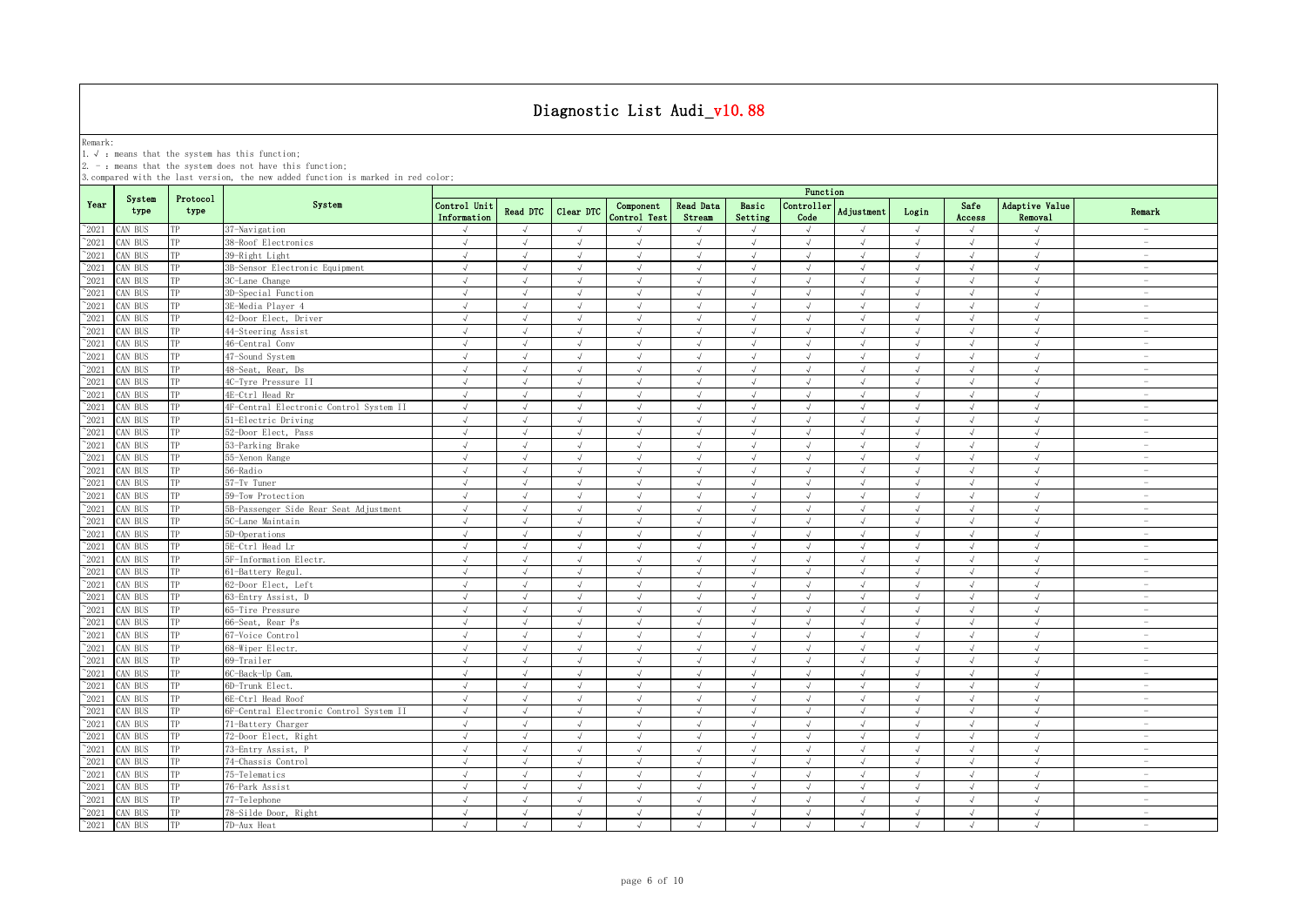Remark:<br>1.√ : means that the system has this function;<br>2. - : means that the system does not have this function;

|                 |                |                  |                                         | Function                    |                 |            |                           |                            |                  |                    |                   |            |                |                           |                                 |
|-----------------|----------------|------------------|-----------------------------------------|-----------------------------|-----------------|------------|---------------------------|----------------------------|------------------|--------------------|-------------------|------------|----------------|---------------------------|---------------------------------|
| Year            | System<br>type | Protocol<br>type | System                                  | Control Unit<br>Information | <b>Read DTC</b> | Clear DTC  | Component<br>Control Test | <b>Read Data</b><br>Stream | Basic<br>Setting | Controller<br>Code | <b>Adjustment</b> | Login      | Safe<br>Access | Adaptive Value<br>Removal | Remark                          |
| $\degree$ 2021  | CAN BUS        | TP               | 37-Navigation                           | $\sqrt{}$                   | $\sqrt{ }$      | $\sqrt{ }$ | $\mathcal{L}$             | $\sqrt{ }$                 | $\sqrt{ }$       | $\sqrt{ }$         | $\sqrt{ }$        | $\sqrt{ }$ | $\sqrt{ }$     | $\sqrt{ }$                | $\sim$                          |
| $^{\sim}$ 2021  | AN BUS         | TP               | 38-Roof Electronics                     | $\sqrt{ }$                  | $\sqrt{ }$      | $\sqrt{ }$ | $\sqrt{ }$                | $\sqrt{ }$                 | $\sqrt{ }$       | $\sqrt{ }$         | $\sqrt{ }$        | $\sqrt{ }$ | $\sqrt{ }$     | $\sqrt{ }$                | $\sim$                          |
| $^{\sim}$ 2021  | CAN BUS        | TP               | 39-Right Light                          | $\sqrt{ }$                  | $\sqrt{ }$      | $\sqrt{ }$ | $\sqrt{ }$                | $\sqrt{ }$                 | $\sqrt{ }$       | $\sqrt{ }$         | $\sqrt{ }$        | $\sqrt{ }$ | $\sqrt{ }$     | $\sqrt{ }$                | $\overline{\phantom{a}}$        |
| $^{\sim}$ 2021  | CAN BUS        | TP               | 3B-Sensor Electronic Equipment          | $\sqrt{ }$                  | $\sqrt{ }$      | $\sqrt{ }$ | $\sqrt{ }$                | $\sqrt{ }$                 | $\sqrt{ }$       | $\sqrt{ }$         | $\sqrt{ }$        | $\sqrt{ }$ | $\sqrt{ }$     | $\sqrt{ }$                | $\sim$                          |
| $^{\sim}$ 2021  | AN BUS         | TP               | 3C-Lane Change                          | $\sqrt{ }$                  | $\sqrt{ }$      | $\sqrt{ }$ | $\sqrt{ }$                | $\sqrt{ }$                 | $\sqrt{ }$       | $\sqrt{ }$         | $\sqrt{ }$        | $\sqrt{ }$ | $\sqrt{}$      | $\sqrt{ }$                | $\hspace{0.1mm}-\hspace{0.1mm}$ |
| $^{\sim}$ 2021  | AN BUS         | TP               | 3D-Special Function                     | J                           | $\sqrt{ }$      | $\sqrt{ }$ | $\sqrt{ }$                | $\sqrt{ }$                 | $\sqrt{ }$       | $\sqrt{2}$         | $\sqrt{ }$        | $\sqrt{ }$ | J              | $\sqrt{ }$                | $\overline{\phantom{a}}$        |
| $^{\sim}2021$   | AN BUS         | TP               | 3E-Media Player 4                       | $\sqrt{2}$                  | J               |            | $\sqrt{ }$                |                            | J                | $\sqrt{ }$         |                   | $\sqrt{ }$ |                | $\sqrt{ }$                | $\overline{\phantom{m}}$        |
| $\sim 2021$     | CAN BUS        | TP               | 42-Door Elect, Driver                   |                             |                 | $\sqrt{ }$ | J                         |                            | J                | $\sqrt{ }$         |                   | J          |                | $\sqrt{ }$                | $\overline{\phantom{a}}$        |
| $^{\sim}$ 2021  | AN BUS         | TP               | 44-Steering Assist                      | $\sqrt{ }$                  |                 | $\sqrt{ }$ | $\mathcal{L}$             |                            | J                | J                  | $\mathcal{N}$     | $\sqrt{ }$ | $\sqrt{ }$     | $\sqrt{ }$                | $\overline{\phantom{0}}$        |
| $\gamma$ 2021   | CAN BUS        | TP               | 46-Central Conv                         | J                           | J               | J          |                           |                            | J                | J                  |                   | J          | $\sqrt{ }$     | $\sqrt{ }$                | $\overline{\phantom{a}}$        |
| $^{\sim}$ 2021  | AN BUS         | TP               | 47-Sound System                         | $\sqrt{ }$                  | $\sqrt{ }$      | $\sqrt{ }$ | $\sqrt{ }$                | $\sqrt{ }$                 | $\sqrt{ }$       | $\sqrt{ }$         | $\sqrt{ }$        | $\sqrt{ }$ | $\sqrt{ }$     | $\sqrt{ }$                | $\overline{\phantom{a}}$        |
| $^{\sim}2021$   | CAN BUS        | TP               | 48-Seat, Rear, Ds                       | $\sqrt{ }$                  | $\sqrt{ }$      | $\sqrt{ }$ | $\sqrt{ }$                | $\sqrt{ }$                 | $\sqrt{ }$       | $\sqrt{ }$         | $\sqrt{ }$        | $\sqrt{ }$ | $\sqrt{ }$     | $\sqrt{ }$                | $\sim$                          |
| $^{\sim}2021$   | AN BUS         | TP               | 4C-Tyre Pressure II                     | $\sqrt{ }$                  | $\sqrt{ }$      | $\sqrt{ }$ | $\sqrt{ }$                | $\sqrt{ }$                 | $\sqrt{ }$       | $\sqrt{ }$         | $\sqrt{ }$        | $\sqrt{ }$ | $\sqrt{ }$     | $\sqrt{ }$                | $\sim$                          |
| $\gamma_{2021}$ | CAN BUS        | TP               | 4E-Ctrl Head Rr                         | $\sqrt{ }$                  | $\sqrt{ }$      | $\sqrt{ }$ | $\sqrt{ }$                | $\sqrt{ }$                 | $\sqrt{ }$       | $\sqrt{ }$         | $\sqrt{ }$        | $\sqrt{ }$ | $\sqrt{ }$     | $\sqrt{ }$                | $\overline{\phantom{0}}$        |
| $^{\sim}$ 2021  | CAN BUS        | TP               | 4F-Central Electronic Control System II | $\sqrt{ }$                  | $\sqrt{ }$      | $\sqrt{ }$ | $\sqrt{ }$                | $\sqrt{ }$                 | $\sqrt{ }$       | $\sqrt{ }$         | $\sqrt{ }$        | $\sqrt{ }$ | $\sqrt{ }$     | $\sqrt{ }$                | $\sim$                          |
| $^{\sim}$ 2021  | CAN BUS        | TP               | 51-Electric Driving                     | $\sqrt{ }$                  | $\sqrt{ }$      | $\sqrt{ }$ | $\sqrt{ }$                | $\sqrt{ }$                 | $\sqrt{ }$       | $\sqrt{ }$         | $\sqrt{ }$        | $\sqrt{ }$ | $\sqrt{ }$     | $\sqrt{ }$                | $\overline{\phantom{a}}$        |
| $^{\sim}$ 2021  | CAN BUS        | TP               | 52-Door Elect, Pass                     | $\sqrt{ }$                  | $\sqrt{ }$      | $\sqrt{ }$ | $\sqrt{ }$                | $\sqrt{ }$                 | $\sqrt{ }$       | $\sqrt{ }$         | $\sqrt{ }$        | $\sqrt{ }$ | $\sqrt{ }$     | $\sqrt{ }$                | $\overline{\phantom{a}}$        |
| $^{\sim}$ 2021  | CAN BUS        | TP               | 53-Parking Brake                        | $\sqrt{ }$                  | $\sqrt{ }$      | $\sqrt{ }$ | $\sqrt{ }$                | $\sqrt{ }$                 | $\sqrt{ }$       | $\sqrt{ }$         | $\sqrt{ }$        | $\sqrt{ }$ | $\sqrt{ }$     | $\sqrt{ }$                | $\sim$                          |
| $^{\sim}2021$   | AN BUS         | TP               | 55-Xenon Range                          | $\sqrt{ }$                  | $\sqrt{ }$      | $\sqrt{ }$ | $\sqrt{ }$                | $\sqrt{ }$                 | $\sqrt{ }$       | $\sqrt{ }$         | $\sqrt{ }$        | $\sqrt{ }$ | $\sqrt{ }$     | $\sqrt{ }$                | $\sim$                          |
| $^{\sim}$ 2021  | AN BUS         | TP               | 56-Radio                                | √                           | J               | J          | J                         |                            | J                | $\sqrt{ }$         |                   | $\sqrt{ }$ | $\sqrt{ }$     | $\sqrt{ }$                | $\hspace{0.1mm}-\hspace{0.1mm}$ |
| $^{\sim}2021$   | AN BUS         | TP               | 57-Tv Tuner                             | √                           | $\sqrt{ }$      | $\sqrt{}$  | $\sqrt{}$                 | $\sqrt{}$                  | $\sqrt{}$        | $\sqrt{ }$         |                   | $\sqrt{ }$ | $\sqrt{ }$     | $\sqrt{ }$                | $\hspace{0.1mm}-\hspace{0.1mm}$ |
| $^{\sim}$ 2021  | AN BUS         | TP               | 59-Tow Protection                       | $\sqrt{ }$                  | $\mathcal{L}$   | J          | $\mathcal{L}$             |                            | $\sqrt{ }$       | $\sqrt{ }$         | $\mathcal{L}$     | $\sqrt{ }$ | <sup>N</sup>   | $\sqrt{ }$                | $\sim$                          |
| $\gamma_{2021}$ | CAN BUS        | TP               | 5B-Passenger Side Rear Seat Adjustment  | $\sqrt{ }$                  | $\sqrt{ }$      | $\sqrt{2}$ | $\sqrt{ }$                | $\sqrt{ }$                 | $\sqrt{ }$       | $\sqrt{2}$         |                   | $\sqrt{ }$ | $\sqrt{ }$     | $\sqrt{ }$                | $\overline{\phantom{a}}$        |
| $\degree$ 2021  | AN BUS         | TP               | 5C-Lane Maintain                        | $\sqrt{ }$                  | $\sqrt{ }$      | $\sqrt{ }$ | $\sqrt{ }$                | $\sqrt{ }$                 | $\sqrt{ }$       | $\sqrt{ }$         | $\sqrt{ }$        | $\sqrt{ }$ | $\sqrt{ }$     | $\sqrt{ }$                | $\overline{\phantom{a}}$        |
| $\degree$ 2021  | CAN BUS        | TP               | 5D-Operations                           | $\sqrt{ }$                  | $\sqrt{ }$      | $\sqrt{ }$ | $\sqrt{ }$                |                            | $\sqrt{ }$       | $\sqrt{ }$         |                   | $\sqrt{ }$ | $\sqrt{ }$     | $\sqrt{ }$                |                                 |
| $^{\sim}$ 2021  | <b>CAN BUS</b> | TP               | 5E-Ctrl Head Lr                         | $\sqrt{ }$                  | $\sqrt{ }$      | $\sqrt{ }$ | $\sqrt{ }$                | $\sqrt{ }$                 | $\mathcal{L}$    | $\sqrt{ }$         | $\lambda$         | $\sqrt{ }$ | $\sqrt{ }$     | $\sqrt{ }$                | $\overline{\phantom{a}}$        |
| $^{\sim}2021$   | CAN BUS        | TP               | 5F-Information Electr.                  | $\sqrt{ }$                  | $\sqrt{ }$      | $\sqrt{ }$ | $\sqrt{ }$                | $\sqrt{ }$                 | $\sqrt{ }$       | $\sqrt{ }$         | $\sqrt{ }$        | $\sqrt{ }$ | $\sqrt{ }$     | $\sqrt{ }$                | $\overline{\phantom{a}}$        |
| $^{\sim}2021$   | AN BUS         | TP               | 61-Battery Regul.                       | $\sqrt{ }$                  | $\sqrt{ }$      | $\sqrt{ }$ | $\sqrt{ }$                | $\sqrt{ }$                 | $\sqrt{ }$       | $\sqrt{ }$         | $\sqrt{ }$        | $\sqrt{ }$ | $\sqrt{ }$     | $\sqrt{ }$                | $\overline{\phantom{a}}$        |
| $^\sim\!2021$   | CAN BUS        | TP               | 62-Door Elect, Left                     | $\sqrt{ }$                  | $\sqrt{ }$      | $\sqrt{ }$ | $\sqrt{ }$                | $\sqrt{ }$                 | $\sqrt{ }$       | $\sqrt{ }$         | $\sqrt{ }$        | $\sqrt{ }$ | $\sqrt{ }$     | $\sqrt{ }$                | $\overline{\phantom{a}}$        |
| $^{\sim}$ 2021  | CAN BUS        | TP               | 63-Entry Assist, D                      | $\sqrt{ }$                  | $\sqrt{ }$      | $\sqrt{ }$ | $\sqrt{ }$                | $\sqrt{ }$                 | $\sqrt{ }$       | $\sqrt{ }$         | $\sqrt{ }$        | $\sqrt{ }$ | $\sqrt{ }$     | $\sqrt{ }$                | $\overline{\phantom{a}}$        |
| $^{\sim}$ 2021  | CAN BUS        | TP               | 65-Tire Pressure                        | $\sqrt{ }$                  | $\sqrt{ }$      | $\sqrt{ }$ | $\sqrt{ }$                | $\sqrt{ }$                 | $\sqrt{ }$       | $\sqrt{ }$         | $\sqrt{ }$        | $\sqrt{ }$ | $\sqrt{ }$     | $\sqrt{ }$                | $\overline{\phantom{a}}$        |
| $^{\sim}$ 2021  | CAN BUS        | TP               | 66-Seat, Rear Ps                        | $\sqrt{ }$                  | $\sqrt{ }$      | $\sqrt{ }$ | $\sqrt{ }$                | $\sqrt{ }$                 | $\sqrt{ }$       | $\sqrt{ }$         | $\sqrt{ }$        | $\sqrt{ }$ | $\sqrt{ }$     | $\sqrt{ }$                | $\sim$                          |
| $^{\sim}$ 2021  | CAN BUS        | TP               | 67-Voice Control                        | $\sqrt{ }$                  | $\sqrt{ }$      | $\sqrt{ }$ | $\sqrt{ }$                | $\sqrt{ }$                 | $\sqrt{ }$       | $\sqrt{ }$         | $\sqrt{ }$        | $\sqrt{ }$ | $\sqrt{ }$     | $\sqrt{ }$                | $\overline{\phantom{a}}$        |
| $^{\sim}$ 2021  | CAN BUS        | TP               | 68-Wiper Electr.                        | $\sqrt{ }$                  | $\sqrt{ }$      | $\sqrt{ }$ | $\sqrt{ }$                | $\sqrt{ }$                 | $\sqrt{ }$       | $\sqrt{ }$         | $\sqrt{ }$        | $\sqrt{ }$ | $\sqrt{ }$     | $\sqrt{ }$                | $\sim$                          |
| $^{\sim}$ 2021  | CAN BUS        | TP               | 69-Trailer                              | $\sqrt{ }$                  | $\sqrt{ }$      | $\sqrt{ }$ | $\sqrt{ }$                | $\sqrt{ }$                 | $\sqrt{ }$       | $\sqrt{ }$         | $\sqrt{ }$        | $\sqrt{ }$ | $\sqrt{ }$     | $\sqrt{ }$                | $\sim$                          |
| $^{\sim}$ 2021  | CAN BUS        | TP               | 6C-Back-Up Cam.                         | $\sqrt{ }$                  | $\sqrt{ }$      | $\sqrt{ }$ | $\sqrt{ }$                | $\sqrt{ }$                 | $\sqrt{ }$       | $\sqrt{ }$         | $\sqrt{ }$        | $\sqrt{ }$ | $\sqrt{ }$     | $\sqrt{ }$                | $\overline{\phantom{a}}$        |
| $^{\sim}$ 2021  | CAN BUS        | TP               | 6D-Trunk Elect.                         | $\sqrt{ }$                  | $\sqrt{ }$      | $\sqrt{ }$ | $\sqrt{}$                 | $\sqrt{ }$                 | √                | $\sqrt{ }$         | $\sqrt{ }$        | $\sqrt{ }$ | $\sqrt{ }$     | $\sqrt{}$                 | $\overline{\phantom{m}}$        |
| $^{\sim}$ 2021  | CAN BUS        | TP               | 6E-Ctrl Head Roof                       |                             |                 |            |                           |                            | J                |                    |                   | $\sqrt{ }$ |                | $\sqrt{ }$                | $\overline{\phantom{a}}$        |
| $^{\sim}$ 2021  | CAN BUS        | TP               | 6F-Central Electronic Control System II | $\sqrt{ }$                  | $\sqrt{ }$      |            | $\mathcal{L}$             |                            | J                |                    |                   | $\sqrt{ }$ |                | $\sqrt{ }$                | $\overline{\phantom{a}}$        |
| $\gamma$ 2021   | CAN BUS        | TP               | 71-Battery Charger                      | J                           | J               | J          |                           |                            | J                | $\sqrt{2}$         |                   | $\sqrt{ }$ | J              | $\sqrt{ }$                | $\overline{\phantom{a}}$        |
| $^{\sim}$ 2021  | AN BUS         | TP               | 72-Door Elect, Right                    | $\sqrt{ }$                  | $\sqrt{ }$      | $\sqrt{ }$ | $\sqrt{ }$                | $\sqrt{ }$                 | $\sqrt{ }$       | $\sqrt{ }$         | $\sqrt{ }$        | $\sqrt{ }$ | $\sqrt{ }$     | $\sqrt{ }$                | $\overline{\phantom{a}}$        |
| $^{\sim}2021$   | CAN BUS        | TP               | 73-Entry Assist, P                      | $\sqrt{ }$                  | $\sqrt{ }$      | $\sqrt{ }$ | $\sqrt{ }$                | $\sqrt{ }$                 | $\sqrt{ }$       | $\sqrt{ }$         | $\lambda$         | $\sqrt{ }$ | $\sqrt{ }$     | $\sqrt{ }$                | $\sim$                          |
| $^{\sim}2021$   | CAN BUS        | TP               | 74-Chassis Control                      | $\sqrt{ }$                  | $\sqrt{ }$      | $\sqrt{ }$ | $\sqrt{ }$                | $\sqrt{ }$                 | $\sqrt{ }$       | $\sqrt{ }$         | $\sqrt{ }$        | $\sqrt{ }$ | $\sqrt{ }$     | $\sqrt{ }$                | $\sim$                          |
| $^{\sim}$ 2021  | CAN BUS        | TP               | 75-Telematics                           | $\sqrt{ }$                  | $\sqrt{ }$      | $\sqrt{ }$ | $\sqrt{ }$                | $\sqrt{ }$                 | $\sqrt{ }$       | $\sqrt{ }$         | $\sqrt{ }$        | $\sqrt{ }$ | $\sqrt{ }$     | $\sqrt{ }$                | $\overline{\phantom{a}}$        |
| $\gamma_{2021}$ | CAN BUS        | TP               | 76-Park Assist                          | $\sqrt{ }$                  | $\sqrt{ }$      | $\sqrt{ }$ | $\sqrt{ }$                | $\sqrt{ }$                 | $\sqrt{ }$       | $\sqrt{ }$         | $\sqrt{ }$        | $\sqrt{ }$ | $\sqrt{ }$     | $\sqrt{ }$                | $\overline{\phantom{a}}$        |
| $^{\sim}$ 2021  | CAN BUS        | TP               | 77-Telephone                            | $\sqrt{ }$                  | $\sqrt{ }$      | $\sqrt{ }$ | $\sqrt{ }$                | $\sqrt{ }$                 | $\sqrt{ }$       | $\sqrt{ }$         | $\mathcal{A}$     | $\sqrt{ }$ | $\sqrt{ }$     | $\sqrt{ }$                | $\overline{\phantom{a}}$        |
| $^{\sim}$ 2021  | CAN BUS        | TP               | 78-Silde Door, Right                    | $\sqrt{ }$                  | $\sqrt{ }$      | $\sqrt{ }$ | $\sqrt{ }$                | $\sqrt{ }$                 | $\sqrt{ }$       | $\sqrt{ }$         | $\sqrt{ }$        | $\sqrt{ }$ | $\sqrt{ }$     | $\sqrt{ }$                | $\sim$                          |
| $^{\sim}2021$   | CAN BUS        | TP               | 7D-Aux Heat                             | $\sqrt{ }$                  | $\sqrt{ }$      | $\sqrt{ }$ | $\sqrt{ }$                | $\sqrt{ }$                 | $\sqrt{ }$       | $\sqrt{ }$         | $\mathcal{A}$     | $\sqrt{ }$ | $\sqrt{ }$     | $\sqrt{ }$                | $\overline{\phantom{a}}$        |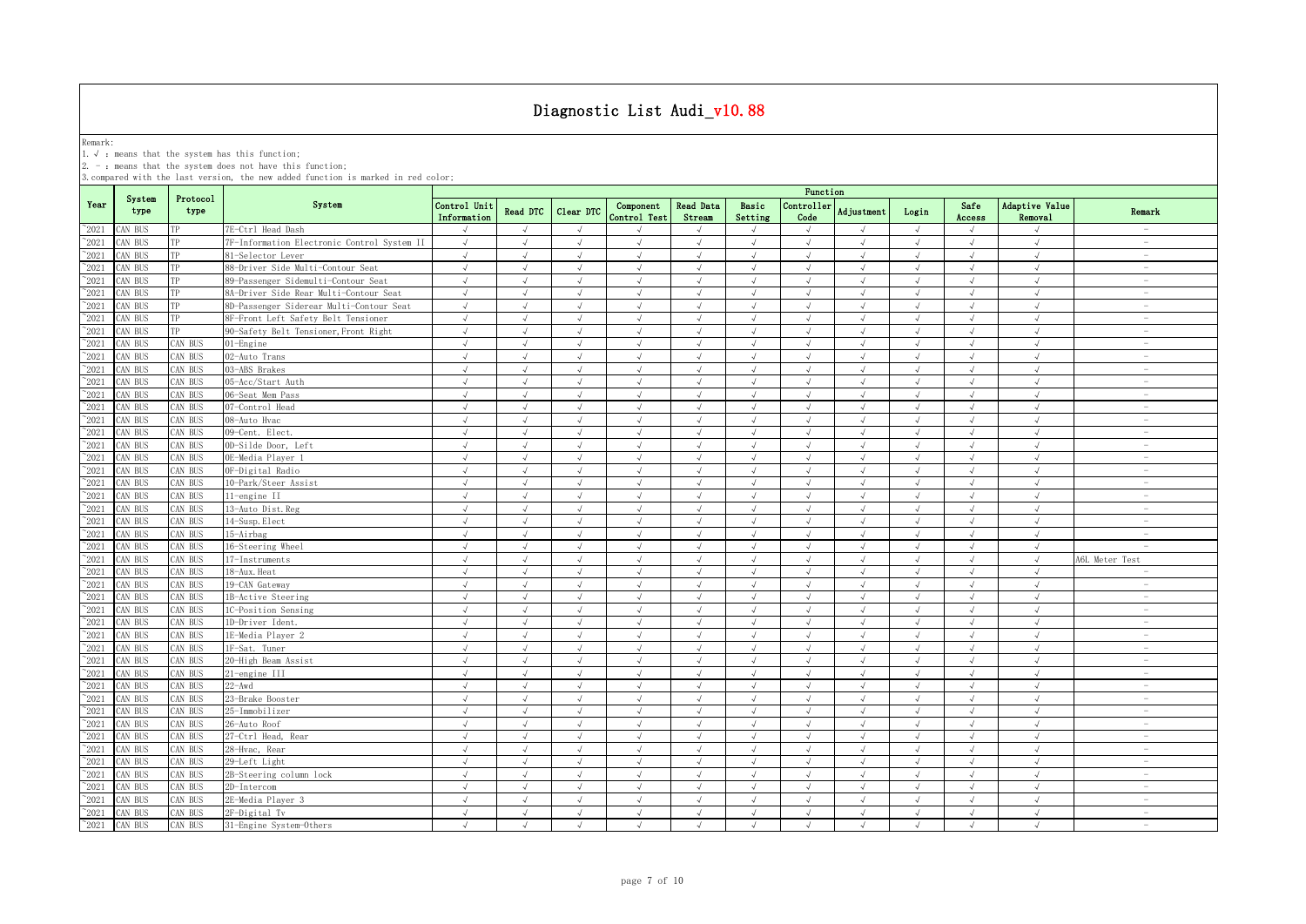Remark:<br>1.√ : means that the system has this function;<br>2. - : means that the system does not have this function;

|                |                |                  |                                             | Function                    |               |            |                           |                            |                  |                    |                   |            |                |                                  |                                 |
|----------------|----------------|------------------|---------------------------------------------|-----------------------------|---------------|------------|---------------------------|----------------------------|------------------|--------------------|-------------------|------------|----------------|----------------------------------|---------------------------------|
| Year           | System<br>type | Protocol<br>type | System                                      | Control Unit<br>Information | Read DTC      | Clear DTC  | Component<br>Control Test | <b>Read Data</b><br>Stream | Basic<br>Setting | Controller<br>Code | <b>Adjustment</b> | Login      | Safe<br>Access | Adaptive Value<br><b>Removal</b> | Remark                          |
| $^{\sim}2021$  | CAN BUS        | TP               | 7E-Ctrl Head Dash                           | $\sqrt{ }$                  | $\mathcal{A}$ | $\sqrt{ }$ |                           |                            | $\sqrt{ }$       |                    |                   | $\sqrt{ }$ |                |                                  | $\sim$                          |
| $^{\sim}2021$  | CAN BUS        | TP               | 7F-Information Electronic Control System II | $\sqrt{ }$                  | $\sqrt{ }$    | $\sqrt{ }$ | $\sqrt{ }$                | $\sqrt{ }$                 | $\sqrt{ }$       | $\sqrt{ }$         | $\sqrt{ }$        | $\sqrt{ }$ | $\sqrt{ }$     | $\sqrt{ }$                       | $\overline{\phantom{a}}$        |
| $^{\sim}2021$  | CAN BUS        | TP               | 81-Selector Lever                           | $\sqrt{ }$                  | $\sqrt{ }$    | $\sqrt{ }$ | $\sqrt{ }$                | $\sqrt{ }$                 | $\sqrt{ }$       | $\sqrt{ }$         | $\sqrt{ }$        | $\sqrt{ }$ | $\sqrt{ }$     | $\sqrt{ }$                       | $\sim$                          |
| $^{\sim}2021$  | CAN BUS        | TP               | 88-Driver Side Multi-Contour Seat           | $\sqrt{ }$                  | $\sqrt{ }$    | $\sqrt{ }$ | $\sqrt{ }$                | $\sqrt{ }$                 | $\sqrt{ }$       | $\sqrt{ }$         | $\sqrt{ }$        | $\sqrt{ }$ | $\sqrt{ }$     | $\sqrt{ }$                       | $\sim$                          |
| $^{\sim}2021$  | CAN BUS        | TP               | 89-Passenger Sidemulti-Contour Seat         | $\sqrt{ }$                  | $\sqrt{ }$    | $\sqrt{ }$ | $\sqrt{ }$                | $\sqrt{ }$                 | $\sqrt{ }$       | $\sqrt{ }$         | $\sqrt{ }$        | $\sqrt{ }$ | $\sqrt{ }$     | $\sqrt{ }$                       | $\sim$                          |
| 2021           | CAN BUS        | TP               | 8A-Driver Side Rear Multi-Contour Seat      | $\sqrt{ }$                  | $\sqrt{2}$    | $\sqrt{}$  | $\sqrt{ }$                | $\sqrt{ }$                 | $\sqrt{ }$       | $\sqrt{ }$         | $\sqrt{ }$        | $\sqrt{ }$ | $\sqrt{ }$     | $\sqrt{ }$                       | $\sim$                          |
| 2021           | CAN BUS        | TP               | 8D-Passenger Siderear Multi-Contour Seat    | $\sqrt{ }$                  |               | $\sqrt{ }$ |                           |                            | $\sqrt{ }$       | $\sqrt{ }$         |                   | $\sqrt{ }$ | √              | $\sqrt{ }$                       | $\hspace{0.1mm}-\hspace{0.1mm}$ |
| 2021           | CAN BUS        | TP               | 8F-Front Left Safety Belt Tensioner         | $\sqrt{ }$                  | $\sqrt{ }$    | $\sqrt{ }$ | $\sqrt{ }$                | $\sqrt{ }$                 | $\sqrt{ }$       | $\sqrt{ }$         | $\lambda$         | $\sqrt{ }$ | J              | $\sqrt{ }$                       | $\sim$                          |
| 2021           | CAN BUS        | TP               | 90-Safety Belt Tensioner, Front Right       | $\sqrt{ }$                  | $\sqrt{ }$    | $\sqrt{ }$ | J                         |                            | $\sqrt{ }$       | $\sqrt{ }$         |                   | $\sqrt{ }$ | $\sqrt{ }$     | $\sqrt{ }$                       | $\overline{\phantom{0}}$        |
| 2021           | CAN BUS        | CAN BUS          | 01-Engine                                   | $\sqrt{ }$                  | $\sqrt{ }$    | $\sqrt{ }$ | $\sqrt{ }$                | $\sqrt{ }$                 | $\sqrt{ }$       | $\sqrt{ }$         |                   | $\sqrt{ }$ | J              | $\sqrt{ }$                       | $\overline{\phantom{0}}$        |
| $^{\sim}2021$  | CAN BUS        | CAN BUS          | 02-Auto Trans                               | $\sqrt{ }$                  |               | $\sqrt{ }$ |                           | $\sqrt{ }$                 | $\mathcal{A}$    | $\sqrt{ }$         |                   | $\sqrt{ }$ | $\sqrt{ }$     | $\sqrt{ }$                       | $\overline{\phantom{0}}$        |
| $\degree$ 2021 | CAN BUS        | CAN BUS          | 03-ABS Brakes                               | $\sqrt{ }$                  | $\sqrt{ }$    | $\sqrt{ }$ | $\sqrt{ }$                | $\sqrt{ }$                 | $\sqrt{ }$       | $\sqrt{ }$         | $\sqrt{ }$        | $\sqrt{ }$ | $\sqrt{ }$     | $\sqrt{ }$                       | $\overline{\phantom{a}}$        |
| $^{\sim}2021$  | CAN BUS        | CAN BUS          | 05-Acc/Start Auth                           | $\sqrt{ }$                  | $\sqrt{ }$    | $\sqrt{ }$ | $\sqrt{ }$                | $\sqrt{ }$                 | $\sqrt{ }$       | $\sqrt{ }$         | $\sqrt{ }$        | $\sqrt{ }$ | $\sqrt{ }$     | $\sqrt{ }$                       | $\sim$                          |
| $\degree$ 2021 | CAN BUS        | CAN BUS          | 06-Seat Mem Pass                            | $\sqrt{ }$                  | $\sqrt{ }$    | $\sqrt{ }$ | $\sqrt{ }$                | $\sqrt{ }$                 | $\sqrt{ }$       | $\sqrt{ }$         | $\sqrt{ }$        | $\sqrt{ }$ | $\sqrt{ }$     | $\sqrt{ }$                       | $\sim$                          |
| $\degree$ 2021 | CAN BUS        | CAN BUS          | 07-Control Head                             | $\sqrt{ }$                  | $\sqrt{ }$    | $\sqrt{ }$ | $\sqrt{ }$                | $\sqrt{ }$                 | $\sqrt{ }$       | $\sqrt{ }$         | $\sqrt{ }$        | $\sqrt{ }$ | $\sqrt{ }$     | $\sqrt{ }$                       | $\overline{\phantom{a}}$        |
| $\degree$ 2021 | CAN BUS        | CAN BUS          | 08-Auto Hvac                                | $\sqrt{ }$                  | $\sqrt{ }$    | $\sqrt{ }$ | $\sqrt{ }$                | $\sqrt{ }$                 | $\sqrt{ }$       | $\sqrt{ }$         | $\mathcal{L}$     | $\sqrt{ }$ | $\sqrt{ }$     | $\sqrt{ }$                       | $\sim$                          |
| $^{\sim}2021$  | CAN BUS        | CAN BUS          | 09-Cent. Elect.                             | $\sqrt{ }$                  | $\sqrt{ }$    | $\sqrt{ }$ | $\sqrt{ }$                | $\sqrt{ }$                 | $\sqrt{ }$       | $\sqrt{ }$         | $\sqrt{ }$        | $\sqrt{ }$ | $\sqrt{ }$     | $\sqrt{ }$                       | $\sim$                          |
| $^{\sim}2021$  | CAN BUS        | CAN BUS          | 0D-Silde Door, Left                         | $\sqrt{ }$                  | $\sqrt{ }$    | $\sqrt{ }$ | $\sqrt{ }$                | $\sqrt{ }$                 | $\sqrt{ }$       | $\sqrt{ }$         | $\sqrt{ }$        | $\sqrt{ }$ | $\sqrt{ }$     | $\sqrt{ }$                       | $\overline{\phantom{a}}$        |
| 2021           | CAN BUS        | CAN BUS          | OE-Media Player 1                           | $\sqrt{ }$                  | $\sqrt{ }$    | $\sqrt{ }$ | $\sqrt{ }$                | $\sqrt{}$                  | $\sqrt{ }$       | $\sqrt{ }$         | $\sqrt{ }$        | $\sqrt{ }$ | $\sqrt{ }$     | $\sqrt{ }$                       | $\sim$                          |
| $^{\sim}2021$  | CAN BUS        | CAN BUS          | OF-Digital Radio                            | $\sqrt{ }$                  | $\sqrt{ }$    | $\sqrt{ }$ | $\sqrt{ }$                | $\sqrt{ }$                 | $\sqrt{ }$       | $\sqrt{ }$         | $\sqrt{ }$        | $\sqrt{ }$ | $\sqrt{ }$     | $\sqrt{ }$                       | $\sim$                          |
| 2021           | CAN BUS        | CAN BUS          | 10-Park/Steer Assist                        | $\sqrt{ }$                  | $\sqrt{ }$    | $\sqrt{ }$ | $\sqrt{ }$                | $\sqrt{ }$                 | $\sqrt{ }$       | $\sqrt{ }$         | $\sqrt{ }$        | $\sqrt{ }$ | $\sqrt{ }$     | $\sqrt{ }$                       | $\sim$                          |
| 2021           | CAN BUS        | CAN BUS          | 11-engine II                                | $\sqrt{ }$                  |               | $\sqrt{ }$ |                           |                            |                  | $\sqrt{ }$         |                   | $\sqrt{ }$ |                |                                  | $\sim$                          |
| 2021           | CAN BUS        | CAN BUS          | 13-Auto Dist. Reg                           | $\sqrt{ }$                  | $\sqrt{ }$    | $\sqrt{ }$ | $\sqrt{ }$                |                            | $\sqrt{ }$       | $\sqrt{ }$         |                   | $\sqrt{ }$ | √              | $\sqrt{ }$                       | $\overline{\phantom{a}}$        |
| 2021           | CAN BUS        | CAN BUS          | 14-Susp. Elect                              | $\sqrt{ }$                  |               | $\sqrt{ }$ |                           |                            |                  |                    |                   | $\sqrt{ }$ |                |                                  | $\overline{\phantom{a}}$        |
| $^{\sim}2021$  | CAN BUS        | CAN BUS          | 15-Airbag                                   | $\sqrt{ }$                  |               | $\sqrt{ }$ |                           |                            | J                | $\sqrt{ }$         |                   | $\sqrt{ }$ | J              | $\sqrt{ }$                       |                                 |
| $^{\sim}2021$  | CAN BUS        | CAN BUS          | 16-Steering Wheel                           | $\sqrt{ }$                  | $\sqrt{ }$    | $\sqrt{ }$ | $\sqrt{ }$                | $\sqrt{ }$                 | $\sqrt{ }$       | $\sqrt{ }$         | $\sqrt{ }$        | $\sqrt{ }$ | $\sqrt{ }$     | $\sqrt{ }$                       |                                 |
| $^{\sim}2021$  | CAN BUS        | CAN BUS          | 17-Instruments                              | $\sqrt{ }$                  | $\sqrt{ }$    | $\sqrt{ }$ | $\sqrt{ }$                | $\sqrt{ }$                 | $\sqrt{ }$       | $\sqrt{ }$         | $\sqrt{ }$        | $\sqrt{ }$ | $\sqrt{ }$     | $\sqrt{ }$                       | A6L Meter Test                  |
| $^{\sim}2021$  | CAN BUS        | CAN BUS          | 18-Aux. Heat                                | $\sqrt{ }$                  | $\sqrt{ }$    | $\sqrt{ }$ | $\sqrt{ }$                | $\sqrt{ }$                 | $\sqrt{ }$       | $\sqrt{ }$         | $\sqrt{ }$        | $\sqrt{ }$ | $\sqrt{ }$     | $\sqrt{ }$                       | $\sim$                          |
| $\degree$ 2021 | CAN BUS        | CAN BUS          | 19-CAN Gateway                              | $\sqrt{ }$                  | $\sqrt{ }$    | $\sqrt{ }$ | J                         | $\sqrt{ }$                 | $\sqrt{ }$       | $\sqrt{ }$         | $\lambda$         | $\sqrt{ }$ | J              | $\sqrt{ }$                       | $\sim$                          |
| $^{\sim}2021$  | CAN BUS        | CAN BUS          | 1B-Active Steering                          | $\sqrt{ }$                  | $\sqrt{ }$    | $\sqrt{ }$ | $\sqrt{ }$                | $\sqrt{ }$                 | $\sqrt{ }$       | $\sqrt{ }$         | $\sqrt{ }$        | $\sqrt{ }$ | $\sqrt{ }$     | $\sqrt{ }$                       | $\sim$                          |
| $^{\sim}2021$  | CAN BUS        | CAN BUS          | 1C-Position Sensing                         | $\sqrt{ }$                  | $\sqrt{ }$    | $\sqrt{ }$ | $\sqrt{ }$                | $\sqrt{ }$                 | $\sqrt{ }$       | $\sqrt{ }$         | $\sqrt{ }$        | $\sqrt{ }$ | $\sqrt{ }$     | $\sqrt{ }$                       | $\overline{\phantom{a}}$        |
| $^{\sim}2021$  | CAN BUS        | CAN BUS          | 1D-Driver Ident.                            | $\sqrt{ }$                  | $\sqrt{ }$    | $\sqrt{ }$ | $\sqrt{ }$                | $\sqrt{ }$                 | $\sqrt{ }$       | $\sqrt{ }$         | $\sqrt{ }$        | $\sqrt{ }$ | $\sqrt{ }$     | $\sqrt{ }$                       | $\sim$                          |
| $^{\sim}2021$  | CAN BUS        | CAN BUS          | 1E-Media Player 2                           | $\sqrt{ }$                  | $\sqrt{ }$    | $\sqrt{ }$ | $\sqrt{ }$                | $\sqrt{ }$                 | $\sqrt{ }$       | $\sqrt{ }$         | $\sqrt{ }$        | $\sqrt{ }$ | $\sqrt{ }$     | $\sqrt{ }$                       | $\sim$                          |
| $^{\sim}2021$  | CAN BUS        | CAN BUS          | 1F-Sat. Tuner                               | $\sqrt{ }$                  | $\sqrt{ }$    | $\sqrt{ }$ | $\sqrt{ }$                | $\sqrt{ }$                 | $\sqrt{ }$       | $\sqrt{ }$         | $\sqrt{ }$        | $\sqrt{ }$ | $\sqrt{ }$     | $\sqrt{ }$                       | $\sim$                          |
| 2021           | CAN BUS        | CAN BUS          | 20-High Beam Assist                         | $\sqrt{ }$                  | $\sqrt{ }$    | $\sqrt{ }$ | $\sqrt{ }$                | $\sqrt{ }$                 | $\sqrt{ }$       | $\sqrt{ }$         | $\sqrt{ }$        | $\sqrt{ }$ | $\sqrt{ }$     | $\sqrt{ }$                       | $\sim$                          |
| 2021           | CAN BUS        | CAN BUS          | 21-engine III                               | $\sqrt{ }$                  | $\sqrt{ }$    | $\sqrt{ }$ | $\sqrt{ }$                | $\sqrt{ }$                 | $\sqrt{ }$       | $\sqrt{ }$         | $\sqrt{ }$        | $\sqrt{ }$ | $\sqrt{ }$     | $\sqrt{ }$                       | $\sim$                          |
| 2021           | CAN BUS        | CAN BUS          | $22 - Awd$                                  | $\sqrt{ }$                  | $\sqrt{ }$    | $\sqrt{ }$ | $\sqrt{ }$                | $\sqrt{ }$                 | $\sqrt{ }$       | $\sqrt{ }$         | $\sqrt{ }$        | $\sqrt{ }$ | $\sqrt{ }$     | $\sqrt{ }$                       | $\overline{\phantom{a}}$        |
| 2021           | CAN BUS        | CAN BUS          | 23-Brake Booster                            | $\sqrt{ }$                  | J             | $\sqrt{ }$ |                           | $\sqrt{ }$                 | $\sqrt{ }$       | $\sqrt{ }$         |                   | $\sqrt{ }$ |                | $\sqrt{ }$                       | $\sim$                          |
| 2021           | CAN BUS        | AN BUS           | 25-Immobilizer                              | $\sqrt{ }$                  |               |            |                           |                            | $\mathcal{L}$    |                    |                   | $\sqrt{ }$ |                |                                  | $\overline{\phantom{a}}$        |
| $\degree$ 2021 | CAN BUS        | CAN BUS          | 26-Auto Roof                                | $\sqrt{ }$                  |               | $\sqrt{ }$ |                           |                            | J                | $\sqrt{ }$         |                   | $\sqrt{ }$ | J              | $\sqrt{ }$                       | $\overline{\phantom{0}}$        |
| $^{\sim}2021$  | CAN BUS        | CAN BUS          | 27-Ctrl Head, Rear                          | $\sqrt{ }$                  | J             | $\sqrt{ }$ | $\sqrt{ }$                | $\sqrt{ }$                 | $\sqrt{ }$       | $\sqrt{ }$         | $\sqrt{ }$        | $\sqrt{ }$ | $\sqrt{ }$     | $\sqrt{ }$                       |                                 |
| $^{\sim}2021$  | CAN BUS        | CAN BUS          | 28-Hvac, Rear                               | $\sqrt{ }$                  | $\sqrt{ }$    | $\sqrt{ }$ | $\sqrt{ }$                | $\sqrt{ }$                 | $\sqrt{ }$       | $\sqrt{ }$         |                   | $\sqrt{ }$ | $\sqrt{ }$     | $\sqrt{ }$                       | $\sim$                          |
| $^{\sim}2021$  | CAN BUS        | CAN BUS          | 29-Left Light                               | $\sqrt{ }$                  | $\sqrt{ }$    | $\sqrt{ }$ | $\sqrt{ }$                | $\sqrt{ }$                 | $\sqrt{ }$       | $\sqrt{ }$         | $\sqrt{ }$        | $\sqrt{ }$ | $\sqrt{ }$     | $\sqrt{ }$                       | $\sim$                          |
| $\degree$ 2021 | CAN BUS        | CAN BUS          | 2B-Steering column lock                     | $\sqrt{ }$                  | $\sqrt{ }$    | $\sqrt{ }$ | $\sqrt{ }$                | $\sqrt{ }$                 | $\sqrt{ }$       | $\sqrt{ }$         | $\sqrt{ }$        | $\sqrt{ }$ | $\sqrt{ }$     | $\sqrt{ }$                       | $\sim$                          |
| $^{\sim}2021$  | CAN BUS        | CAN BUS          | 2D-Intercom                                 | $\sqrt{ }$                  | $\sqrt{ }$    | $\sqrt{ }$ | $\sqrt{ }$                | $\sqrt{ }$                 | $\sqrt{ }$       | $\sqrt{ }$         | $\sqrt{ }$        | $\sqrt{ }$ | $\sqrt{ }$     | $\sqrt{ }$                       | $\overline{\phantom{a}}$        |
| $^{\sim}2021$  | CAN BUS        | CAN BUS          | 2E-Media Player 3                           | $\sqrt{ }$                  | $\sqrt{ }$    | $\sqrt{ }$ | $\sqrt{ }$                | $\sqrt{ }$                 | $\sqrt{ }$       | $\sqrt{ }$         | $\lambda$         | $\sqrt{ }$ | $\sqrt{ }$     | $\sqrt{ }$                       | $\sim$                          |
| $^{\circ}2021$ | CAN BUS        | CAN BUS          | 2F-Digital Tv                               | $\sqrt{ }$                  | $\sqrt{ }$    | $\sqrt{ }$ | $\sqrt{ }$                | $\sqrt{ }$                 | $\sqrt{ }$       | $\sqrt{ }$         | $\sqrt{ }$        | $\sqrt{ }$ | $\sqrt{ }$     | $\sqrt{ }$                       | $\sim$                          |
| $^{\sim}$ 2021 | CAN BUS        | CAN BUS          | 31-Engine System-Others                     | $\sqrt{ }$                  | $\sqrt{ }$    | $\sqrt{ }$ | $\sqrt{ }$                | $\sqrt{ }$                 | $\sqrt{ }$       | $\sqrt{ }$         | $\lambda$         | $\sqrt{ }$ | $\sqrt{ }$     | $\sqrt{ }$                       | $\sim$                          |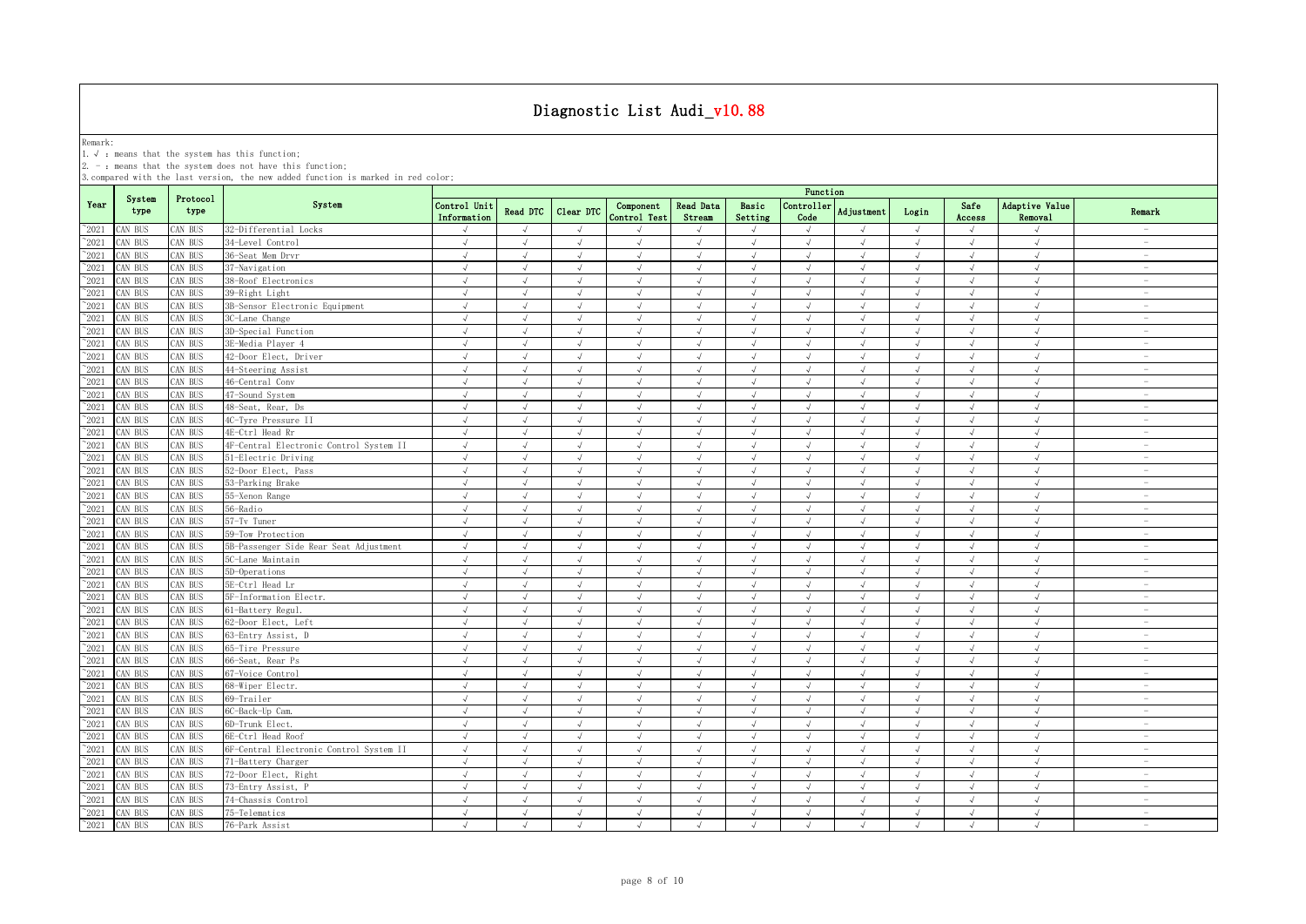Remark:<br>1.√ : means that the system has this function;<br>2. - : means that the system does not have this function;

|                |                |                  |                                         | Function                    |               |            |                           |                            |                  |                    |               |            |                |                           |                                 |
|----------------|----------------|------------------|-----------------------------------------|-----------------------------|---------------|------------|---------------------------|----------------------------|------------------|--------------------|---------------|------------|----------------|---------------------------|---------------------------------|
| Year           | System<br>type | Protocol<br>type | System                                  | Control Unit<br>Information | Read DTC      | Clear DTC  | Component<br>Control Test | <b>Read Data</b><br>Stream | Basic<br>Setting | Controller<br>Code | Adjustment    | Login      | Safe<br>Access | Adaptive Value<br>Removal | Remark                          |
| $^{\sim}$ 2021 | CAN BUS        | CAN BUS          | 32-Differential Locks                   |                             | $\mathcal{A}$ | $\sqrt{ }$ |                           |                            | $\sqrt{ }$       | $\sqrt{ }$         |               | $\sqrt{ }$ |                |                           | $\overline{\phantom{a}}$        |
| $\degree$ 2021 | CAN BUS        | AN BUS           | 34-Level Control                        | $\sqrt{ }$                  | $\sqrt{ }$    | $\sqrt{ }$ | $\sqrt{ }$                | $\sqrt{ }$                 | $\sqrt{ }$       | $\sqrt{ }$         | $\sqrt{ }$    | $\sqrt{ }$ | $\sqrt{ }$     | $\sqrt{ }$                | $\sim$                          |
| $^{\sim}$ 2021 | CAN BUS        | AN BUS           | 36-Seat Mem Drvr                        | $\sqrt{ }$                  | $\sqrt{ }$    | $\sqrt{ }$ | $\sqrt{ }$                | $\sqrt{ }$                 | $\sqrt{ }$       | $\sqrt{ }$         | $\sqrt{ }$    | $\sqrt{ }$ | $\sqrt{ }$     | $\sqrt{ }$                | $\overline{\phantom{0}}$        |
| $\degree$ 2021 | CAN BUS        | AN BUS           | 37-Navigation                           | $\sqrt{ }$                  | $\sqrt{ }$    | $\sqrt{ }$ | $\sqrt{ }$                | $\sqrt{ }$                 | $\sqrt{ }$       | $\sqrt{ }$         | $\sqrt{ }$    | $\sqrt{ }$ | $\sqrt{ }$     | $\sqrt{ }$                | $\overline{\phantom{a}}$        |
| $^{\sim}$ 2021 | CAN BUS        | AN BUS           | 38-Roof Electronics                     | $\sqrt{ }$                  | $\sqrt{ }$    | $\sqrt{ }$ | $\sqrt{ }$                | $\sqrt{ }$                 | $\sqrt{ }$       | $\sqrt{ }$         | $\sqrt{ }$    | $\sqrt{ }$ | $\sqrt{ }$     | $\sqrt{ }$                | $\hspace{0.1mm}-\hspace{0.1mm}$ |
| $\degree$ 2021 | CAN BUS        | AN BUS           | 39-Right Light                          | $\sqrt{ }$                  | $\sqrt{ }$    | $\sqrt{ }$ | $\sqrt{ }$                | $\sqrt{ }$                 | $\sqrt{ }$       | $\sqrt{ }$         | $\sqrt{ }$    | $\sqrt{ }$ | $\sqrt{ }$     | $\sqrt{ }$                | $\sim$                          |
| $\degree$ 2021 | CAN BUS        | AN BUS           | 3B-Sensor Electronic Equipment          | $\sqrt{ }$                  |               | $\sqrt{ }$ |                           |                            | $\sqrt{ }$       | $\sqrt{ }$         | $\sqrt{ }$    | J          | $\sqrt{}$      | $\sqrt{ }$                | $\sim$                          |
| 2021           | CAN BUS        | AN BUS           | 3C-Lane Change                          | $\sqrt{ }$                  | $\sqrt{ }$    | $\sqrt{ }$ | $\sqrt{ }$                | $\sqrt{ }$                 | $\sqrt{ }$       | $\sqrt{ }$         | $\mathcal{A}$ | $\sqrt{ }$ | $\sqrt{ }$     | $\sqrt{ }$                | $\sim$                          |
| 2021           | CAN BUS        | AN BUS           | 3D-Special Function                     | $\sqrt{ }$                  | $\sqrt{ }$    | $\sqrt{ }$ | J                         |                            | $\sqrt{ }$       | $\sqrt{ }$         |               | $\sqrt{ }$ | $\sqrt{ }$     | $\sqrt{ }$                | $\overline{a}$                  |
| 2021           | CAN BUS        | AN BUS           | 3E-Media Player 4                       | $\sqrt{ }$                  | $\sqrt{ }$    | $\sqrt{ }$ | $\sqrt{ }$                | $\sqrt{ }$                 | $\sqrt{ }$       | $\sqrt{ }$         |               | $\sqrt{ }$ | $\sqrt{ }$     | $\sqrt{ }$                | $\overline{\phantom{0}}$        |
| $\degree$ 2021 | CAN BUS        | AN BUS           | 42-Door Elect, Driver                   | $\sqrt{ }$                  |               | $\sqrt{ }$ |                           | $\sqrt{ }$                 | $\mathcal{A}$    | $\sqrt{ }$         |               | $\sqrt{ }$ | $\sqrt{ }$     | $\sqrt{ }$                | $\overline{\phantom{a}}$        |
| $^{\sim}$ 2021 | CAN BUS        | AN BUS           | 44-Steering Assist                      | $\sqrt{ }$                  | $\sqrt{ }$    | $\sqrt{ }$ | $\sqrt{ }$                | $\sqrt{ }$                 | $\sqrt{2}$       | $\sqrt{ }$         | $\sqrt{ }$    | $\sqrt{ }$ | $\sqrt{ }$     | $\sqrt{ }$                | $\overline{\phantom{0}}$        |
| $\degree$ 2021 | CAN BUS        | AN BUS           | 46-Central Conv                         | $\sqrt{ }$                  | $\sqrt{ }$    | $\sqrt{ }$ | $\sqrt{ }$                | $\sqrt{ }$                 | $\sqrt{ }$       | $\sqrt{ }$         | $\sqrt{ }$    | $\sqrt{ }$ | $\sqrt{ }$     | $\sqrt{ }$                | $\sim$                          |
| $^{\sim}$ 2021 | CAN BUS        | AN BUS           | 47-Sound System                         | $\sqrt{ }$                  | $\sqrt{ }$    | $\sqrt{ }$ | $\sqrt{ }$                | $\sqrt{ }$                 | $\sqrt{ }$       | $\sqrt{ }$         | $\sqrt{ }$    | $\sqrt{ }$ | $\sqrt{ }$     | $\sqrt{ }$                | $\sim$                          |
| $^{\sim}$ 2021 | CAN BUS        | AN BUS           | 48-Seat, Rear, Ds                       | $\sqrt{ }$                  | $\sqrt{ }$    | $\sqrt{ }$ | $\sqrt{ }$                | $\sqrt{ }$                 | $\sqrt{ }$       | $\sqrt{ }$         | $\sqrt{ }$    | $\sqrt{ }$ | $\sqrt{ }$     | $\sqrt{ }$                | $\overline{\phantom{a}}$        |
| $\degree$ 2021 | CAN BUS        | AN BUS           | 4C-Tyre Pressure II                     | $\sqrt{ }$                  | $\sqrt{ }$    | $\sqrt{ }$ | $\sqrt{ }$                | $\sqrt{ }$                 | $\sqrt{ }$       | $\sqrt{ }$         | $\sqrt{ }$    | $\sqrt{ }$ | J              | $\sqrt{ }$                | $\sim$                          |
| $\degree$ 2021 | CAN BUS        | CAN BUS          | 4E-Ctrl Head Rr                         | $\sqrt{ }$                  | $\sqrt{ }$    | $\sqrt{ }$ | $\sqrt{ }$                | $\sqrt{ }$                 | $\sqrt{ }$       | $\sqrt{ }$         | $\sqrt{ }$    | $\sqrt{ }$ | $\sqrt{ }$     | $\sqrt{ }$                | $\sim$                          |
| $^{\sim}$ 2021 | CAN BUS        | CAN BUS          | 4F-Central Electronic Control System II | $\sqrt{ }$                  | $\sqrt{ }$    | $\sqrt{ }$ | $\sqrt{ }$                | $\sqrt{ }$                 | $\sqrt{ }$       | $\sqrt{ }$         | $\sqrt{ }$    | $\sqrt{ }$ | $\sqrt{ }$     | $\sqrt{ }$                | $\overline{\phantom{m}}$        |
| $^{\sim}2021$  | CAN BUS        | AN BUS           | 51-Electric Driving                     | $\sqrt{ }$                  | $\sqrt{ }$    | $\sqrt{ }$ | $\sqrt{ }$                | $\sqrt{}$                  | $\sqrt{ }$       | $\sqrt{ }$         | $\sqrt{ }$    | $\sqrt{ }$ | $\sqrt{ }$     | $\sqrt{ }$                | $\sim$                          |
| $^{\sim}2021$  | CAN BUS        | AN BUS           | 52-Door Elect, Pass                     | $\sqrt{ }$                  | $\sqrt{ }$    | $\sqrt{ }$ | J                         | $\sqrt{ }$                 | $\sqrt{ }$       | $\sqrt{ }$         | $\sqrt{ }$    | $\sqrt{ }$ | $\sqrt{ }$     | $\sqrt{ }$                | $\sim$                          |
| $^{\sim}2021$  | CAN BUS        | AN BUS           | 53-Parking Brake                        | $\sqrt{ }$                  | $\sqrt{ }$    | $\sqrt{ }$ | $\sqrt{ }$                | $\sqrt{ }$                 | $\sqrt{ }$       | $\sqrt{ }$         | $\sqrt{ }$    | $\sqrt{ }$ | $\sqrt{}$      | $\sqrt{ }$                | $\sim$                          |
| $^{\sim}2021$  | CAN BUS        | AN BUS           | 55-Xenon Range                          | J                           |               | $\sqrt{ }$ |                           |                            |                  | $\sqrt{ }$         |               |            |                | $\sqrt{ }$                | $\overline{\phantom{a}}$        |
| 2021           | CAN BUS        | AN BUS           | 56-Radio                                | $\sqrt{ }$                  | $\sqrt{ }$    | $\sqrt{ }$ | √                         |                            | $\sqrt{ }$       | $\sqrt{ }$         |               | $\sqrt{}$  | $\sqrt{ }$     | $\sqrt{ }$                | $\overline{\phantom{m}}$        |
| 2021           | CAN BUS        | AN BUS           | 57-Tv Tuner                             | $\sqrt{ }$                  |               |            |                           |                            |                  | $\mathcal{A}$      |               |            |                | $\mathcal{A}$             | $\overline{\phantom{a}}$        |
| $^{\sim}$ 2021 | CAN BUS        | AN BUS           | 59-Tow Protection                       | $\sqrt{ }$                  | J             | $\sqrt{ }$ |                           |                            | J                | $\sqrt{ }$         |               | $\sqrt{ }$ | $\sqrt{ }$     | $\sqrt{ }$                | $\overline{\phantom{0}}$        |
| $\degree$ 2021 | CAN BUS        | AN BUS           | 5B-Passenger Side Rear Seat Adjustment  | $\sqrt{ }$                  |               | $\sqrt{ }$ | $\sqrt{ }$                | $\sqrt{ }$                 | $\sqrt{ }$       | $\sqrt{ }$         |               | $\sqrt{ }$ | $\sqrt{ }$     | $\sqrt{ }$                |                                 |
| $^{\sim}$ 2021 | CAN BUS        | AN BUS           | 5C-Lane Maintain                        | $\sqrt{ }$                  | $\sqrt{ }$    | $\sqrt{ }$ | $\sqrt{ }$                | $\sqrt{ }$                 | $\sqrt{ }$       | $\sqrt{ }$         | $\sqrt{ }$    | $\sqrt{ }$ | $\sqrt{ }$     | $\sqrt{ }$                | $\overline{\phantom{a}}$        |
| $^{\sim}$ 2021 | CAN BUS        | AN BUS           | 5D-Operations                           | $\sqrt{ }$                  | $\sqrt{ }$    | $\sqrt{ }$ | $\sqrt{ }$                | $\sqrt{ }$                 | $\sqrt{ }$       | $\sqrt{ }$         | $\sqrt{ }$    | $\sqrt{ }$ | $\sqrt{ }$     | $\sqrt{ }$                | $\overline{\phantom{a}}$        |
| $^{\sim}$ 2021 | CAN BUS        | AN BUS           | 5E-Ctrl Head Lr                         | $\sqrt{ }$                  | $\sqrt{ }$    | $\sqrt{ }$ | $\sqrt{ }$                | $\sqrt{ }$                 | $\sqrt{ }$       | $\sqrt{ }$         | $\mathcal{A}$ | $\sqrt{ }$ | $\sqrt{ }$     | $\sqrt{ }$                | $\sim$                          |
| $^{\sim}$ 2021 | CAN BUS        | AN BUS           | 5F-Information Electr.                  | $\sqrt{ }$                  | $\sqrt{ }$    | $\sqrt{ }$ | $\sqrt{ }$                | $\sqrt{ }$                 | $\sqrt{ }$       | $\sqrt{ }$         | $\lambda$     | $\sqrt{ }$ | $\sqrt{ }$     | $\sqrt{ }$                | $\sim$                          |
| $\degree$ 2021 | CAN BUS        | AN BUS           | 61-Battery Regul                        | $\sqrt{ }$                  | $\sqrt{ }$    | $\sqrt{ }$ | $\sqrt{ }$                | $\sqrt{ }$                 | $\sqrt{ }$       | $\sqrt{ }$         | $\sqrt{ }$    | $\sqrt{ }$ | $\sqrt{ }$     | $\sqrt{ }$                | $\overline{\phantom{0}}$        |
| $\degree$ 2021 | CAN BUS        | <b>CAN BUS</b>   | 62-Door Elect, Left                     | $\sqrt{ }$                  | $\sqrt{ }$    | $\sqrt{ }$ | $\sqrt{ }$                | $\sqrt{ }$                 | $\sqrt{ }$       | $\sqrt{ }$         | $\sqrt{ }$    | $\sqrt{ }$ | $\sqrt{ }$     | $\sqrt{ }$                | $\sim$                          |
| $^{\sim}$ 2021 | CAN BUS        | AN BUS           | 63-Entry Assist, D                      | $\sqrt{ }$                  | $\sqrt{ }$    | $\sqrt{ }$ | $\sqrt{ }$                | $\sqrt{ }$                 | $\sqrt{ }$       | $\sqrt{ }$         | $\sqrt{ }$    | $\sqrt{ }$ | $\sqrt{ }$     | $\sqrt{ }$                | $\overline{\phantom{m}}$        |
| $^{\sim}2021$  | CAN BUS        | AN BUS           | 65-Tire Pressure                        | $\sqrt{ }$                  | $\sqrt{ }$    | $\sqrt{ }$ | $\sqrt{ }$                | $\sqrt{ }$                 | $\sqrt{ }$       | $\sqrt{ }$         | $\sqrt{ }$    | $\sqrt{ }$ | $\sqrt{ }$     | $\sqrt{ }$                | $\overline{\phantom{a}}$        |
| $^{\sim}2021$  | CAN BUS        | AN BUS           | 66-Seat, Rear Ps                        | $\sqrt{ }$                  | $\sqrt{ }$    | $\sqrt{ }$ | $\sqrt{ }$                | $\sqrt{ }$                 | $\sqrt{ }$       | $\sqrt{ }$         | $\sqrt{ }$    | $\sqrt{ }$ | $\sqrt{ }$     | $\sqrt{ }$                | $\sim$                          |
| $\degree$ 2021 | CAN BUS        | AN BUS           | 67-Voice Control                        | $\sqrt{ }$                  | $\sqrt{ }$    | $\sqrt{ }$ | $\sqrt{ }$                | $\sqrt{ }$                 | $\sqrt{ }$       | $\sqrt{ }$         | $\sqrt{ }$    | $\sqrt{ }$ | $\sqrt{ }$     | $\sqrt{ }$                | $\sim$                          |
| $\degree$ 2021 | CAN BUS        | AN BUS           | 68-Wiper Electr.                        | $\sqrt{ }$                  | $\sqrt{ }$    | $\sqrt{ }$ | $\sqrt{ }$                | $\sqrt{ }$                 | $\sqrt{ }$       | $\sqrt{ }$         | $\sqrt{ }$    | $\sqrt{ }$ | $\sqrt{ }$     | $\sqrt{ }$                | $\qquad \qquad =$               |
| 2021           | CAN BUS        | AN BUS           | 69-Trailer                              | $\sqrt{ }$                  | $\sqrt{ }$    | $\sqrt{ }$ |                           |                            | J                | $\sqrt{ }$         | $\mathcal{L}$ | $\sqrt{ }$ |                | $\sqrt{ }$                | $\overline{\phantom{a}}$        |
| 2021           | CAN BUS        | AN BUS           | 6C-Back-Up Cam.                         | J                           |               |            |                           |                            |                  | $\sqrt{ }$         |               |            |                | $\sqrt{ }$                | $\overline{\phantom{a}}$        |
| $^{\sim}$ 2021 | CAN BUS        | AN BUS           | 6D-Trunk Elect.                         | $\sqrt{ }$                  |               | $\sqrt{ }$ |                           |                            |                  | $\sqrt{ }$         |               | J          | J              | $\sqrt{ }$                | $\overline{a}$                  |
| $\degree$ 2021 | CAN BUS        | AN BUS           | 6E-Ctrl Head Roof                       | $\sqrt{ }$                  | J             | $\sqrt{ }$ | $\sqrt{ }$                |                            | J                | $\sqrt{ }$         | $\sqrt{ }$    | $\sqrt{ }$ | $\sqrt{ }$     | $\sqrt{ }$                |                                 |
| $^{\sim}$ 2021 | CAN BUS        | AN BUS           | 6F-Central Electronic Control System II | $\sqrt{ }$                  | $\mathcal{A}$ | $\sqrt{ }$ | $\mathcal{L}$             | $\sqrt{ }$                 | $\sqrt{ }$       | $\sqrt{ }$         |               | $\sqrt{ }$ | $\sqrt{ }$     | $\sqrt{ }$                | $\sim$                          |
| $^{\sim}$ 2021 | CAN BUS        | AN BUS           | 71-Battery Charger                      | $\sqrt{ }$                  | $\sqrt{ }$    | $\sqrt{ }$ | $\sqrt{ }$                | $\sqrt{ }$                 | $\sqrt{ }$       | $\sqrt{ }$         | $\lambda$     | $\sqrt{ }$ | $\sqrt{ }$     | $\sqrt{ }$                | $\sim$                          |
| $^{\sim}$ 2021 | CAN BUS        | AN BUS           | 72-Door Elect, Right                    | $\sqrt{ }$                  | $\sqrt{ }$    | $\sqrt{ }$ | $\sqrt{ }$                | $\sqrt{ }$                 | $\sqrt{ }$       | $\sqrt{ }$         | $\sqrt{ }$    | $\sqrt{ }$ | $\sqrt{ }$     | $\sqrt{ }$                | $\overline{\phantom{a}}$        |
| $^{\sim}$ 2021 | CAN BUS        | CAN BUS          | 73-Entry Assist, P                      | $\sqrt{ }$                  | $\sqrt{ }$    | $\sqrt{ }$ | $\sqrt{ }$                | $\sqrt{ }$                 | $\sqrt{ }$       | $\sqrt{ }$         | $\sqrt{ }$    | $\sqrt{ }$ | $\sqrt{ }$     | $\sqrt{ }$                | $\overline{\phantom{a}}$        |
| $\degree$ 2021 | CAN BUS        | <b>CAN BUS</b>   | 74-Chassis Control                      | $\sqrt{ }$                  | $\mathcal{A}$ | $\sqrt{ }$ | $\sqrt{ }$                | $\sqrt{ }$                 | $\sqrt{ }$       | $\sqrt{ }$         | $\mathcal{A}$ | $\sqrt{ }$ | $\sqrt{ }$     | $\sqrt{ }$                | $\overline{\phantom{a}}$        |
| $^{\sim}$ 2021 | CAN BUS        | CAN BUS          | 75-Telematics                           | $\sqrt{ }$                  | $\sqrt{ }$    | $\sqrt{ }$ | $\sqrt{ }$                | $\sqrt{ }$                 | $\sqrt{ }$       | $\sqrt{ }$         | $\sqrt{ }$    | $\sqrt{ }$ | $\sqrt{ }$     | $\sqrt{ }$                | $\overline{\phantom{a}}$        |
| $^{\sim}$ 2021 | CAN BUS        | CAN BUS          | 76-Park Assist                          | $\sqrt{ }$                  | $\sqrt{ }$    | $\sqrt{ }$ | $\sqrt{ }$                | $\sqrt{ }$                 | $\sqrt{ }$       | $\sqrt{ }$         | $\mathcal{A}$ | $\sqrt{ }$ | $\sqrt{ }$     | $\sqrt{ }$                | $\overline{\phantom{m}}$        |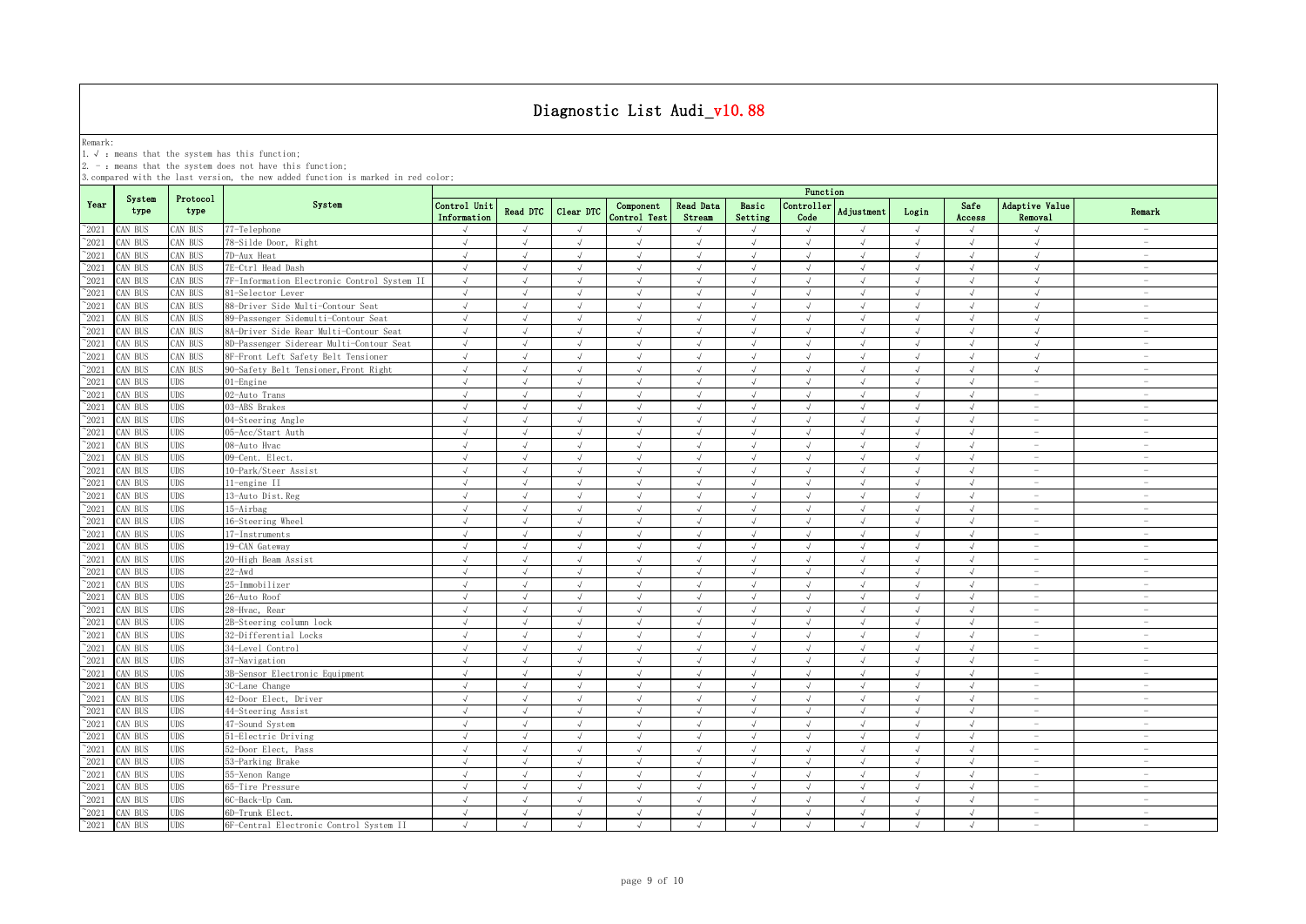Remark:<br>1.√ : means that the system has this function;<br>2. - : means that the system does not have this function;

|                |                |                  |                                             | Function                    |               |            |                           |                     |                  |                    |               |            |                |                           |                                 |
|----------------|----------------|------------------|---------------------------------------------|-----------------------------|---------------|------------|---------------------------|---------------------|------------------|--------------------|---------------|------------|----------------|---------------------------|---------------------------------|
| Year           | System<br>type | Protocol<br>type | System                                      | Control Unit<br>Information | Read DTC      | Clear DTC  | Component<br>Control Test | Read Data<br>Stream | Basic<br>Setting | Controller<br>Code | Adjustment    | Login      | Safe<br>Access | Adaptive Value<br>Removal | Remark                          |
| $^{\sim}2021$  | CAN BUS        | CAN BUS          | 77-Telephone                                |                             | $\sqrt{ }$    | $\sqrt{ }$ |                           |                     | $\sqrt{ }$       |                    |               | $\sqrt{ }$ | $\sqrt{ }$     |                           | $\overline{\phantom{a}}$        |
| $^{\sim}2021$  | CAN BUS        | CAN BUS          | 78-Silde Door, Right                        | $\sqrt{ }$                  | $\sqrt{ }$    | $\sqrt{ }$ | $\sqrt{ }$                | $\sqrt{ }$          | $\sqrt{ }$       | $\sqrt{ }$         | $\sqrt{ }$    | $\sqrt{ }$ | $\sqrt{ }$     | $\sqrt{ }$                | $\sim$                          |
| $^{\sim}2021$  | CAN BUS        | CAN BUS          | 7D-Aux Heat                                 | $\sqrt{ }$                  | $\sqrt{ }$    | $\sqrt{ }$ | $\sqrt{ }$                | $\sqrt{ }$          | $\sqrt{ }$       | $\sqrt{ }$         | $\sqrt{ }$    | $\sqrt{ }$ | $\sqrt{ }$     | $\sqrt{ }$                | $\overline{\phantom{a}}$        |
| $^{\sim}2021$  | CAN BUS        | CAN BUS          | 7E-Ctrl Head Dash                           | $\sqrt{ }$                  | $\sqrt{ }$    | $\sqrt{ }$ | $\sqrt{ }$                | $\sqrt{ }$          | $\sqrt{ }$       | $\sqrt{ }$         | $\sqrt{ }$    | $\sqrt{ }$ | $\sqrt{ }$     | $\sqrt{ }$                | $\sim$                          |
| $^{\sim}2021$  | CAN BUS        | CAN BUS          | 7F-Information Electronic Control System II | $\sqrt{ }$                  | $\sqrt{ }$    | $\sqrt{ }$ | $\sqrt{ }$                | $\sqrt{ }$          | $\sqrt{ }$       | $\sqrt{ }$         | $\sqrt{ }$    | $\sqrt{ }$ | $\sqrt{ }$     | $\sqrt{ }$                | $\sim$                          |
| 2021           | CAN BUS        | CAN BUS          | 81-Selector Lever                           | $\sqrt{ }$                  | $\sqrt{ }$    | $\sqrt{ }$ | $\sqrt{ }$                | $\sqrt{ }$          | $\sqrt{ }$       | $\sqrt{ }$         | $\sqrt{ }$    | $\sqrt{ }$ | $\sqrt{ }$     | $\sqrt{ }$                | $\sim$                          |
| 2021           | CAN BUS        | AN BUS           | 88-Driver Side Multi-Contour Seat           | $\sqrt{ }$                  |               |            | J                         |                     | $\sqrt{ }$       | $\sqrt{ }$         |               | J          |                | J                         | <b>Section</b>                  |
| 2021           | CAN BUS        | CAN BUS          | 89-Passenger Sidemulti-Contour Seat         | $\sqrt{ }$                  | $\sqrt{ }$    | $\sqrt{ }$ | $\sqrt{ }$                |                     | $\sqrt{ }$       | J                  | $\sqrt{ }$    | $\sqrt{ }$ | J              | $\sqrt{ }$                | $\sim$                          |
| 2021           | CAN BUS        | CAN BUS          | 8A-Driver Side Rear Multi-Contour Seat      | $\sqrt{ }$                  | $\mathcal{L}$ | J          | $\sqrt{ }$                |                     | $\sqrt{ }$       | $\sqrt{ }$         | $\sqrt{ }$    | $\sqrt{ }$ | $\sqrt{ }$     | $\sqrt{ }$                | $\overline{\phantom{a}}$        |
| 2021           | CAN BUS        | CAN BUS          | 8D-Passenger Siderear Multi-Contour Seat    | $\sqrt{ }$                  | $\sqrt{ }$    | $\sqrt{ }$ | J                         |                     | $\sqrt{ }$       | $\sqrt{ }$         |               | $\sqrt{ }$ | $\sqrt{ }$     | $\sqrt{ }$                | $\overline{\phantom{m}}$        |
| $^{\sim}2021$  | CAN BUS        | CAN BUS          | 8F-Front Left Safety Belt Tensioner         | $\sqrt{ }$                  |               | $\sqrt{ }$ | $\mathcal{L}$             |                     | $\sqrt{ }$       | J                  |               | $\sqrt{ }$ | $\lambda$      | $\sqrt{ }$                | $\overline{\phantom{a}}$        |
| $\degree$ 2021 | CAN BUS        | CAN BUS          | 90-Safety Belt Tensioner, Front Right       | $\sqrt{ }$                  | $\sqrt{ }$    | $\sqrt{ }$ | $\sqrt{ }$                | $\sqrt{ }$          | $\sqrt{ }$       | $\sqrt{ }$         | $\sqrt{ }$    | $\sqrt{ }$ | $\sqrt{ }$     | $\sqrt{ }$                | $\overline{\phantom{a}}$        |
| $^{\sim}2021$  | CAN BUS        | <b>UDS</b>       | 01-Engine                                   | $\sqrt{ }$                  | $\sqrt{ }$    | $\sqrt{ }$ | $\sqrt{ }$                |                     | $\sqrt{ }$       | $\sqrt{ }$         | $\sqrt{ }$    | $\sqrt{ }$ | $\sqrt{ }$     | $\overline{\phantom{a}}$  | $\sim$                          |
| $\degree$ 2021 | CAN BUS        | UDS              | 02-Auto Trans                               | $\sqrt{ }$                  | $\sqrt{ }$    | $\sqrt{ }$ | $\sqrt{ }$                | $\sqrt{ }$          | $\sqrt{ }$       | $\sqrt{ }$         | $\sqrt{ }$    | $\sqrt{ }$ | $\sqrt{ }$     | $\overline{\phantom{a}}$  | $\hspace{0.1mm}-\hspace{0.1mm}$ |
| $\degree$ 2021 | CAN BUS        | <b>UDS</b>       | 03-ABS Brakes                               | $\sqrt{ }$                  | $\sqrt{ }$    | $\sqrt{ }$ | $\sqrt{ }$                | $\sqrt{ }$          | $\sqrt{ }$       | $\sqrt{ }$         | $\sqrt{ }$    | $\sqrt{ }$ | $\sqrt{ }$     | $\sim$                    | $\overline{\phantom{a}}$        |
| $^{\circ}2021$ | CAN BUS        | UDS              | 04-Steering Angle                           | $\sqrt{ }$                  | $\sqrt{ }$    | $\sqrt{ }$ | $\sqrt{ }$                | $\sqrt{ }$          | $\sqrt{ }$       | $\sqrt{ }$         | $\sqrt{ }$    | $\sqrt{ }$ | $\sqrt{ }$     | $\overline{\phantom{a}}$  | $\sim$                          |
| $\degree$ 2021 | CAN BUS        | UDS              | 05-Acc/Start Auth                           | $\sqrt{ }$                  | $\sqrt{ }$    | $\sqrt{ }$ | $\sqrt{ }$                | $\sqrt{ }$          | $\sqrt{ }$       | $\sqrt{ }$         | $\mathcal{L}$ | $\sqrt{ }$ | $\sqrt{ }$     | $\sim$                    | $\sim$                          |
| $^{\sim}2021$  | CAN BUS        | <b>UDS</b>       | 08-Auto Hvac                                | $\sqrt{ }$                  | $\sqrt{ }$    | $\sqrt{ }$ | $\sqrt{ }$                | $\sqrt{ }$          | $\sqrt{ }$       | $\sqrt{ }$         | $\sqrt{ }$    | $\sqrt{ }$ | $\sqrt{ }$     | $\sim$                    | $\sim$                          |
| $^{\sim}2021$  | CAN BUS        | <b>UDS</b>       | 09-Cent. Elect.                             | $\sqrt{ }$                  | $\sqrt{ }$    | $\sqrt{ }$ | $\sqrt{ }$                | $\sqrt{ }$          | $\sqrt{ }$       | $\sqrt{ }$         | $\sqrt{ }$    | $\sqrt{ }$ | $\sqrt{ }$     | $\overline{\phantom{a}}$  | $\sim$                          |
| 2021           | CAN BUS        | <b>UDS</b>       | 10-Park/Steer Assist                        | $\sqrt{ }$                  | $\sqrt{ }$    | $\sqrt{ }$ | $\sqrt{ }$                | $\sqrt{ }$          | $\sqrt{ }$       | $\sqrt{ }$         | $\sqrt{ }$    | $\sqrt{ }$ | $\sqrt{ }$     | $\overline{\phantom{a}}$  | $\hspace{0.1mm}-\hspace{0.1mm}$ |
| 2021           | CAN BUS        | <b>UDS</b>       | 11-engine II                                | $\sqrt{ }$                  | $\sqrt{ }$    | $\sqrt{ }$ | $\sqrt{ }$                | $\sqrt{ }$          | $\sqrt{ }$       | $\sqrt{ }$         | $\sqrt{ }$    | $\sqrt{ }$ | $\sqrt{ }$     | $\sim$                    | $\sim$                          |
| 2021           | CAN BUS        | UDS              | 13-Auto Dist. Reg                           | $\sqrt{ }$                  | $\sqrt{ }$    | $\sqrt{ }$ | J                         |                     | $\sqrt{ }$       | $\sqrt{ }$         | $\sqrt{ }$    | $\sqrt{ }$ | $\sqrt{ }$     | $\overline{\phantom{a}}$  | $\sim$                          |
| 2021           | CAN BUS        | UDS              | 15-Airbag                                   | $\sqrt{ }$                  | $\sqrt{ }$    | $\sqrt{ }$ | $\sqrt{ }$                |                     | $\sqrt{ }$       | $\sqrt{ }$         | $\sqrt{ }$    | $\sqrt{ }$ | $\sqrt{ }$     | $\overline{\phantom{a}}$  | $\sim$                          |
| 2021           | CAN BUS        | <b>UDS</b>       | 16-Steering Wheel                           | $\sqrt{ }$                  | $\mathcal{A}$ |            | $\mathcal{L}$             |                     | $\sqrt{ }$       | $\mathcal{A}$      | $\sqrt{ }$    | $\sqrt{ }$ | $\sqrt{ }$     | $\overline{\phantom{a}}$  | $\sim$                          |
| 2021           | CAN BUS        | <b>UDS</b>       | 17-Instruments                              | $\sqrt{ }$                  |               | J          |                           |                     | $\sqrt{ }$       | J                  |               | $\sqrt{ }$ |                | $\overline{\phantom{a}}$  | $\overline{\phantom{a}}$        |
| $^{\sim}2021$  | CAN BUS        | <b>UDS</b>       | 19-CAN Gateway                              | $\sqrt{ }$                  | $\mathcal{A}$ | $\sqrt{ }$ | $\sqrt{ }$                |                     | $\sqrt{ }$       | $\sqrt{ }$         | $\sqrt{ }$    | $\sqrt{ }$ | $\sqrt{ }$     |                           |                                 |
| $\degree$ 2021 | CAN BUS        | <b>UDS</b>       | 20-High Beam Assist                         | $\sqrt{ }$                  | $\sqrt{ }$    | $\sqrt{ }$ | $\sqrt{ }$                | $\sqrt{ }$          | $\sqrt{ }$       | $\sqrt{ }$         | $\sqrt{ }$    | $\sqrt{ }$ | $\sqrt{ }$     | $\sim$                    | $\sim$                          |
| $^{\sim}2021$  | CAN BUS        | <b>UDS</b>       | $22 - Awd$                                  | $\sqrt{ }$                  | $\sqrt{ }$    | $\sqrt{ }$ | $\sqrt{ }$                | $\sqrt{ }$          | $\sqrt{ }$       | $\sqrt{ }$         | $\sqrt{ }$    | $\sqrt{ }$ | $\sqrt{ }$     | $\sim$                    | $\sim$                          |
| $\degree$ 2021 | CAN BUS        | <b>UDS</b>       | 25-Immobilizer                              | $\sqrt{ }$                  | $\sqrt{ }$    | $\sqrt{ }$ | $\sqrt{ }$                | $\sqrt{ }$          | $\sqrt{ }$       | $\sqrt{ }$         | $\sqrt{ }$    | $\sqrt{ }$ | $\sqrt{ }$     | $\sim$                    | $\sim$                          |
| $\degree$ 2021 | CAN BUS        | <b>UDS</b>       | 26-Auto Roof                                | $\sqrt{ }$                  | $\sqrt{ }$    | $\sqrt{ }$ | $\sqrt{ }$                | $\sqrt{ }$          | $\sqrt{ }$       | $\sqrt{ }$         | $\sqrt{ }$    | $\sqrt{ }$ | $\sqrt{ }$     | $\sim$                    | $\sim$                          |
| $\degree$ 2021 | CAN BUS        | <b>UDS</b>       | 28-Hvac, Rear                               | $\sqrt{ }$                  | $\sqrt{ }$    | $\sqrt{ }$ | $\sqrt{ }$                | $\sqrt{ }$          | $\sqrt{ }$       | $\sqrt{ }$         | $\sqrt{ }$    | $\sqrt{ }$ | $\sqrt{ }$     | $\overline{\phantom{m}}$  | $\overline{\phantom{a}}$        |
| $^{\sim}2021$  | CAN BUS        | <b>UDS</b>       | 2B-Steering column lock                     | $\sqrt{ }$                  | $\sqrt{ }$    | $\sqrt{ }$ | $\sqrt{ }$                | $\sqrt{ }$          | $\sqrt{ }$       | $\sqrt{}$          | $\sqrt{ }$    | $\sqrt{ }$ | $\sqrt{ }$     | $\overline{\phantom{a}}$  | $\sim$                          |
| $^{\sim}2021$  | CAN BUS        | <b>UDS</b>       | 32-Differential Locks                       | $\sqrt{ }$                  | $\mathcal{L}$ | $\sqrt{ }$ | $\lambda$                 | $\sqrt{ }$          | $\sqrt{ }$       | $\sqrt{ }$         | $\mathcal{L}$ | $\sqrt{ }$ | $\sqrt{ }$     | $\overline{\phantom{a}}$  | $\sim$                          |
| 2021           | CAN BUS        | <b>UDS</b>       | 34-Level Control                            | $\sqrt{ }$                  | $\sqrt{ }$    | $\sqrt{ }$ | $\sqrt{ }$                | $\sqrt{ }$          | $\sqrt{ }$       | $\sqrt{ }$         | $\sqrt{ }$    | $\sqrt{ }$ | $\sqrt{ }$     | $\overline{\phantom{a}}$  | $\overline{\phantom{a}}$        |
| 2021           | CAN BUS        | <b>UDS</b>       | 37-Navigation                               | $\sqrt{ }$                  | $\sqrt{ }$    | $\sqrt{ }$ | $\sqrt{ }$                |                     | $\sqrt{ }$       | $\sqrt{ }$         | $\sqrt{ }$    | $\sqrt{ }$ | $\sqrt{ }$     | $\overline{\phantom{a}}$  | $\sim$                          |
| 2021           | CAN BUS        | UDS              | 3B-Sensor Electronic Equipment              | $\sqrt{ }$                  | $\sqrt{ }$    | $\sqrt{ }$ | $\sqrt{ }$                | $\sqrt{}$           | $\sqrt{ }$       | $\sqrt{ }$         | $\sqrt{ }$    | $\sqrt{ }$ | $\sqrt{ }$     | $\overline{\phantom{a}}$  | $\hspace{0.1mm}-\hspace{0.1mm}$ |
| 2021           | CAN BUS        | <b>UDS</b>       | 3C-Lane Change                              | $\sqrt{ }$                  | $\sqrt{ }$    | $\sqrt{ }$ | $\sqrt{ }$                |                     | $\sqrt{ }$       | J                  | $\sqrt{ }$    | $\sqrt{ }$ | $\sqrt{ }$     | $\overline{\phantom{a}}$  | $\sim$                          |
| 2021           | CAN BUS        | UDS              | 42-Door Elect, Driver                       | $\sqrt{ }$                  | $\sqrt{ }$    |            |                           |                     | √                |                    |               |            |                | $\sim$                    | $\sim$                          |
| 2021           | CAN BUS        | UDS              | 44-Steering Assist                          | <sup>N</sup>                |               |            |                           |                     | $\cdot$          |                    |               |            |                | $\overline{\phantom{a}}$  | $\sim$                          |
| $\degree$ 2021 | CAN BUS        | <b>UDS</b>       | 47-Sound System                             | $\sqrt{ }$                  |               | $\sqrt{ }$ | $\sqrt{ }$                |                     | $\sqrt{ }$       | $\sqrt{ }$         |               | $\sqrt{ }$ | $\sqrt{ }$     |                           | $\overline{\phantom{m}}$        |
| $\degree$ 2021 | CAN BUS        | UDS              | 51-Electric Driving                         | $\sqrt{ }$                  |               | $\sqrt{ }$ | $\sqrt{ }$                |                     | J                | $\sqrt{ }$         | $\sqrt{ }$    | $\sqrt{ }$ | $\sqrt{ }$     |                           |                                 |
| $^{\sim}2021$  | CAN BUS        | <b>UDS</b>       | 52-Door Elect, Pass                         | $\sqrt{ }$                  | $\sqrt{ }$    | $\sqrt{ }$ | $\sqrt{ }$                |                     | $\sqrt{ }$       | J                  | $\sqrt{ }$    | $\sqrt{ }$ | $\sqrt{ }$     | $\overline{\phantom{a}}$  | $\sim$                          |
| $^{\sim}2021$  | CAN BUS        | <b>UDS</b>       | 53-Parking Brake                            | $\sqrt{ }$                  | $\mathcal{L}$ | $\sqrt{ }$ | $\sqrt{ }$                | $\sqrt{ }$          | $\sqrt{ }$       | $\sqrt{ }$         | $\sqrt{ }$    | $\sqrt{ }$ | $\sqrt{ }$     | $\sim$                    | $\sim$                          |
| $\degree$ 2021 | CAN BUS        | UDS              | 55-Xenon Range                              | $\sqrt{ }$                  | $\sqrt{ }$    | $\sqrt{ }$ | $\sqrt{ }$                | $\sqrt{ }$          | $\sqrt{ }$       | $\sqrt{ }$         | $\sqrt{ }$    | $\sqrt{ }$ | $\sqrt{ }$     | $\overline{\phantom{a}}$  | $\sim$                          |
| $\degree$ 2021 | CAN BUS        | UDS              | 65-Tire Pressure                            | $\sqrt{ }$                  | $\sqrt{ }$    | $\sqrt{ }$ | $\sqrt{ }$                | $\sqrt{ }$          | $\sqrt{ }$       | $\sqrt{ }$         | $\sqrt{ }$    | $\sqrt{ }$ | $\sqrt{ }$     | $\overline{\phantom{a}}$  | $\overline{\phantom{a}}$        |
| $^{\sim}2021$  | CAN BUS        | <b>UDS</b>       | 6C-Back-Up Cam.                             | $\sqrt{ }$                  | $\sqrt{ }$    | $\sqrt{ }$ | $\sqrt{ }$                | $\sqrt{ }$          | $\sqrt{ }$       | $\sqrt{ }$         | $\mathcal{L}$ | $\sqrt{ }$ | $\sqrt{ }$     | $\overline{\phantom{m}}$  | $\overline{\phantom{a}}$        |
| $^{\sim}2021$  | CAN BUS        | <b>UDS</b>       | 6D-Trunk Elect.                             | $\sqrt{ }$                  | $\sqrt{ }$    | $\sqrt{ }$ | $\sqrt{ }$                | $\sqrt{ }$          | $\sqrt{ }$       | $\sqrt{ }$         | $\sqrt{ }$    | $\sqrt{ }$ | $\sqrt{ }$     | $\overline{\phantom{a}}$  | $\sim$                          |
| $^{\sim}$ 2021 | CAN BUS        | <b>UDS</b>       | 6F-Central Electronic Control System II     | $\sqrt{ }$                  | $\sqrt{ }$    | $\sqrt{ }$ | $\sqrt{ }$                | $\sqrt{ }$          | $\sqrt{ }$       | $\sqrt{ }$         | $\mathcal{L}$ | $\sqrt{ }$ | $\sqrt{ }$     | $\overline{\phantom{a}}$  | $\overline{\phantom{a}}$        |